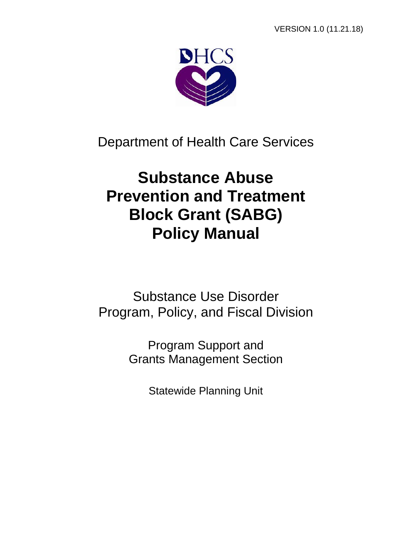

Department of Health Care Services

# **Substance Abuse Prevention and Treatment Block Grant (SABG) Policy Manual**

Substance Use Disorder Program, Policy, and Fiscal Division

> Program Support and Grants Management Section

> > Statewide Planning Unit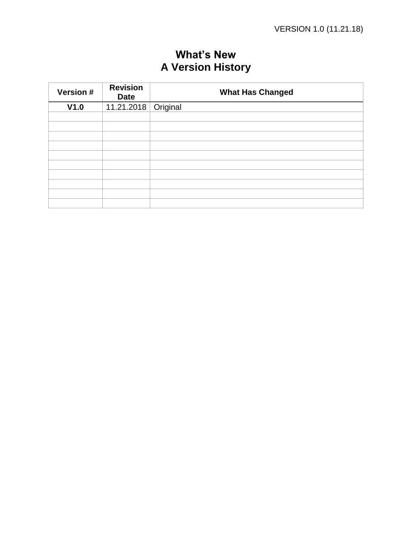| Version # | <b>Revision</b><br><b>Date</b> | <b>What Has Changed</b> |
|-----------|--------------------------------|-------------------------|
| V1.0      | 11.21.2018   Original          |                         |
|           |                                |                         |
|           |                                |                         |
|           |                                |                         |
|           |                                |                         |
|           |                                |                         |
|           |                                |                         |
|           |                                |                         |
|           |                                |                         |
|           |                                |                         |
|           |                                |                         |

## **What's New A Version History**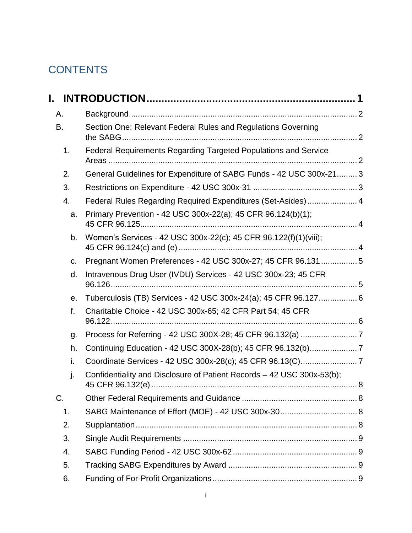## <span id="page-2-0"></span>**CONTENTS**

| L. |                                                                        |  |
|----|------------------------------------------------------------------------|--|
| А. |                                                                        |  |
| B. | Section One: Relevant Federal Rules and Regulations Governing          |  |
| 1. | Federal Requirements Regarding Targeted Populations and Service        |  |
| 2. | General Guidelines for Expenditure of SABG Funds - 42 USC 300x-21 3    |  |
| 3. |                                                                        |  |
| 4. | Federal Rules Regarding Required Expenditures (Set-Asides)  4          |  |
| a. | Primary Prevention - 42 USC 300x-22(a); 45 CFR 96.124(b)(1);           |  |
| b. | Women's Services - 42 USC 300x-22(c); 45 CFR 96.122(f)(1)(viii);       |  |
| c. | Pregnant Women Preferences - 42 USC 300x-27; 45 CFR 96.131 5           |  |
| d. | Intravenous Drug User (IVDU) Services - 42 USC 300x-23; 45 CFR         |  |
| е. | Tuberculosis (TB) Services - 42 USC 300x-24(a); 45 CFR 96.127 6        |  |
| f. | Charitable Choice - 42 USC 300x-65; 42 CFR Part 54; 45 CFR             |  |
| g. |                                                                        |  |
| h. | Continuing Education - 42 USC 300X-28(b); 45 CFR 96.132(b)7            |  |
| i. |                                                                        |  |
| j. | Confidentiality and Disclosure of Patient Records - 42 USC 300x-53(b); |  |
| C. |                                                                        |  |
| 1. |                                                                        |  |
| 2. |                                                                        |  |
| 3. |                                                                        |  |
| 4. |                                                                        |  |
| 5. |                                                                        |  |
| 6. |                                                                        |  |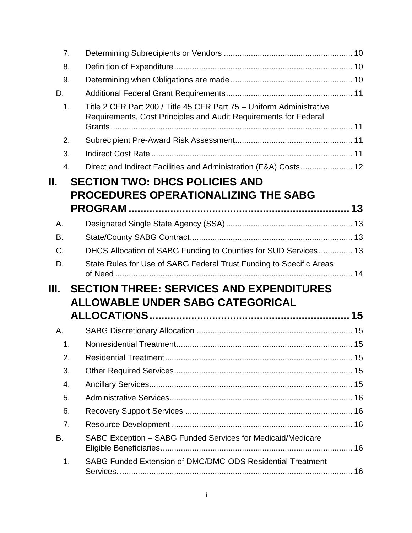| 7.  |                                                                                                                                          |  |
|-----|------------------------------------------------------------------------------------------------------------------------------------------|--|
| 8.  |                                                                                                                                          |  |
| 9.  |                                                                                                                                          |  |
| D.  |                                                                                                                                          |  |
| 1.  | Title 2 CFR Part 200 / Title 45 CFR Part 75 - Uniform Administrative<br>Requirements, Cost Principles and Audit Requirements for Federal |  |
| 2.  |                                                                                                                                          |  |
| 3.  |                                                                                                                                          |  |
| 4.  | Direct and Indirect Facilities and Administration (F&A) Costs 12                                                                         |  |
| ΙΙ. | <b>SECTION TWO: DHCS POLICIES AND</b>                                                                                                    |  |
|     | <b>PROCEDURES OPERATIONALIZING THE SABG</b>                                                                                              |  |
|     |                                                                                                                                          |  |
| А.  |                                                                                                                                          |  |
| В.  |                                                                                                                                          |  |
| C.  | DHCS Allocation of SABG Funding to Counties for SUD Services 13                                                                          |  |
| D.  | State Rules for Use of SABG Federal Trust Funding to Specific Areas                                                                      |  |
| Ш.  | <b>SECTION THREE: SERVICES AND EXPENDITURES</b>                                                                                          |  |
|     | <b>ALLOWABLE UNDER SABG CATEGORICAL</b>                                                                                                  |  |
|     |                                                                                                                                          |  |
| А.  |                                                                                                                                          |  |
| 1.  |                                                                                                                                          |  |
| 2.  |                                                                                                                                          |  |
| 3.  |                                                                                                                                          |  |
| 4.  |                                                                                                                                          |  |
| 5.  |                                                                                                                                          |  |
| 6.  |                                                                                                                                          |  |
| 7.  |                                                                                                                                          |  |
| В.  | SABG Exception - SABG Funded Services for Medicaid/Medicare                                                                              |  |
| 1.  | SABG Funded Extension of DMC/DMC-ODS Residential Treatment                                                                               |  |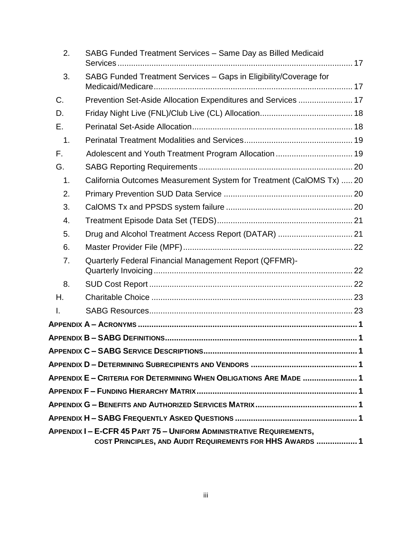| 2.            | SABG Funded Treatment Services - Same Day as Billed Medicaid                                                                             |  |
|---------------|------------------------------------------------------------------------------------------------------------------------------------------|--|
| 3.            | SABG Funded Treatment Services - Gaps in Eligibility/Coverage for                                                                        |  |
| C.            | Prevention Set-Aside Allocation Expenditures and Services  17                                                                            |  |
| D.            |                                                                                                                                          |  |
| Е.            |                                                                                                                                          |  |
| $\mathbf 1$ . |                                                                                                                                          |  |
| F.            | Adolescent and Youth Treatment Program Allocation  19                                                                                    |  |
| G.            |                                                                                                                                          |  |
| 1.            | California Outcomes Measurement System for Treatment (CalOMS Tx)  20                                                                     |  |
| 2.            |                                                                                                                                          |  |
| 3.            |                                                                                                                                          |  |
| 4.            |                                                                                                                                          |  |
| 5.            | Drug and Alcohol Treatment Access Report (DATAR)  21                                                                                     |  |
| 6.            |                                                                                                                                          |  |
| 7.            | Quarterly Federal Financial Management Report (QFFMR)-                                                                                   |  |
| 8.            |                                                                                                                                          |  |
| Η.            |                                                                                                                                          |  |
| I.            |                                                                                                                                          |  |
|               |                                                                                                                                          |  |
|               |                                                                                                                                          |  |
|               |                                                                                                                                          |  |
|               |                                                                                                                                          |  |
|               | APPENDIX E - CRITERIA FOR DETERMINING WHEN OBLIGATIONS ARE MADE  1                                                                       |  |
|               |                                                                                                                                          |  |
|               |                                                                                                                                          |  |
|               | APPENDIX <b>H – SABG F</b> REQUENTLY ASKED QUESTIONS ………………………………………………………1                                                              |  |
|               | <b>APPENDIX I – E-CFR 45 PART 75 – UNIFORM ADMINISTRATIVE REQUIREMENTS,</b><br>COST PRINCIPLES, AND AUDIT REQUIREMENTS FOR HHS AWARDS  1 |  |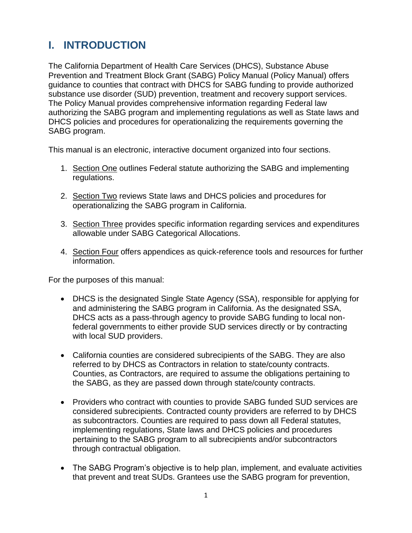## <span id="page-5-0"></span>**I. INTRODUCTION**

The California Department of Health Care Services (DHCS), Substance Abuse Prevention and Treatment Block Grant (SABG) Policy Manual (Policy Manual) offers guidance to counties that contract with DHCS for SABG funding to provide authorized substance use disorder (SUD) prevention, treatment and recovery support services. The Policy Manual provides comprehensive information regarding Federal law authorizing the SABG program and implementing regulations as well as State laws and DHCS policies and procedures for operationalizing the requirements governing the SABG program.

This manual is an electronic, interactive document organized into four sections.

- 1. Section One outlines Federal statute authorizing the SABG and implementing regulations.
- 2. Section Two reviews State laws and DHCS policies and procedures for operationalizing the SABG program in California.
- 3. Section Three provides specific information regarding services and expenditures allowable under SABG Categorical Allocations.
- 4. Section Four offers appendices as quick-reference tools and resources for further information.

For the purposes of this manual:

- DHCS is the designated Single State Agency (SSA), responsible for applying for and administering the SABG program in California. As the designated SSA, DHCS acts as a pass-through agency to provide SABG funding to local nonfederal governments to either provide SUD services directly or by contracting with local SUD providers.
- California counties are considered subrecipients of the SABG. They are also referred to by DHCS as Contractors in relation to state/county contracts. Counties, as Contractors, are required to assume the obligations pertaining to the SABG, as they are passed down through state/county contracts.
- Providers who contract with counties to provide SABG funded SUD services are considered subrecipients. Contracted county providers are referred to by DHCS as subcontractors. Counties are required to pass down all Federal statutes, implementing regulations, State laws and DHCS policies and procedures pertaining to the SABG program to all subrecipients and/or subcontractors through contractual obligation.
- The SABG Program's objective is to help plan, implement, and evaluate activities that prevent and treat SUDs. Grantees use the SABG program for prevention,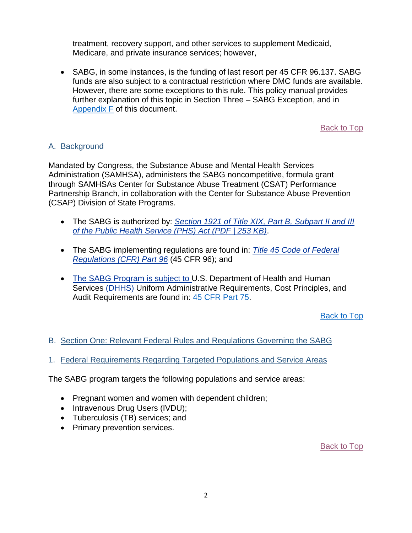treatment, recovery support, and other services to supplement Medicaid, Medicare, and private insurance services; however,

• SABG, in some instances, is the funding of last resort per 45 CFR 96.137. SABG funds are also subject to a contractual restriction where DMC funds are available. However, there are some exceptions to this rule. This policy manual provides further explanation of this topic in Section Three – SABG Exception, and in [Appendix](#page-45-0) F of this document.

[Back to Top](#page-2-0)

#### <span id="page-6-0"></span>A. Background

Mandated by Congress, the Substance Abuse and Mental Health Services Administration (SAMHSA), administers the SABG noncompetitive, formula grant through SAMHSAs Center for Substance Abuse Treatment (CSAT) Performance Partnership Branch, in collaboration with the Center for Substance Abuse Prevention (CSAP) Division of State Programs.

- x The SABG is authorized by: *[Section 1921 of Title XIX, Part B, Subpart II and III](http://www.gpo.gov/fdsys/pkg/USCODE-2010-title42/pdf/USCODE-2010-title42-chap6A-subchapXVII-partB.pdf) [of the Public Health Service \(PHS\) Act \(PDF | 253 KB\)](http://www.gpo.gov/fdsys/pkg/USCODE-2010-title42/pdf/USCODE-2010-title42-chap6A-subchapXVII-partB.pdf)*.
- x The SABG implementing regulations are found in: *[Title 45 Code of Federal](http://www.ecfr.gov/cgi-bin/text-idx?SID=c7b064d430c0a3f0d0f80af1ccab54f8&tpl=/ecfrbrowse/Title45/45cfr96_main_02.tpl) [Regulations \(CFR\) Part 96](http://www.ecfr.gov/cgi-bin/text-idx?SID=c7b064d430c0a3f0d0f80af1ccab54f8&tpl=/ecfrbrowse/Title45/45cfr96_main_02.tpl)* (45 CFR 96); and
- x The SABG Program is subject to U.S. Department of Health and Human Services (DHHS) Uniform Administrative Requirements, Cost Principles, and Audit Requirements are found in: [45 CFR Part 75](https://www.ecfr.gov/cgi-bin/retrieveECFR?gp=1&SID=501752740986e7a2e59e46b724c0a2a7&ty=HTML&h=L&r=PART&n=pt45.1.75).

[Back to Top](#page-2-0)

- <span id="page-6-1"></span>B. Section One: Relevant Federal Rules and Regulations Governing the SABG
- <span id="page-6-2"></span>1. Federal Requirements Regarding Targeted Populations and Service Areas

The SABG program targets the following populations and service areas:

- Pregnant women and women with dependent children;
- Intravenous Drug Users (IVDU);
- Tuberculosis (TB) services; and
- Primary prevention services.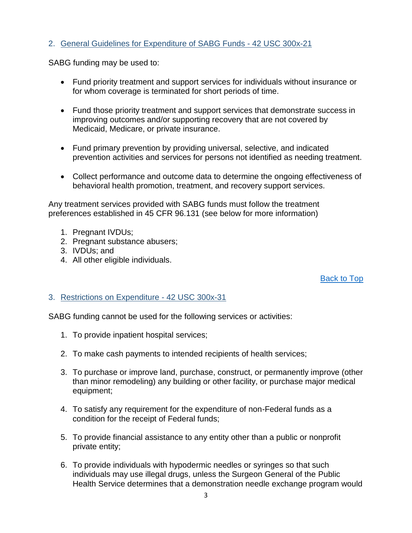#### <span id="page-7-0"></span>2. General Guidelines for Expenditure of SABG Funds - 42 USC 300x-21

SABG funding may be used to:

- Fund priority treatment and support services for individuals without insurance or for whom coverage is terminated for short periods of time.
- Fund those priority treatment and support services that demonstrate success in improving outcomes and/or supporting recovery that are not covered by Medicaid, Medicare, or private insurance.
- Fund primary prevention by providing universal, selective, and indicated prevention activities and services for persons not identified as needing treatment.
- Collect performance and outcome data to determine the ongoing effectiveness of behavioral health promotion, treatment, and recovery support services.

Any treatment services provided with SABG funds must follow the treatment preferences established in 45 CFR 96.131 (see below for more information)

- 1. Pregnant IVDUs;
- 2. Pregnant substance abusers;
- 3. IVDUs; and
- 4. All other eligible individuals.

#### [Back to Top](#page-2-0)

#### <span id="page-7-1"></span>3. Restrictions on Expenditure - 42 USC 300x-31

SABG funding cannot be used for the following services or activities:

- 1. To provide inpatient hospital services;
- 2. To make cash payments to intended recipients of health services;
- 3. To purchase or improve land, purchase, construct, or permanently improve (other than minor remodeling) any building or other facility, or purchase major medical equipment;
- 4. To satisfy any requirement for the expenditure of non-Federal funds as a condition for the receipt of Federal funds;
- 5. To provide financial assistance to any entity other than a public or nonprofit private entity;
- 6. To provide individuals with hypodermic needles or syringes so that such individuals may use illegal drugs, unless the Surgeon General of the Public Health Service determines that a demonstration needle exchange program would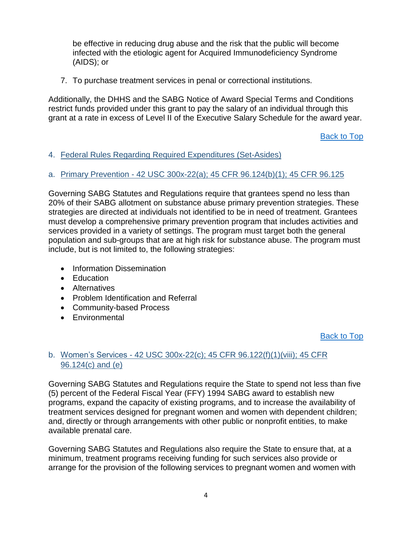be effective in reducing drug abuse and the risk that the public will become infected with the etiologic agent for Acquired Immunodeficiency Syndrome (AIDS); or

7. To purchase treatment services in penal or correctional institutions.

Additionally, the DHHS and the SABG Notice of Award Special Terms and Conditions restrict funds provided under this grant to pay the salary of an individual through this grant at a rate in excess of Level II of the Executive Salary Schedule for the award year.

[Back to Top](#page-2-0)

#### <span id="page-8-0"></span>4. Federal Rules Regarding Required Expenditures (Set-Asides)

#### <span id="page-8-1"></span>a. Primary Prevention - 42 USC 300x-22(a); 45 CFR 96.124(b)(1); 45 CFR 96.125

Governing SABG Statutes and Regulations require that grantees spend no less than 20% of their SABG allotment on substance abuse primary prevention strategies. These strategies are directed at individuals not identified to be in need of treatment. Grantees must develop a comprehensive primary prevention program that includes activities and services provided in a variety of settings. The program must target both the general population and sub-groups that are at high risk for substance abuse. The program must include, but is not limited to, the following strategies:

- Information Dissemination
- Education
- Alternatives
- Problem Identification and Referral
- Community-based Process
- Environmental

[Back to Top](#page-2-0)

#### <span id="page-8-2"></span>b. Women's Services - 42 USC 300x-22(c); 45 CFR 96.122(f)(1)(viii); 45 CFR 96.124(c) and (e)

Governing SABG Statutes and Regulations require the State to spend not less than five (5) percent of the Federal Fiscal Year (FFY) 1994 SABG award to establish new programs, expand the capacity of existing programs, and to increase the availability of treatment services designed for pregnant women and women with dependent children; and, directly or through arrangements with other public or nonprofit entities, to make available prenatal care.

Governing SABG Statutes and Regulations also require the State to ensure that, at a minimum, treatment programs receiving funding for such services also provide or arrange for the provision of the following services to pregnant women and women with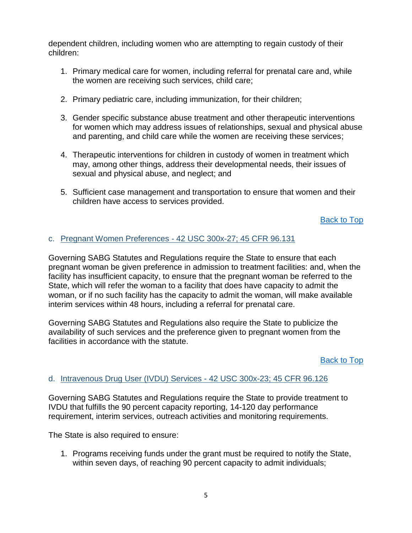dependent children, including women who are attempting to regain custody of their children:

- 1. Primary medical care for women, including referral for prenatal care and, while the women are receiving such services, child care;
- 2. Primary pediatric care, including immunization, for their children;
- 3. Gender specific substance abuse treatment and other therapeutic interventions for women which may address issues of relationships, sexual and physical abuse and parenting, and child care while the women are receiving these services;
- 4. Therapeutic interventions for children in custody of women in treatment which may, among other things, address their developmental needs, their issues of sexual and physical abuse, and neglect; and
- 5. Sufficient case management and transportation to ensure that women and their children have access to services provided.

[Back to Top](#page-2-0)

#### <span id="page-9-0"></span>c. Pregnant Women Preferences - 42 USC 300x-27; 45 CFR 96.131

Governing SABG Statutes and Regulations require the State to ensure that each pregnant woman be given preference in admission to treatment facilities: and, when the facility has insufficient capacity, to ensure that the pregnant woman be referred to the State, which will refer the woman to a facility that does have capacity to admit the woman, or if no such facility has the capacity to admit the woman, will make available interim services within 48 hours, including a referral for prenatal care.

Governing SABG Statutes and Regulations also require the State to publicize the availability of such services and the preference given to pregnant women from the facilities in accordance with the statute.

[Back to Top](#page-2-0)

#### <span id="page-9-1"></span>d. Intravenous Drug User (IVDU) Services - 42 USC 300x-23; 45 CFR 96.126

Governing SABG Statutes and Regulations require the State to provide treatment to IVDU that fulfills the 90 percent capacity reporting, 14-120 day performance requirement, interim services, outreach activities and monitoring requirements.

The State is also required to ensure:

1. Programs receiving funds under the grant must be required to notify the State, within seven days, of reaching 90 percent capacity to admit individuals;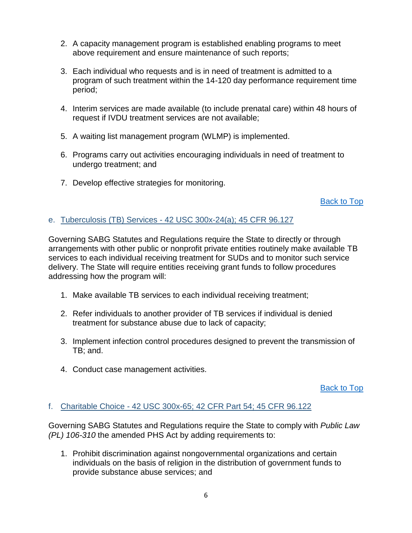- 2. A capacity management program is established enabling programs to meet above requirement and ensure maintenance of such reports;
- 3. Each individual who requests and is in need of treatment is admitted to a program of such treatment within the 14-120 day performance requirement time period;
- 4. Interim services are made available (to include prenatal care) within 48 hours of request if IVDU treatment services are not available;
- 5. A waiting list management program (WLMP) is implemented.
- 6. Programs carry out activities encouraging individuals in need of treatment to undergo treatment; and
- 7. Develop effective strategies for monitoring.

[Back to Top](#page-2-0)

#### <span id="page-10-0"></span>e. Tuberculosis (TB) Services - 42 USC 300x-24(a); 45 CFR 96.127

Governing SABG Statutes and Regulations require the State to directly or through arrangements with other public or nonprofit private entities routinely make available TB services to each individual receiving treatment for SUDs and to monitor such service delivery. The State will require entities receiving grant funds to follow procedures addressing how the program will:

- 1. Make available TB services to each individual receiving treatment;
- 2. Refer individuals to another provider of TB services if individual is denied treatment for substance abuse due to lack of capacity;
- 3. Implement infection control procedures designed to prevent the transmission of TB; and.
- 4. Conduct case management activities.

[Back to Top](#page-2-0)

#### <span id="page-10-1"></span>f. Charitable Choice - 42 USC 300x-65; 42 CFR Part 54; 45 CFR 96.122

Governing SABG Statutes and Regulations require the State to comply with *Public Law (PL) 106-310* the amended PHS Act by adding requirements to:

1. Prohibit discrimination against nongovernmental organizations and certain individuals on the basis of religion in the distribution of government funds to provide substance abuse services; and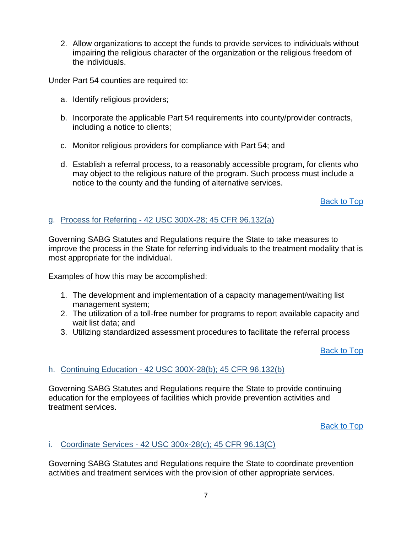2. Allow organizations to accept the funds to provide services to individuals without impairing the religious character of the organization or the religious freedom of the individuals.

Under Part 54 counties are required to:

- a. Identify religious providers;
- b. Incorporate the applicable Part 54 requirements into county/provider contracts, including a notice to clients;
- c. Monitor religious providers for compliance with Part 54; and
- d. Establish a referral process, to a reasonably accessible program, for clients who may object to the religious nature of the program. Such process must include a notice to the county and the funding of alternative services.

[Back to Top](#page-2-0)

#### <span id="page-11-0"></span>g. Process for Referring - 42 USC 300X-28; 45 CFR 96.132(a)

Governing SABG Statutes and Regulations require the State to take measures to improve the process in the State for referring individuals to the treatment modality that is most appropriate for the individual.

Examples of how this may be accomplished:

- 1. The development and implementation of a capacity management/waiting list management system;
- 2. The utilization of a toll-free number for programs to report available capacity and wait list data; and
- 3. Utilizing standardized assessment procedures to facilitate the referral process

[Back to Top](#page-2-0)

#### <span id="page-11-1"></span>h. Continuing Education - 42 USC 300X-28(b); 45 CFR 96.132(b)

Governing SABG Statutes and Regulations require the State to provide continuing education for the employees of facilities which provide prevention activities and treatment services.

[Back to Top](#page-2-0)

#### <span id="page-11-2"></span>i. Coordinate Services - 42 USC 300x-28(c); 45 CFR 96.13(C)

Governing SABG Statutes and Regulations require the State to coordinate prevention activities and treatment services with the provision of other appropriate services.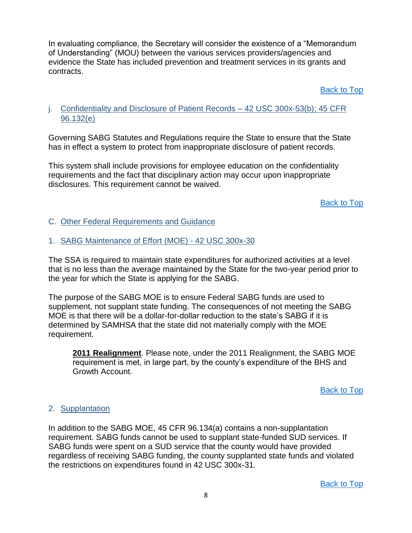In evaluating compliance, the Secretary will consider the existence of a "Memorandum of Understanding" (MOU) between the various services providers/agencies and evidence the State has included prevention and treatment services in its grants and contracts.

[Back to Top](#page-2-0)

#### <span id="page-12-0"></span>j. Confidentiality and Disclosure of Patient Records – 42 USC 300x-53(b); 45 CFR 96.132(e)

Governing SABG Statutes and Regulations require the State to ensure that the State has in effect a system to protect from inappropriate disclosure of patient records.

This system shall include provisions for employee education on the confidentiality requirements and the fact that disciplinary action may occur upon inappropriate disclosures. This requirement cannot be waived.

[Back to Top](#page-2-0)

<span id="page-12-1"></span>C. Other Federal Requirements and Guidance

<span id="page-12-2"></span>1. SABG Maintenance of Effort (MOE) - 42 USC 300x-30

The SSA is required to maintain state expenditures for authorized activities at a level that is no less than the average maintained by the State for the two-year period prior to the year for which the State is applying for the SABG.

The purpose of the SABG MOE is to ensure Federal SABG funds are used to supplement, not supplant state funding. The consequences of not meeting the SABG MOE is that there will be a dollar-for-dollar reduction to the state's SABG if it is determined by SAMHSA that the state did not materially comply with the MOE requirement.

**2011 Realignment**. Please note, under the 2011 Realignment, the SABG MOE requirement is met, in large part, by the county's expenditure of the BHS and Growth Account.

[Back to Top](#page-2-0)

#### <span id="page-12-3"></span>2. Supplantation

In addition to the SABG MOE, 45 CFR 96.134(a) contains a non-supplantation requirement. SABG funds cannot be used to supplant state-funded SUD services. If SABG funds were spent on a SUD service that the county would have provided regardless of receiving SABG funding, the county supplanted state funds and violated the restrictions on expenditures found in 42 USC 300x-31.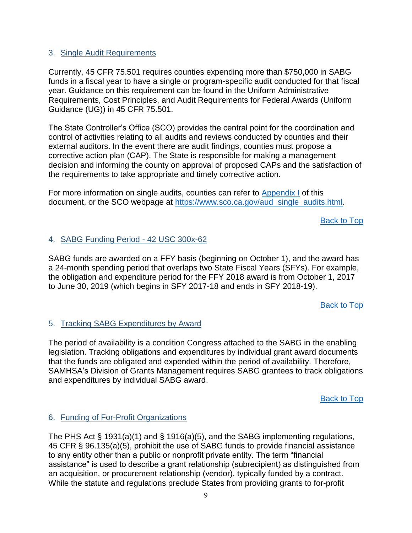#### <span id="page-13-0"></span>3. Single Audit Requirements

Currently, 45 CFR 75.501 requires counties expending more than \$750,000 in SABG funds in a fiscal year to have a single or program-specific audit conducted for that fiscal year. Guidance on this requirement can be found in the Uniform Administrative Requirements, Cost Principles, and Audit Requirements for Federal Awards (Uniform Guidance (UG)) in 45 CFR 75.501.

The State Controller's Office (SCO) provides the central point for the coordination and control of activities relating to all audits and reviews conducted by counties and their external auditors. In the event there are audit findings, counties must propose a corrective action plan (CAP). The State is responsible for making a management decision and informing the county on approval of proposed CAPs and the satisfaction of the requirements to take appropriate and timely corrective action.

For more information on single audits, counties can refer to [Appendix I](#page-2-0) of this document, or the SCO webpage at [https://www.sco.ca.gov/aud\\_single\\_audits.html.](https://www.sco.ca.gov/aud_single_audits.html)

[Back to Top](#page-2-0)

#### <span id="page-13-1"></span>4. SABG Funding Period - 42 USC 300x-62

SABG funds are awarded on a FFY basis (beginning on October 1), and the award has a 24-month spending period that overlaps two State Fiscal Years (SFYs). For example, the obligation and expenditure period for the FFY 2018 award is from October 1, 2017 to June 30, 2019 (which begins in SFY 2017-18 and ends in SFY 2018-19).

[Back to Top](#page-2-0)

#### <span id="page-13-2"></span>5. Tracking SABG Expenditures by Award

The period of availability is a condition Congress attached to the SABG in the enabling legislation. Tracking obligations and expenditures by individual grant award documents that the funds are obligated and expended within the period of availability. Therefore, SAMHSA's Division of Grants Management requires SABG grantees to track obligations and expenditures by individual SABG award.

[Back to Top](#page-2-0)

#### <span id="page-13-3"></span>6. Funding of For-Profit Organizations

The PHS Act § 1931(a)(1) and § 1916(a)(5), and the SABG implementing regulations, 45 CFR § 96.135(a)(5), prohibit the use of SABG funds to provide financial assistance to any entity other than a public or nonprofit private entity. The term "financial assistance" is used to describe a grant relationship (subrecipient) as distinguished from an acquisition, or procurement relationship (vendor), typically funded by a contract. While the statute and regulations preclude States from providing grants to for-profit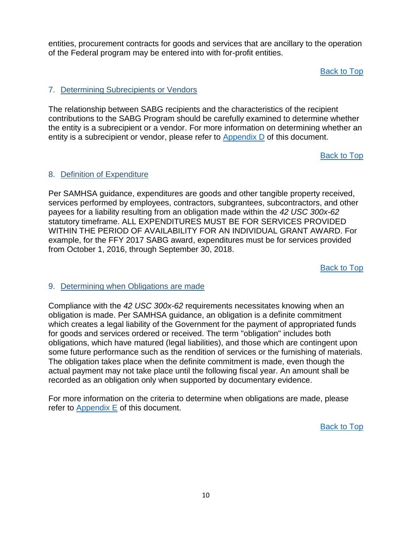entities, procurement contracts for goods and services that are ancillary to the operation of the Federal program may be entered into with for-profit entities.

[Back to Top](#page-2-0)

#### <span id="page-14-0"></span>7. Determining Subrecipients or Vendors

The relationship between SABG recipients and the characteristics of the recipient contributions to the SABG Program should be carefully examined to determine whether the entity is a subrecipient or a vendor. For more information on determining whether an entity is a subrecipient or vendor, please refer to [Appendix D](#page-42-0) of this document.

[Back to Top](#page-2-0)

#### <span id="page-14-1"></span>8. Definition of Expenditure

Per SAMHSA guidance, expenditures are goods and other tangible property received, services performed by employees, contractors, subgrantees, subcontractors, and other payees for a liability resulting from an obligation made within the *42 USC 300x-62* statutory timeframe. ALL EXPENDITURES MUST BE FOR SERVICES PROVIDED WITHIN THE PERIOD OF AVAILABILITY FOR AN INDIVIDUAL GRANT AWARD. For example, for the FFY 2017 SABG award, expenditures must be for services provided from October 1, 2016, through September 30, 2018.

[Back to Top](#page-2-0)

#### <span id="page-14-2"></span>9. Determining when Obligations are made

Compliance with the *42 USC 300x-62* requirements necessitates knowing when an obligation is made. Per SAMHSA guidance, an obligation is a definite commitment which creates a legal liability of the Government for the payment of appropriated funds for goods and services ordered or received. The term "obligation" includes both obligations, which have matured (legal liabilities), and those which are contingent upon some future performance such as the rendition of services or the furnishing of materials. The obligation takes place when the definite commitment is made, even though the actual payment may not take place until the following fiscal year. An amount shall be recorded as an obligation only when supported by documentary evidence.

For more information on the criteria to determine when obligations are made, please refer to [Appendix E](#page-43-0) of this document.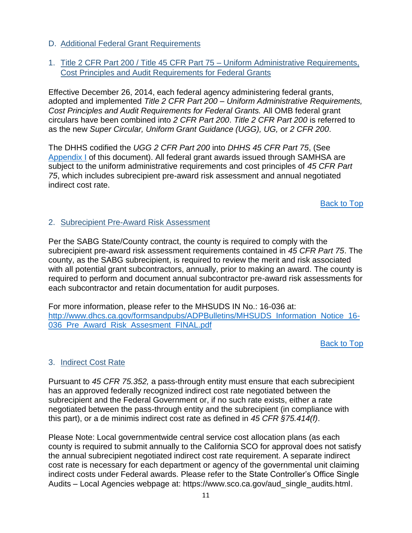- <span id="page-15-0"></span>D. Additional Federal Grant Requirements
- <span id="page-15-1"></span>1. Title 2 CFR Part 200 / Title 45 CFR Part 75 – Uniform Administrative Requirements, Cost Principles and Audit Requirements for Federal Grants

Effective December 26, 2014, each federal agency administering federal grants, adopted and implemented *Title 2 CFR Part 200 – Uniform Administrative Requirements, Cost Principles and Audit Requirements for Federal Grants.* All OMB federal grant circulars have been combined into *2 CFR Part 200*. *Title 2 CFR Part 200* is referred to as the new *Super Circular, Uniform Grant Guidance (UGG), UG,* or *2 CFR 200*.

The DHHS codified the *UGG 2 CFR Part 200* into *DHHS 45 CFR Part 75*, (See [Appendix I](#page-2-0) of this document). All federal grant awards issued through SAMHSA are subject to the uniform administrative requirements and cost principles of *45 CFR Part 75*, which includes subrecipient pre-award risk assessment and annual negotiated indirect cost rate.

[Back to Top](#page-2-0)

#### <span id="page-15-2"></span>2. Subrecipient Pre-Award Risk Assessment

Per the SABG State/County contract, the county is required to comply with the subrecipient pre-award risk assessment requirements contained in *45 CFR Part 75*. The county, as the SABG subrecipient, is required to review the merit and risk associated with all potential grant subcontractors, annually, prior to making an award. The county is required to perform and document annual subcontractor pre-award risk assessments for each subcontractor and retain documentation for audit purposes.

For more information, please refer to the MHSUDS IN No.: 16-036 at: [http://www.dhcs.ca.gov/formsandpubs/ADPBulletins/MHSUDS\\_Information\\_Notice\\_16-](https://www.dhcs.ca.gov/formsandpubs/ADPBulletins/MHSUDS%20Information%20Notice%2016-036%20Pre%20Award%20Risk%20Assesment%20FINAL.pdf) [036\\_Pre\\_Award\\_Risk\\_Assesment\\_FINAL.pdf](https://www.dhcs.ca.gov/formsandpubs/ADPBulletins/MHSUDS%20Information%20Notice%2016-036%20Pre%20Award%20Risk%20Assesment%20FINAL.pdf)

[Back to Top](#page-2-0)

#### <span id="page-15-3"></span>3. Indirect Cost Rate

Pursuant to *45 CFR 75.352,* a pass-through entity must ensure that each subrecipient has an approved federally recognized indirect cost rate negotiated between the subrecipient and the Federal Government or, if no such rate exists, either a rate negotiated between the pass-through entity and the subrecipient (in compliance with this part), or a de minimis indirect cost rate as defined in *45 CFR §75.414(f)*.

Please Note: Local governmentwide central service cost allocation plans (as each county is required to submit annually to the California SCO for approval does not satisfy the annual subrecipient negotiated indirect cost rate requirement. A separate indirect cost rate is necessary for each department or agency of the governmental unit claiming indirect costs under Federal awards. Please refer to the State Controller's Office Single Audits – Local Agencies webpage at: https://www.sco.ca.gov/aud\_single\_audits.html.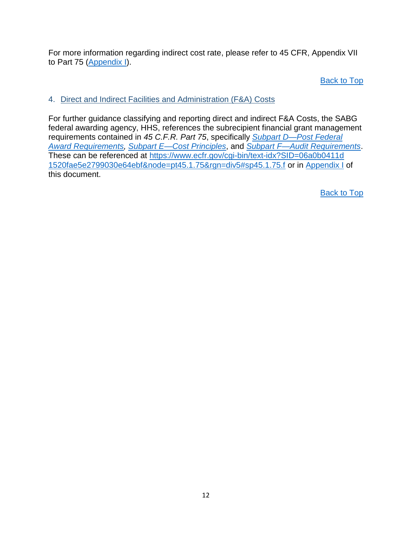For more information regarding indirect cost rate, please refer to 45 CFR, Appendix VII to Part 75 [\(Appendix](#page-2-0) I).

[Back to Top](#page-2-0)

#### <span id="page-16-0"></span>4. Direct and Indirect Facilities and Administration (F&A) Costs

For further guidance classifying and reporting direct and indirect F&A Costs, the SABG federal awarding agency, HHS, references the subrecipient financial grant management requirements contained in *45 C.F.R. Part 75*, specifically *[Subpart D—Post Federal](https://www.ecfr.gov/cgi-bin/text-idx?SID=06a0b0411d1520fae5e2799030e64ebf&node=pt45.1.75&rgn=div5#sp45.1.75.d) [Award Requirements,](https://www.ecfr.gov/cgi-bin/text-idx?SID=06a0b0411d1520fae5e2799030e64ebf&node=pt45.1.75&rgn=div5#sp45.1.75.d) [Subpart E—Cost Principles](https://www.ecfr.gov/cgi-bin/text-idx?SID=06a0b0411d1520fae5e2799030e64ebf&node=pt45.1.75&rgn=div5#sp45.1.75.e)*, and *[Subpart F—Audit Requirements](https://www.ecfr.gov/cgi-bin/text-idx?SID=06a0b0411d1520fae5e2799030e64ebf&node=pt45.1.75&rgn=div5#sp45.1.75.f)*. These can be referenced at [https://www.ecfr.gov/cgi-bin/text-idx?SID=06a0b0411d](https://www.ecfr.gov/cgi-bin/text-idx?SID=06a0b0411d1520fae5e2799030e64ebf&node=pt45.1.75&rgn=div5#sp45.1.75.f) [1520fae5e2799030e64ebf&node=pt45.1.75&rgn=div5#sp45.1.75.f](https://www.ecfr.gov/cgi-bin/text-idx?SID=06a0b0411d1520fae5e2799030e64ebf&node=pt45.1.75&rgn=div5#sp45.1.75.f) or in [Appendix I](#page-2-0) of this document.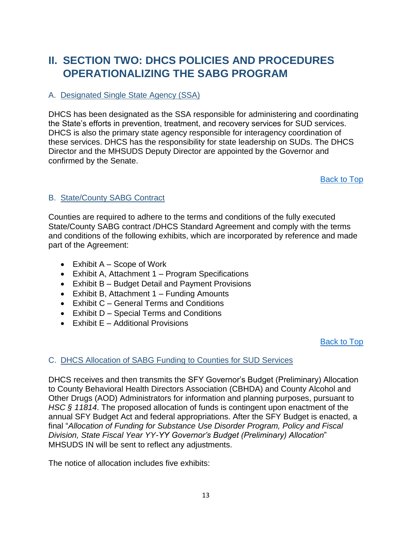### <span id="page-17-0"></span>**II. SECTION TWO: DHCS POLICIES AND PROCEDURES OPERATIONALIZING THE SABG PROGRAM**

#### <span id="page-17-1"></span>A. Designated Single State Agency (SSA)

DHCS has been designated as the SSA responsible for administering and coordinating the State's efforts in prevention, treatment, and recovery services for SUD services. DHCS is also the primary state agency responsible for interagency coordination of these services. DHCS has the responsibility for state leadership on SUDs. The DHCS Director and the MHSUDS Deputy Director are appointed by the Governor and confirmed by the Senate.

[Back to Top](#page-2-0)

#### <span id="page-17-2"></span>B. State/County SABG Contract

Counties are required to adhere to the terms and conditions of the fully executed State/County SABG contract /DHCS Standard Agreement and comply with the terms and conditions of the following exhibits, which are incorporated by reference and made part of the Agreement:

- $\bullet$  Exhibit A Scope of Work
- Exhibit A, Attachment 1 Program Specifications
- Exhibit B Budget Detail and Payment Provisions
- Exhibit B, Attachment 1 Funding Amounts
- Exhibit C General Terms and Conditions
- Exhibit D Special Terms and Conditions
- $\bullet$  Exhibit E Additional Provisions

[Back to Top](#page-2-0)

#### <span id="page-17-3"></span>C. DHCS Allocation of SABG Funding to Counties for SUD Services

DHCS receives and then transmits the SFY Governor's Budget (Preliminary) Allocation to County Behavioral Health Directors Association (CBHDA) and County Alcohol and Other Drugs (AOD) Administrators for information and planning purposes, pursuant to *HSC § 11814*. The proposed allocation of funds is contingent upon enactment of the annual SFY Budget Act and federal appropriations. After the SFY Budget is enacted, a final "*Allocation of Funding for Substance Use Disorder Program, Policy and Fiscal Division, State Fiscal Year YY-YY Governor's Budget (Preliminary) Allocation*" MHSUDS IN will be sent to reflect any adjustments.

The notice of allocation includes five exhibits: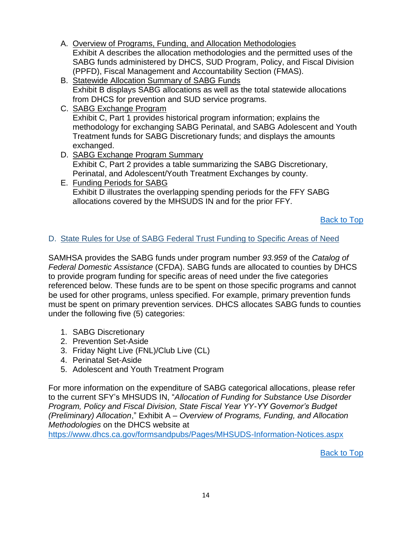- A. Overview of Programs, Funding, and Allocation Methodologies Exhibit A describes the allocation methodologies and the permitted uses of the SABG funds administered by DHCS, SUD Program, Policy, and Fiscal Division (PPFD), Fiscal Management and Accountability Section (FMAS).
- B. Statewide Allocation Summary of SABG Funds Exhibit B displays SABG allocations as well as the total statewide allocations from DHCS for prevention and SUD service programs.
- C. SABG Exchange Program Exhibit C, Part 1 provides historical program information; explains the methodology for exchanging SABG Perinatal, and SABG Adolescent and Youth Treatment funds for SABG Discretionary funds; and displays the amounts exchanged.
- D. SABG Exchange Program Summary Exhibit C, Part 2 provides a table summarizing the SABG Discretionary, Perinatal, and Adolescent/Youth Treatment Exchanges by county.
- E. Funding Periods for SABG Exhibit D illustrates the overlapping spending periods for the FFY SABG allocations covered by the MHSUDS IN and for the prior FFY.

[Back to Top](#page-2-0)

#### <span id="page-18-0"></span>D. State Rules for Use of SABG Federal Trust Funding to Specific Areas of Need

SAMHSA provides the SABG funds under program number *93.959* of the *Catalog of Federal Domestic Assistance* (CFDA). SABG funds are allocated to counties by DHCS to provide program funding for specific areas of need under the five categories referenced below. These funds are to be spent on those specific programs and cannot be used for other programs, unless specified. For example, primary prevention funds must be spent on primary prevention services. DHCS allocates SABG funds to counties under the following five (5) categories:

- 1. SABG Discretionary
- 2. Prevention Set-Aside
- 3. Friday Night Live (FNL)/Club Live (CL)
- 4. Perinatal Set-Aside
- 5. Adolescent and Youth Treatment Program

For more information on the expenditure of SABG categorical allocations, please refer to the current SFY's MHSUDS IN, "*Allocation of Funding for Substance Use Disorder Program, Policy and Fiscal Division, State Fiscal Year YY-YY Governor's Budget (Preliminary) Allocation*," Exhibit A – *Overview of Programs, Funding, and Allocation Methodologies* on the DHCS website at

<https://www.dhcs.ca.gov/formsandpubs/Pages/MHSUDS-Information-Notices.aspx>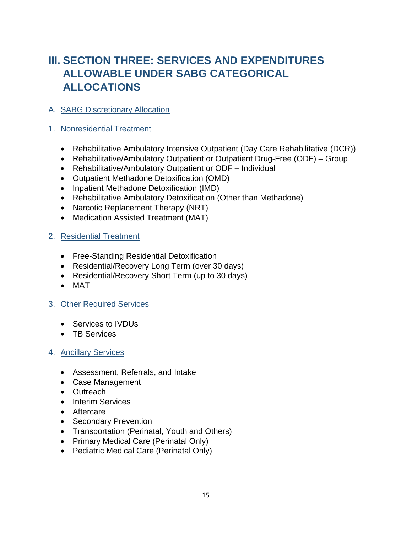## <span id="page-19-0"></span>**III. SECTION THREE: SERVICES AND EXPENDITURES ALLOWABLE UNDER SABG CATEGORICAL ALLOCATIONS**

#### <span id="page-19-1"></span>A. SABG Discretionary Allocation

#### <span id="page-19-2"></span>1. Nonresidential Treatment

- Rehabilitative Ambulatory Intensive Outpatient (Day Care Rehabilitative (DCR))
- Rehabilitative/Ambulatory Outpatient or Outpatient Drug-Free (ODF) Group
- Rehabilitative/Ambulatory Outpatient or ODF Individual
- Outpatient Methadone Detoxification (OMD)
- Inpatient Methadone Detoxification (IMD)
- Rehabilitative Ambulatory Detoxification (Other than Methadone)
- Narcotic Replacement Therapy (NRT)
- Medication Assisted Treatment (MAT)

#### <span id="page-19-3"></span>2. Residential Treatment

- Free-Standing Residential Detoxification
- Residential/Recovery Long Term (over 30 days)
- Residential/Recovery Short Term (up to 30 days)
- MAT

#### <span id="page-19-4"></span>3. Other Required Services

- Services to IVDUs
- TB Services

#### <span id="page-19-5"></span>4. Ancillary Services

- Assessment, Referrals, and Intake
- Case Management
- Outreach
- Interim Services
- Aftercare
- Secondary Prevention
- Transportation (Perinatal, Youth and Others)
- Primary Medical Care (Perinatal Only)
- Pediatric Medical Care (Perinatal Only)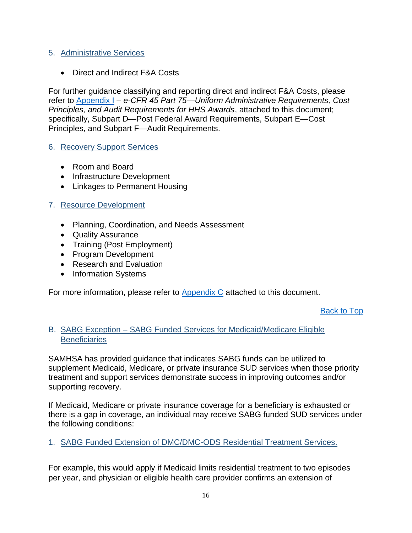#### <span id="page-20-0"></span>5. Administrative Services

• Direct and Indirect F&A Costs

For further guidance classifying and reporting direct and indirect F&A Costs, please refer to [Appendix I](#page-2-0) *– e-CFR 45 Part 75—Uniform Administrative Requirements, Cost Principles, and Audit Requirements for HHS Awards*, attached to this document; specifically, Subpart D—Post Federal Award Requirements, Subpart E—Cost Principles, and Subpart F—Audit Requirements.

#### <span id="page-20-1"></span>6. Recovery Support Services

- Room and Board
- Infrastructure Development
- Linkages to Permanent Housing

#### <span id="page-20-2"></span>7. Resource Development

- Planning, Coordination, and Needs Assessment
- Quality Assurance
- Training (Post Employment)
- Program Development
- Research and Evaluation
- Information Systems

For more information, please refer to [Appendix C](#page-33-0) attached to this document.

[Back to Top](#page-2-0)

#### <span id="page-20-3"></span>B. SABG Exception – SABG Funded Services for Medicaid/Medicare Eligible **Beneficiaries**

SAMHSA has provided guidance that indicates SABG funds can be utilized to supplement Medicaid, Medicare, or private insurance SUD services when those priority treatment and support services demonstrate success in improving outcomes and/or supporting recovery.

If Medicaid, Medicare or private insurance coverage for a beneficiary is exhausted or there is a gap in coverage, an individual may receive SABG funded SUD services under the following conditions:

<span id="page-20-4"></span>1. SABG Funded Extension of DMC/DMC-ODS Residential Treatment Services.

For example, this would apply if Medicaid limits residential treatment to two episodes per year, and physician or eligible health care provider confirms an extension of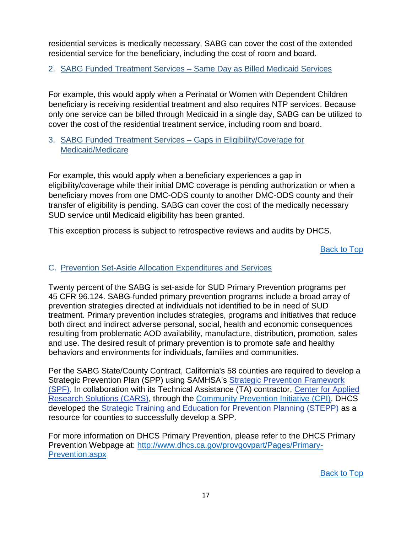residential services is medically necessary, SABG can cover the cost of the extended residential service for the beneficiary, including the cost of room and board.

<span id="page-21-0"></span>2. SABG Funded Treatment Services – Same Day as Billed Medicaid Services

For example, this would apply when a Perinatal or Women with Dependent Children beneficiary is receiving residential treatment and also requires NTP services. Because only one service can be billed through Medicaid in a single day, SABG can be utilized to cover the cost of the residential treatment service, including room and board.

#### <span id="page-21-1"></span>3. SABG Funded Treatment Services – Gaps in Eligibility/Coverage for Medicaid/Medicare

For example, this would apply when a beneficiary experiences a gap in eligibility/coverage while their initial DMC coverage is pending authorization or when a beneficiary moves from one DMC-ODS county to another DMC-ODS county and their transfer of eligibility is pending. SABG can cover the cost of the medically necessary SUD service until Medicaid eligibility has been granted.

This exception process is subject to retrospective reviews and audits by DHCS.

[Back to Top](#page-2-0)

#### <span id="page-21-2"></span>C. Prevention Set-Aside Allocation Expenditures and Services

Twenty percent of the SABG is set-aside for SUD Primary Prevention programs per 45 CFR 96.124. SABG-funded primary prevention programs include a broad array of prevention strategies directed at individuals not identified to be in need of SUD treatment. Primary prevention includes strategies, programs and initiatives that reduce both direct and indirect adverse personal, social, health and economic consequences resulting from problematic AOD availability, manufacture, distribution, promotion, sales and use. The desired result of primary prevention is to promote safe and healthy behaviors and environments for individuals, families and communities.

Per the SABG State/County Contract, California's 58 counties are required to develop a Strategic Prevention Plan (SPP) using SAMHSA's [Strategic Prevention Framework](https://www.samhsa.gov/capt/applying-strategic-prevention-framework)  [\(SPF\).](https://www.samhsa.gov/capt/applying-strategic-prevention-framework) In collaboration with its Technical Assistance (TA) contractor, [Center for Applied](http://www.cars-rp.org/)  [Research Solutions \(CARS\),](http://www.cars-rp.org/) through the [Community Prevention Initiative](http://ca-cpi.org/) (CPI), DHCS developed the [Strategic Training and Education for Prevention Planning \(STEPP\)](http://www.ca-cpi.org/welcome-to-a-new-year-of-the-stepp-project/) as a resource for counties to successfully develop a SPP.

For more information on DHCS Primary Prevention, please refer to the DHCS Primary Prevention Webpage at: [http://www.dhcs.ca.gov/provgovpart/Pages/Primary-](http://www.dhcs.ca.gov/provgovpart/Pages/Primary-Prevention.aspx)[Prevention.aspx](http://www.dhcs.ca.gov/provgovpart/Pages/Primary-Prevention.aspx)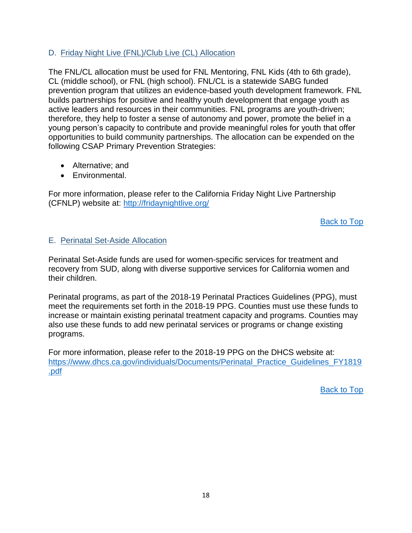#### <span id="page-22-0"></span>D. Friday Night Live (FNL)/Club Live (CL) Allocation

The FNL/CL allocation must be used for FNL Mentoring, FNL Kids (4th to 6th grade), CL (middle school), or FNL (high school). FNL/CL is a statewide SABG funded prevention program that utilizes an evidence-based youth development framework. FNL builds partnerships for positive and healthy youth development that engage youth as active leaders and resources in their communities. FNL programs are youth-driven; therefore, they help to foster a sense of autonomy and power, promote the belief in a young person's capacity to contribute and provide meaningful roles for youth that offer opportunities to build community partnerships. The allocation can be expended on the following CSAP Primary Prevention Strategies:

- Alternative: and
- Environmental.

For more information, please refer to the California Friday Night Live Partnership (CFNLP) website at:<http://fridaynightlive.org/>

[Back to Top](#page-2-0)

#### <span id="page-22-1"></span>E. Perinatal Set-Aside Allocation

Perinatal Set-Aside funds are used for women-specific services for treatment and recovery from SUD, along with diverse supportive services for California women and their children.

Perinatal programs, as part of the 2018-19 Perinatal Practices Guidelines (PPG), must meet the requirements set forth in the 2018-19 PPG. Counties must use these funds to increase or maintain existing perinatal treatment capacity and programs. Counties may also use these funds to add new perinatal services or programs or change existing programs.

For more information, please refer to the 2018-19 PPG on the DHCS website at: [https://www.dhcs.ca.gov/individuals/Documents/Perinatal\\_Practice\\_Guidelines\\_FY1819](https://www.dhcs.ca.gov/individuals/Documents/Perinatal_Practice_Guidelines_FY1819.pdf) [.pdf](https://www.dhcs.ca.gov/individuals/Documents/Perinatal_Practice_Guidelines_FY1819.pdf)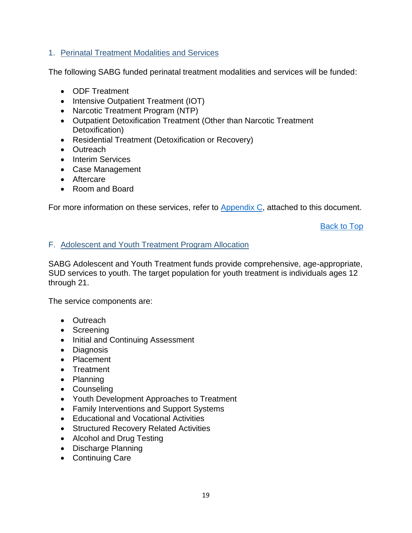#### <span id="page-23-0"></span>1. Perinatal Treatment Modalities and Services

The following SABG funded perinatal treatment modalities and services will be funded:

- ODF Treatment
- Intensive Outpatient Treatment (IOT)
- Narcotic Treatment Program (NTP)
- Outpatient Detoxification Treatment (Other than Narcotic Treatment Detoxification)
- Residential Treatment (Detoxification or Recovery)
- Outreach
- Interim Services
- Case Management
- Aftercare
- Room and Board

For more information on these services, refer to [Appendix C,](#page-33-0) attached to this document.

[Back to Top](#page-2-0)

#### <span id="page-23-1"></span>F. Adolescent and Youth Treatment Program Allocation

SABG Adolescent and Youth Treatment funds provide comprehensive, age-appropriate, SUD services to youth. The target population for youth treatment is individuals ages 12 through 21.

The service components are:

- Outreach
- Screening
- Initial and Continuing Assessment
- Diagnosis
- Placement
- Treatment
- Planning
- Counseling
- Youth Development Approaches to Treatment
- Family Interventions and Support Systems
- Educational and Vocational Activities
- Structured Recovery Related Activities
- Alcohol and Drug Testing
- Discharge Planning
- Continuing Care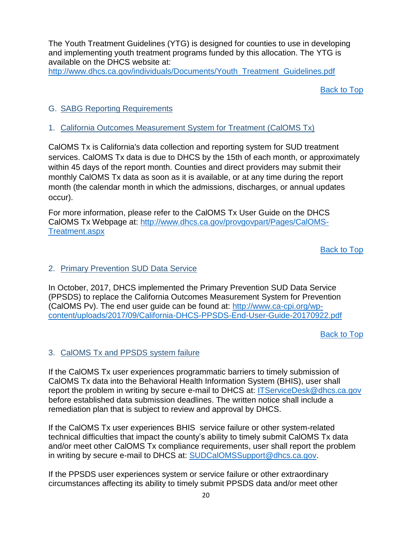The Youth Treatment Guidelines (YTG) is designed for counties to use in developing and implementing youth treatment programs funded by this allocation. The YTG is available on the DHCS website at:

[http://www.dhcs.ca.gov/individuals/Documents/Youth\\_Treatment\\_Guidelines.pdf](http://www.dhcs.ca.gov/individuals/Documents/Youth_Treatment_Guidelines.pdf)

[Back to Top](#page-2-0)

#### <span id="page-24-0"></span>G. SABG Reporting Requirements

#### <span id="page-24-1"></span>1. California Outcomes Measurement System for Treatment (CalOMS Tx)

CalOMS Tx is California's data collection and reporting system for SUD treatment services. CalOMS Tx data is due to DHCS by the 15th of each month, or approximately within 45 days of the report month. Counties and direct providers may submit their monthly CalOMS Tx data as soon as it is available, or at any time during the report month (the calendar month in which the admissions, discharges, or annual updates occur).

For more information, please refer to the CalOMS Tx User Guide on the DHCS CalOMS Tx Webpage at: [http://www.dhcs.ca.gov/provgovpart/Pages/CalOMS-](http://www.dhcs.ca.gov/provgovpart/Pages/CalOMS-Treatment.aspx)[Treatment.aspx](http://www.dhcs.ca.gov/provgovpart/Pages/CalOMS-Treatment.aspx)

[Back to Top](#page-2-0)

#### <span id="page-24-2"></span>2. Primary Prevention SUD Data Service

In October, 2017, DHCS implemented the Primary Prevention SUD Data Service (PPSDS) to replace the California Outcomes Measurement System for Prevention (CalOMS Pv). The end user guide can be found at: [http://www.ca-cpi.org/wp](http://www.ca-cpi.org/wp-content/uploads/2017/09/California-DHCS-PPSDS-End-User-Guide-20170922.pdf)[content/uploads/2017/09/California-DHCS-PPSDS-End-User-Guide-20170922.pdf](http://www.ca-cpi.org/wp-content/uploads/2017/09/California-DHCS-PPSDS-End-User-Guide-20170922.pdf)

[Back to Top](#page-2-0)

#### <span id="page-24-3"></span>3. CalOMS Tx and PPSDS system failure

If the CalOMS Tx user experiences programmatic barriers to timely submission of CalOMS Tx data into the Behavioral Health Information System (BHIS), user shall report the problem in writing by secure e-mail to DHCS at: [ITServiceDesk@dhcs.ca.gov](mailto:ITServiceDesk@dhcs.ca.gov) before established data submission deadlines. The written notice shall include a remediation plan that is subject to review and approval by DHCS.

If the CalOMS Tx user experiences BHIS service failure or other system-related technical difficulties that impact the county's ability to timely submit CalOMS Tx data and/or meet other CalOMS Tx compliance requirements, user shall report the problem in writing by secure e-mail to DHCS at: [SUDCalOMSSupport@dhcs.ca.gov.](mailto:SUDCalOMSSupport@dhcs.ca.gov)

If the PPSDS user experiences system or service failure or other extraordinary circumstances affecting its ability to timely submit PPSDS data and/or meet other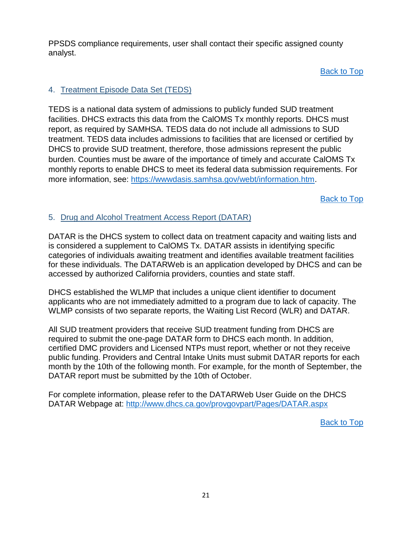PPSDS compliance requirements, user shall contact their specific assigned county analyst.

[Back to Top](#page-2-0)

#### <span id="page-25-0"></span>4. Treatment Episode Data Set (TEDS)

TEDS is a national data system of admissions to publicly funded SUD treatment facilities. DHCS extracts this data from the CalOMS Tx monthly reports. DHCS must report, as required by SAMHSA. TEDS data do not include all admissions to SUD treatment. TEDS data includes admissions to facilities that are licensed or certified by DHCS to provide SUD treatment, therefore, those admissions represent the public burden. Counties must be aware of the importance of timely and accurate CalOMS Tx monthly reports to enable DHCS to meet its federal data submission requirements. For more information, see: [https://wwwdasis.samhsa.gov/webt/information.htm.](https://wwwdasis.samhsa.gov/webt/information.htm)

[Back to Top](#page-2-0)

#### <span id="page-25-1"></span>5. Drug and Alcohol Treatment Access Report (DATAR)

DATAR is the DHCS system to collect data on treatment capacity and waiting lists and is considered a supplement to CalOMS Tx. DATAR assists in identifying specific categories of individuals awaiting treatment and identifies available treatment facilities for these individuals. The DATARWeb is an application developed by DHCS and can be accessed by authorized California providers, counties and state staff.

DHCS established the WLMP that includes a unique client identifier to document applicants who are not immediately admitted to a program due to lack of capacity. The WLMP consists of two separate reports, the Waiting List Record (WLR) and DATAR.

All SUD treatment providers that receive SUD treatment funding from DHCS are required to submit the one-page DATAR form to DHCS each month. In addition, certified DMC providers and Licensed NTPs must report, whether or not they receive public funding. Providers and Central Intake Units must submit DATAR reports for each month by the 10th of the following month. For example, for the month of September, the DATAR report must be submitted by the 10th of October.

For complete information, please refer to the DATARWeb User Guide on the DHCS DATAR Webpage at:<http://www.dhcs.ca.gov/provgovpart/Pages/DATAR.aspx>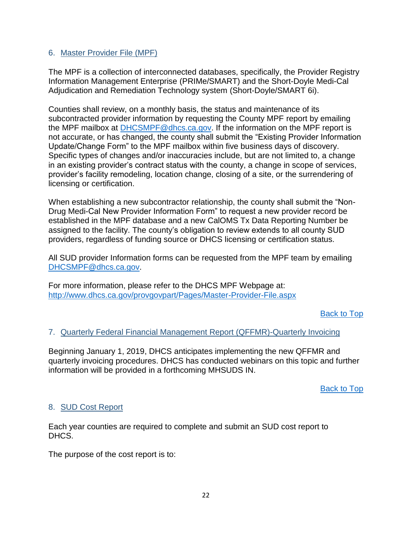#### <span id="page-26-0"></span>6. Master Provider File (MPF)

The MPF is a collection of interconnected databases, specifically, the Provider Registry Information Management Enterprise (PRIMe/SMART) and the Short-Doyle Medi-Cal Adjudication and Remediation Technology system (Short-Doyle/SMART 6i).

Counties shall review, on a monthly basis, the status and maintenance of its subcontracted provider information by requesting the County MPF report by emailing the MPF mailbox at [DHCSMPF@dhcs.ca.gov.](mailto:DHCSMPF@dhcs.ca.gov) If the information on the MPF report is not accurate, or has changed, the county shall submit the "Existing Provider Information Update/Change Form" to the MPF mailbox within five business days of discovery. Specific types of changes and/or inaccuracies include, but are not limited to, a change in an existing provider's contract status with the county, a change in scope of services, provider's facility remodeling, location change, closing of a site, or the surrendering of licensing or certification.

When establishing a new subcontractor relationship, the county shall submit the "Non-Drug Medi-Cal New Provider Information Form" to request a new provider record be established in the MPF database and a new CalOMS Tx Data Reporting Number be assigned to the facility. The county's obligation to review extends to all county SUD providers, regardless of funding source or DHCS licensing or certification status.

All SUD provider Information forms can be requested from the MPF team by emailing [DHCSMPF@dhcs.ca.gov.](mailto:DHCSMPF@dhcs.ca.gov)

For more information, please refer to the DHCS MPF Webpage at: <http://www.dhcs.ca.gov/provgovpart/Pages/Master-Provider-File.aspx>

[Back to Top](#page-2-0)

#### <span id="page-26-1"></span>7. Quarterly Federal Financial Management Report (QFFMR)-Quarterly Invoicing

Beginning January 1, 2019, DHCS anticipates implementing the new QFFMR and quarterly invoicing procedures. DHCS has conducted webinars on this topic and further information will be provided in a forthcoming MHSUDS IN.

[Back to Top](#page-2-0)

#### <span id="page-26-2"></span>8. SUD Cost Report

Each year counties are required to complete and submit an SUD cost report to DHCS.

The purpose of the cost report is to: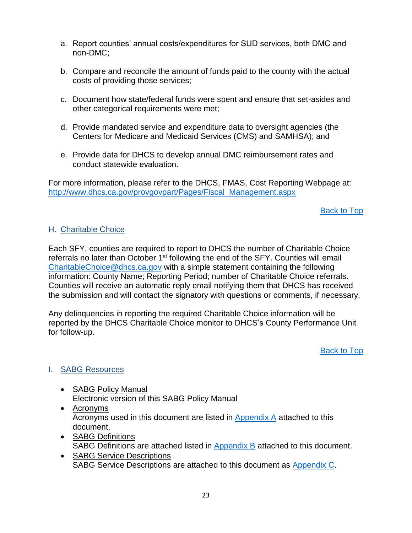- a. Report counties' annual costs/expenditures for SUD services, both DMC and non-DMC;
- b. Compare and reconcile the amount of funds paid to the county with the actual costs of providing those services;
- c. Document how state/federal funds were spent and ensure that set-asides and other categorical requirements were met;
- d. Provide mandated service and expenditure data to oversight agencies (the Centers for Medicare and Medicaid Services (CMS) and SAMHSA); and
- e. Provide data for DHCS to develop annual DMC reimbursement rates and conduct statewide evaluation.

For more information, please refer to the DHCS, FMAS, Cost Reporting Webpage at: [http://www.dhcs.ca.gov/provgovpart/Pages/Fiscal\\_Management.aspx](http://www.dhcs.ca.gov/provgovpart/Pages/Fiscal_Management.aspx)

[Back to Top](#page-2-0)

#### <span id="page-27-0"></span>H. Charitable Choice

Each SFY, counties are required to report to DHCS the number of Charitable Choice referrals no later than October  $1<sup>st</sup>$  following the end of the SFY. Counties will email [CharitableChoice@dhcs.ca.gov](mailto:CharitableChoice@dhcs.ca.gov) with a simple statement containing the following information: County Name; Reporting Period; number of Charitable Choice referrals. Counties will receive an automatic reply email notifying them that DHCS has received the submission and will contact the signatory with questions or comments, if necessary.

Any delinquencies in reporting the required Charitable Choice information will be reported by the DHCS Charitable Choice monitor to DHCS's County Performance Unit for follow-up.

[Back to Top](#page-2-0)

#### <span id="page-27-1"></span>I. SABG Resources

- **SABG Policy Manual** Electronic version of this SABG Policy Manual
- Acronyms Acronyms used in this document are listed in [Appendix A](#page-29-0) attached to this document.
- **SABG Definitions** SABG Definitions are attached listed in [Appendix B](#page-31-0) attached to this document.
- SABG Service Descriptions SABG Service Descriptions are attached to this document as [Appendix C.](#page-33-0)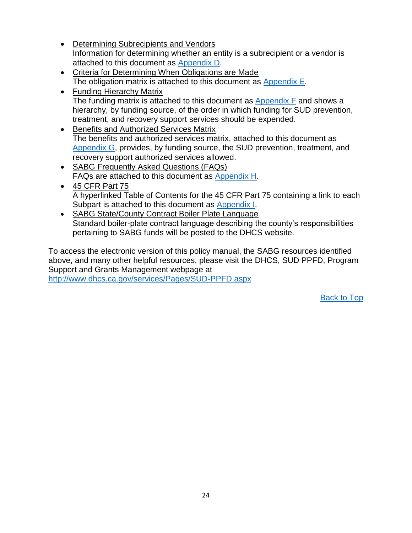- Determining Subrecipients and Vendors Information for determining whether an entity is a subrecipient or a vendor is attached to this document as [Appendix D.](#page-42-0)
- Criteria for Determining When Obligations are Made The obligation matrix is attached to this document as [Appendix E.](#page-43-0)
- Funding Hierarchy Matrix The funding matrix is attached to this document as [Appendix F](#page-45-0) and shows a hierarchy, by funding source, of the order in which funding for SUD prevention, treatment, and recovery support services should be expended.
- Benefits and Authorized Services Matrix The benefits and authorized services matrix, attached to this document as [Appendix G,](#page-47-0) provides, by funding source, the SUD prevention, treatment, and recovery support authorized services allowed.
- SABG Frequently Asked Questions (FAQs) FAQs are attached to this document as [Appendix H.](#page-48-0)
- 45 CFR Part 75 A hyperlinked Table of Contents for the 45 CFR Part 75 containing a link to each Subpart is attached to this document as [Appendix I.](#page-2-0)
- SABG State/County Contract Boiler Plate Language Standard boiler-plate contract language describing the county's responsibilities pertaining to SABG funds will be posted to the DHCS website.

To access the electronic version of this policy manual, the SABG resources identified above, and many other helpful resources, please visit the DHCS, SUD PPFD, Program Support and Grants Management webpage at <http://www.dhcs.ca.gov/services/Pages/SUD-PPFD.aspx>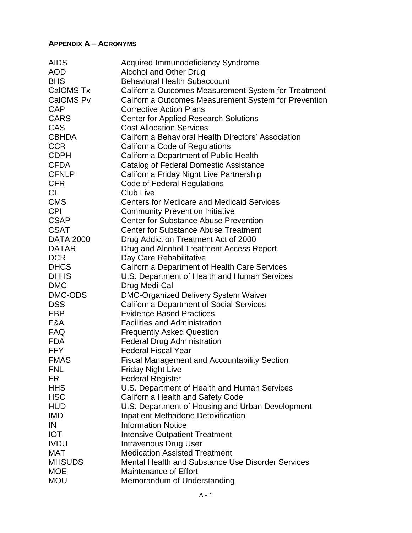#### <span id="page-29-0"></span>**APPENDIX A – ACRONYMS**

| <b>AIDS</b>      | <b>Acquired Immunodeficiency Syndrome</b>             |
|------------------|-------------------------------------------------------|
| <b>AOD</b>       | <b>Alcohol and Other Drug</b>                         |
| <b>BHS</b>       | <b>Behavioral Health Subaccount</b>                   |
| CalOMS Tx        | California Outcomes Measurement System for Treatment  |
| CalOMS Pv        | California Outcomes Measurement System for Prevention |
| <b>CAP</b>       | <b>Corrective Action Plans</b>                        |
| <b>CARS</b>      | <b>Center for Applied Research Solutions</b>          |
| CAS              | <b>Cost Allocation Services</b>                       |
| <b>CBHDA</b>     | California Behavioral Health Directors' Association   |
| <b>CCR</b>       | California Code of Regulations                        |
| <b>CDPH</b>      | California Department of Public Health                |
| <b>CFDA</b>      | Catalog of Federal Domestic Assistance                |
| <b>CFNLP</b>     | California Friday Night Live Partnership              |
| <b>CFR</b>       | <b>Code of Federal Regulations</b>                    |
| CL               | <b>Club Live</b>                                      |
| <b>CMS</b>       | <b>Centers for Medicare and Medicaid Services</b>     |
| <b>CPI</b>       | <b>Community Prevention Initiative</b>                |
| <b>CSAP</b>      | <b>Center for Substance Abuse Prevention</b>          |
| <b>CSAT</b>      | <b>Center for Substance Abuse Treatment</b>           |
| <b>DATA 2000</b> | Drug Addiction Treatment Act of 2000                  |
| <b>DATAR</b>     | Drug and Alcohol Treatment Access Report              |
| <b>DCR</b>       | Day Care Rehabilitative                               |
| <b>DHCS</b>      | California Department of Health Care Services         |
| <b>DHHS</b>      | U.S. Department of Health and Human Services          |
| <b>DMC</b>       | Drug Medi-Cal                                         |
| DMC-ODS          | <b>DMC-Organized Delivery System Waiver</b>           |
| <b>DSS</b>       | <b>California Department of Social Services</b>       |
| EBP              | <b>Evidence Based Practices</b>                       |
| F&A              | <b>Facilities and Administration</b>                  |
| <b>FAQ</b>       | <b>Frequently Asked Question</b>                      |
| <b>FDA</b>       | <b>Federal Drug Administration</b>                    |
| <b>FFY</b>       | <b>Federal Fiscal Year</b>                            |
| <b>FMAS</b>      | <b>Fiscal Management and Accountability Section</b>   |
| <b>FNL</b>       | <b>Friday Night Live</b>                              |
| FR.              | <b>Federal Register</b>                               |
| <b>HHS</b>       | U.S. Department of Health and Human Services          |
| <b>HSC</b>       | California Health and Safety Code                     |
| <b>HUD</b>       | U.S. Department of Housing and Urban Development      |
| <b>IMD</b>       | <b>Inpatient Methadone Detoxification</b>             |
| IN               | <b>Information Notice</b>                             |
| <b>IOT</b>       | <b>Intensive Outpatient Treatment</b>                 |
| <b>IVDU</b>      | <b>Intravenous Drug User</b>                          |
| MAT              | <b>Medication Assisted Treatment</b>                  |
| <b>MHSUDS</b>    | Mental Health and Substance Use Disorder Services     |
| <b>MOE</b>       | Maintenance of Effort                                 |
| <b>MOU</b>       | Memorandum of Understanding                           |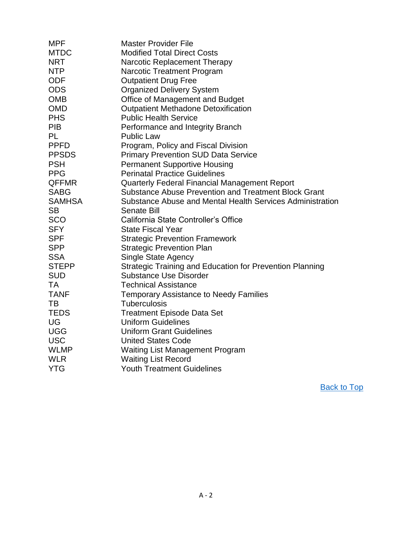| <b>MPF</b>    | <b>Master Provider File</b>                                 |
|---------------|-------------------------------------------------------------|
| <b>MTDC</b>   | <b>Modified Total Direct Costs</b>                          |
| <b>NRT</b>    | Narcotic Replacement Therapy                                |
| <b>NTP</b>    | <b>Narcotic Treatment Program</b>                           |
| <b>ODF</b>    | <b>Outpatient Drug Free</b>                                 |
| <b>ODS</b>    | <b>Organized Delivery System</b>                            |
| <b>OMB</b>    | Office of Management and Budget                             |
| <b>OMD</b>    | <b>Outpatient Methadone Detoxification</b>                  |
| <b>PHS</b>    | <b>Public Health Service</b>                                |
| <b>PIB</b>    | Performance and Integrity Branch                            |
| <b>PL</b>     | <b>Public Law</b>                                           |
| <b>PPFD</b>   | Program, Policy and Fiscal Division                         |
| <b>PPSDS</b>  | <b>Primary Prevention SUD Data Service</b>                  |
| <b>PSH</b>    | <b>Permanent Supportive Housing</b>                         |
| <b>PPG</b>    | <b>Perinatal Practice Guidelines</b>                        |
| <b>QFFMR</b>  | <b>Quarterly Federal Financial Management Report</b>        |
| <b>SABG</b>   | <b>Substance Abuse Prevention and Treatment Block Grant</b> |
| <b>SAMHSA</b> | Substance Abuse and Mental Health Services Administration   |
| <b>SB</b>     | <b>Senate Bill</b>                                          |
| <b>SCO</b>    | California State Controller's Office                        |
| <b>SFY</b>    | <b>State Fiscal Year</b>                                    |
| <b>SPF</b>    | <b>Strategic Prevention Framework</b>                       |
| <b>SPP</b>    | <b>Strategic Prevention Plan</b>                            |
| <b>SSA</b>    | <b>Single State Agency</b>                                  |
| <b>STEPP</b>  | Strategic Training and Education for Prevention Planning    |
| <b>SUD</b>    | <b>Substance Use Disorder</b>                               |
| <b>TA</b>     | <b>Technical Assistance</b>                                 |
| <b>TANF</b>   | <b>Temporary Assistance to Needy Families</b>               |
| TB            | <b>Tuberculosis</b>                                         |
| <b>TEDS</b>   | <b>Treatment Episode Data Set</b>                           |
| UG            | <b>Uniform Guidelines</b>                                   |
| <b>UGG</b>    | <b>Uniform Grant Guidelines</b>                             |
| <b>USC</b>    | <b>United States Code</b>                                   |
| <b>WLMP</b>   | <b>Waiting List Management Program</b>                      |
| <b>WLR</b>    | <b>Waiting List Record</b>                                  |
| <b>YTG</b>    | <b>Youth Treatment Guidelines</b>                           |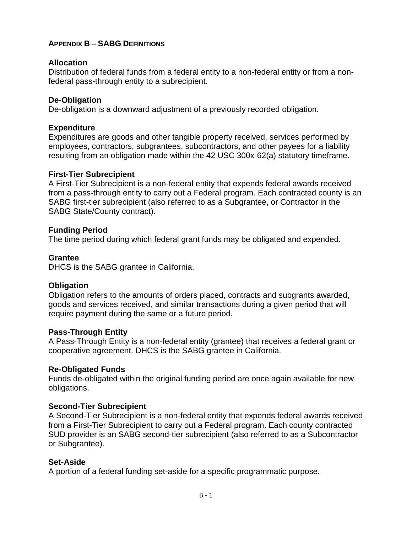#### <span id="page-31-0"></span>**APPENDIX B – SABG DEFINITIONS**

#### **Allocation**

Distribution of federal funds from a federal entity to a non-federal entity or from a nonfederal pass-through entity to a subrecipient.

#### **De-Obligation**

De-obligation is a downward adjustment of a previously recorded obligation.

#### **Expenditure**

Expenditures are goods and other tangible property received, services performed by employees, contractors, subgrantees, subcontractors, and other payees for a liability resulting from an obligation made within the 42 USC 300x-62(a) statutory timeframe.

#### **First-Tier Subrecipient**

A First-Tier Subrecipient is a non-federal entity that expends federal awards received from a pass-through entity to carry out a Federal program. Each contracted county is an SABG first-tier subrecipient (also referred to as a Subgrantee, or Contractor in the SABG State/County contract).

#### **Funding Period**

The time period during which federal grant funds may be obligated and expended.

#### **Grantee**

DHCS is the SABG grantee in California.

#### **Obligation**

Obligation refers to the amounts of orders placed, contracts and subgrants awarded, goods and services received, and similar transactions during a given period that will require payment during the same or a future period.

#### **Pass-Through Entity**

A Pass-Through Entity is a non-federal entity (grantee) that receives a federal grant or cooperative agreement. DHCS is the SABG grantee in California.

#### **Re-Obligated Funds**

Funds de-obligated within the original funding period are once again available for new obligations.

#### **Second-Tier Subrecipient**

A Second-Tier Subrecipient is a non-federal entity that expends federal awards received from a First-Tier Subrecipient to carry out a Federal program. Each county contracted SUD provider is an SABG second-tier subrecipient (also referred to as a Subcontractor or Subgrantee).

#### **Set-Aside**

A portion of a federal funding set-aside for a specific programmatic purpose.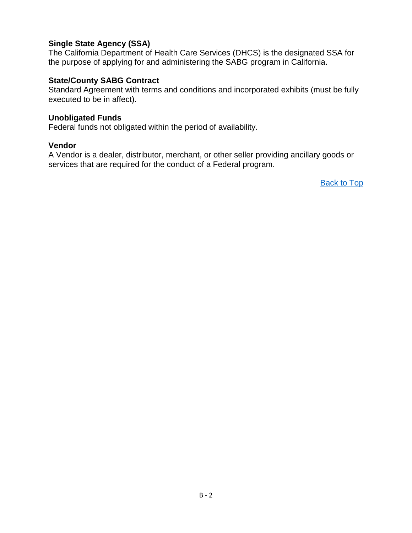#### **Single State Agency (SSA)**

The California Department of Health Care Services (DHCS) is the designated SSA for the purpose of applying for and administering the SABG program in California.

#### **State/County SABG Contract**

Standard Agreement with terms and conditions and incorporated exhibits (must be fully executed to be in affect).

#### **Unobligated Funds**

Federal funds not obligated within the period of availability.

#### **Vendor**

A Vendor is a dealer, distributor, merchant, or other seller providing ancillary goods or services that are required for the conduct of a Federal program.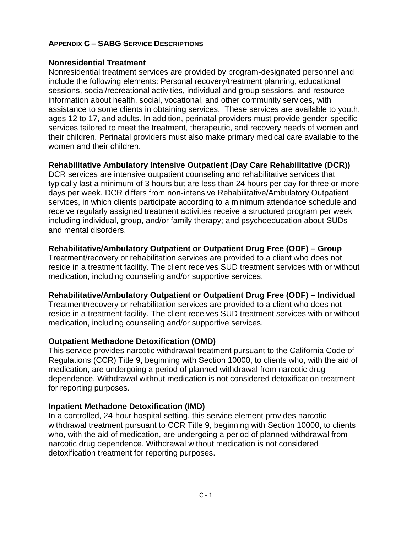#### <span id="page-33-0"></span>**APPENDIX C – SABG SERVICE DESCRIPTIONS**

#### **Nonresidential Treatment**

Nonresidential treatment services are provided by program-designated personnel and include the following elements: Personal recovery/treatment planning, educational sessions, social/recreational activities, individual and group sessions, and resource information about health, social, vocational, and other community services, with assistance to some clients in obtaining services. These services are available to youth, ages 12 to 17, and adults. In addition, perinatal providers must provide gender-specific services tailored to meet the treatment, therapeutic, and recovery needs of women and their children. Perinatal providers must also make primary medical care available to the women and their children.

#### **Rehabilitative Ambulatory Intensive Outpatient (Day Care Rehabilitative (DCR))**

DCR services are intensive outpatient counseling and rehabilitative services that typically last a minimum of 3 hours but are less than 24 hours per day for three or more days per week. DCR differs from non-intensive Rehabilitative/Ambulatory Outpatient services, in which clients participate according to a minimum attendance schedule and receive regularly assigned treatment activities receive a structured program per week including individual, group, and/or family therapy; and psychoeducation about SUDs and mental disorders.

#### **Rehabilitative/Ambulatory Outpatient or Outpatient Drug Free (ODF) – Group**

Treatment/recovery or rehabilitation services are provided to a client who does not reside in a treatment facility. The client receives SUD treatment services with or without medication, including counseling and/or supportive services.

#### **Rehabilitative/Ambulatory Outpatient or Outpatient Drug Free (ODF) – Individual**

Treatment/recovery or rehabilitation services are provided to a client who does not reside in a treatment facility. The client receives SUD treatment services with or without medication, including counseling and/or supportive services.

#### **Outpatient Methadone Detoxification (OMD)**

This service provides narcotic withdrawal treatment pursuant to the California Code of Regulations (CCR) Title 9, beginning with Section 10000, to clients who, with the aid of medication, are undergoing a period of planned withdrawal from narcotic drug dependence. Withdrawal without medication is not considered detoxification treatment for reporting purposes.

#### **Inpatient Methadone Detoxification (IMD)**

In a controlled, 24-hour hospital setting, this service element provides narcotic withdrawal treatment pursuant to CCR Title 9, beginning with Section 10000, to clients who, with the aid of medication, are undergoing a period of planned withdrawal from narcotic drug dependence. Withdrawal without medication is not considered detoxification treatment for reporting purposes.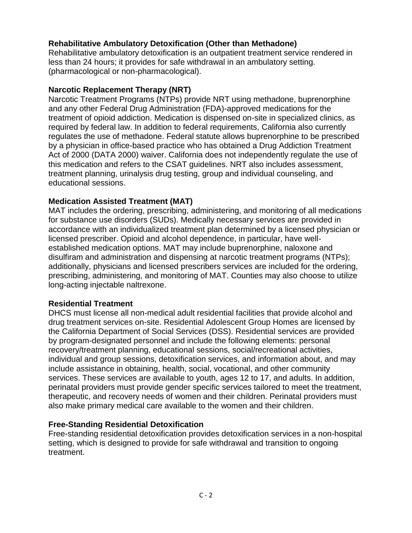#### **Rehabilitative Ambulatory Detoxification (Other than Methadone)**

Rehabilitative ambulatory detoxification is an outpatient treatment service rendered in less than 24 hours; it provides for safe withdrawal in an ambulatory setting. (pharmacological or non-pharmacological).

#### **Narcotic Replacement Therapy (NRT)**

Narcotic Treatment Programs (NTPs) provide NRT using methadone, buprenorphine and any other Federal Drug Administration (FDA)-approved medications for the treatment of opioid addiction. Medication is dispensed on-site in specialized clinics, as required by federal law. In addition to federal requirements, California also currently regulates the use of methadone. Federal statute allows buprenorphine to be prescribed by a physician in office-based practice who has obtained a Drug Addiction Treatment Act of 2000 (DATA 2000) waiver. California does not independently regulate the use of this medication and refers to the CSAT guidelines. NRT also includes assessment, treatment planning, urinalysis drug testing, group and individual counseling, and educational sessions.

#### **Medication Assisted Treatment (MAT)**

MAT includes the ordering, prescribing, administering, and monitoring of all medications for substance use disorders (SUDs). Medically necessary services are provided in accordance with an individualized treatment plan determined by a licensed physician or licensed prescriber. Opioid and alcohol dependence, in particular, have wellestablished medication options. MAT may include buprenorphine, naloxone and disulfiram and administration and dispensing at narcotic treatment programs (NTPs); additionally, physicians and licensed prescribers services are included for the ordering, prescribing, administering, and monitoring of MAT. Counties may also choose to utilize long-acting injectable naltrexone.

#### **Residential Treatment**

DHCS must license all non-medical adult residential facilities that provide alcohol and drug treatment services on-site. Residential Adolescent Group Homes are licensed by the California Department of Social Services (DSS). Residential services are provided by program-designated personnel and include the following elements: personal recovery/treatment planning, educational sessions, social/recreational activities, individual and group sessions, detoxification services, and information about, and may include assistance in obtaining, health, social, vocational, and other community services. These services are available to youth, ages 12 to 17, and adults. In addition, perinatal providers must provide gender specific services tailored to meet the treatment, therapeutic, and recovery needs of women and their children. Perinatal providers must also make primary medical care available to the women and their children.

#### **Free-Standing Residential Detoxification**

Free-standing residential detoxification provides detoxification services in a non-hospital setting, which is designed to provide for safe withdrawal and transition to ongoing treatment.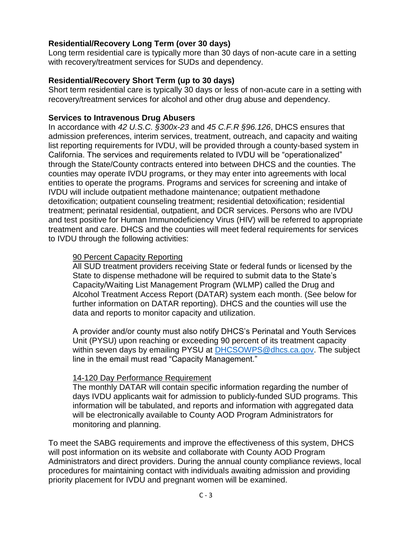#### **Residential/Recovery Long Term (over 30 days)**

Long term residential care is typically more than 30 days of non-acute care in a setting with recovery/treatment services for SUDs and dependency.

#### **Residential/Recovery Short Term (up to 30 days)**

Short term residential care is typically 30 days or less of non-acute care in a setting with recovery/treatment services for alcohol and other drug abuse and dependency.

#### **Services to Intravenous Drug Abusers**

In accordance with *42 U.S.C. §300x-23* and *45 C.F.R §96.126*, DHCS ensures that admission preferences, interim services, treatment, outreach, and capacity and waiting list reporting requirements for IVDU, will be provided through a county-based system in California. The services and requirements related to IVDU will be "operationalized" through the State/County contracts entered into between DHCS and the counties. The counties may operate IVDU programs, or they may enter into agreements with local entities to operate the programs. Programs and services for screening and intake of IVDU will include outpatient methadone maintenance; outpatient methadone detoxification; outpatient counseling treatment; residential detoxification; residential treatment; perinatal residential, outpatient, and DCR services. Persons who are IVDU and test positive for Human Immunodeficiency Virus (HIV) will be referred to appropriate treatment and care. DHCS and the counties will meet federal requirements for services to IVDU through the following activities:

#### 90 Percent Capacity Reporting

All SUD treatment providers receiving State or federal funds or licensed by the State to dispense methadone will be required to submit data to the State's Capacity/Waiting List Management Program (WLMP) called the Drug and Alcohol Treatment Access Report (DATAR) system each month. (See below for further information on DATAR reporting). DHCS and the counties will use the data and reports to monitor capacity and utilization.

A provider and/or county must also notify DHCS's Perinatal and Youth Services Unit (PYSU) upon reaching or exceeding 90 percent of its treatment capacity within seven days by emailing PYSU at [DHCSOWPS@dhcs.ca.gov.](mailto:DHCSOWPS@dhcs.ca.gov) The subject line in the email must read "Capacity Management."

#### 14-120 Day Performance Requirement

The monthly DATAR will contain specific information regarding the number of days IVDU applicants wait for admission to publicly-funded SUD programs. This information will be tabulated, and reports and information with aggregated data will be electronically available to County AOD Program Administrators for monitoring and planning.

To meet the SABG requirements and improve the effectiveness of this system, DHCS will post information on its website and collaborate with County AOD Program Administrators and direct providers. During the annual county compliance reviews, local procedures for maintaining contact with individuals awaiting admission and providing priority placement for IVDU and pregnant women will be examined.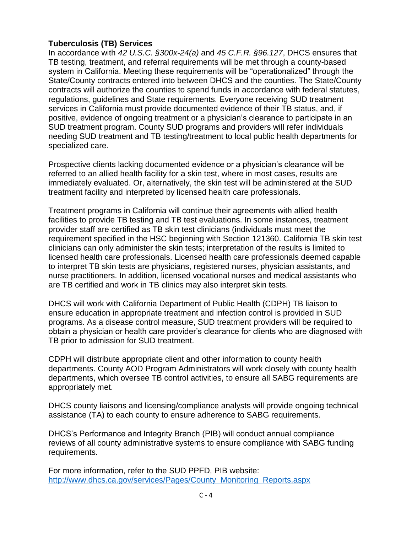#### **Tuberculosis (TB) Services**

In accordance with *42 U.S.C. §300x-24(a)* and *45 C.F.R. §96.127*, DHCS ensures that TB testing, treatment, and referral requirements will be met through a county-based system in California. Meeting these requirements will be "operationalized" through the State/County contracts entered into between DHCS and the counties. The State/County contracts will authorize the counties to spend funds in accordance with federal statutes, regulations, guidelines and State requirements. Everyone receiving SUD treatment services in California must provide documented evidence of their TB status, and, if positive, evidence of ongoing treatment or a physician's clearance to participate in an SUD treatment program. County SUD programs and providers will refer individuals needing SUD treatment and TB testing/treatment to local public health departments for specialized care.

Prospective clients lacking documented evidence or a physician's clearance will be referred to an allied health facility for a skin test, where in most cases, results are immediately evaluated. Or, alternatively, the skin test will be administered at the SUD treatment facility and interpreted by licensed health care professionals.

Treatment programs in California will continue their agreements with allied health facilities to provide TB testing and TB test evaluations. In some instances, treatment provider staff are certified as TB skin test clinicians (individuals must meet the requirement specified in the HSC beginning with Section 121360. California TB skin test clinicians can only administer the skin tests; interpretation of the results is limited to licensed health care professionals. Licensed health care professionals deemed capable to interpret TB skin tests are physicians, registered nurses, physician assistants, and nurse practitioners. In addition, licensed vocational nurses and medical assistants who are TB certified and work in TB clinics may also interpret skin tests.

DHCS will work with California Department of Public Health (CDPH) TB liaison to ensure education in appropriate treatment and infection control is provided in SUD programs. As a disease control measure, SUD treatment providers will be required to obtain a physician or health care provider's clearance for clients who are diagnosed with TB prior to admission for SUD treatment.

CDPH will distribute appropriate client and other information to county health departments. County AOD Program Administrators will work closely with county health departments, which oversee TB control activities, to ensure all SABG requirements are appropriately met.

DHCS county liaisons and licensing/compliance analysts will provide ongoing technical assistance (TA) to each county to ensure adherence to SABG requirements.

DHCS's Performance and Integrity Branch (PIB) will conduct annual compliance reviews of all county administrative systems to ensure compliance with SABG funding requirements.

For more information, refer to the SUD PPFD, PIB website: [http://www.dhcs.ca.gov/services/Pages/County\\_Monitoring\\_Reports.aspx](http://www.dhcs.ca.gov/services/Pages/County_Monitoring_Reports.aspx)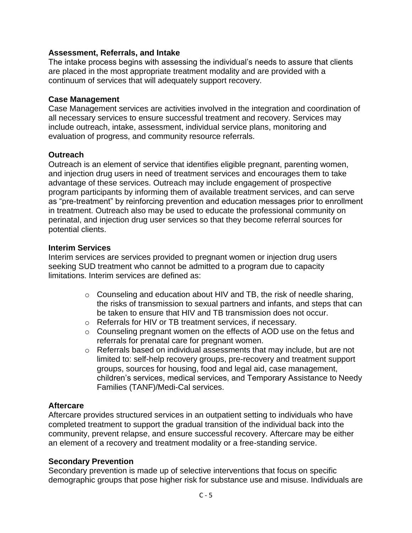#### **Assessment, Referrals, and Intake**

The intake process begins with assessing the individual's needs to assure that clients are placed in the most appropriate treatment modality and are provided with a continuum of services that will adequately support recovery.

#### **Case Management**

Case Management services are activities involved in the integration and coordination of all necessary services to ensure successful treatment and recovery. Services may include outreach, intake, assessment, individual service plans, monitoring and evaluation of progress, and community resource referrals.

#### **Outreach**

Outreach is an element of service that identifies eligible pregnant, parenting women, and injection drug users in need of treatment services and encourages them to take advantage of these services. Outreach may include engagement of prospective program participants by informing them of available treatment services, and can serve as "pre-treatment" by reinforcing prevention and education messages prior to enrollment in treatment. Outreach also may be used to educate the professional community on perinatal, and injection drug user services so that they become referral sources for potential clients.

#### **Interim Services**

Interim services are services provided to pregnant women or injection drug users seeking SUD treatment who cannot be admitted to a program due to capacity limitations. Interim services are defined as:

- o Counseling and education about HIV and TB, the risk of needle sharing, the risks of transmission to sexual partners and infants, and steps that can be taken to ensure that HIV and TB transmission does not occur.
- o Referrals for HIV or TB treatment services, if necessary.
- o Counseling pregnant women on the effects of AOD use on the fetus and referrals for prenatal care for pregnant women.
- o Referrals based on individual assessments that may include, but are not limited to: self-help recovery groups, pre-recovery and treatment support groups, sources for housing, food and legal aid, case management, children's services, medical services, and Temporary Assistance to Needy Families (TANF)/Medi-Cal services.

#### **Aftercare**

Aftercare provides structured services in an outpatient setting to individuals who have completed treatment to support the gradual transition of the individual back into the community, prevent relapse, and ensure successful recovery. Aftercare may be either an element of a recovery and treatment modality or a free-standing service.

#### **Secondary Prevention**

Secondary prevention is made up of selective interventions that focus on specific demographic groups that pose higher risk for substance use and misuse. Individuals are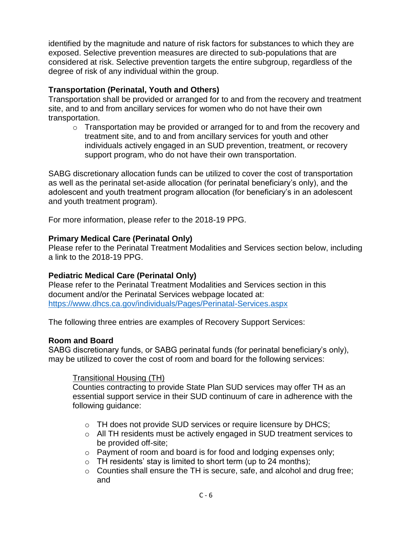identified by the magnitude and nature of risk factors for substances to which they are exposed. Selective prevention measures are directed to sub-populations that are considered at risk. Selective prevention targets the entire subgroup, regardless of the degree of risk of any individual within the group.

### **Transportation (Perinatal, Youth and Others)**

Transportation shall be provided or arranged for to and from the recovery and treatment site, and to and from ancillary services for women who do not have their own transportation.

 $\circ$  Transportation may be provided or arranged for to and from the recovery and treatment site, and to and from ancillary services for youth and other individuals actively engaged in an SUD prevention, treatment, or recovery support program, who do not have their own transportation.

SABG discretionary allocation funds can be utilized to cover the cost of transportation as well as the perinatal set-aside allocation (for perinatal beneficiary's only), and the adolescent and youth treatment program allocation (for beneficiary's in an adolescent and youth treatment program).

For more information, please refer to the 2018-19 PPG.

### **Primary Medical Care (Perinatal Only)**

Please refer to the Perinatal Treatment Modalities and Services section below, including a link to the 2018-19 PPG.

# **Pediatric Medical Care (Perinatal Only)**

Please refer to the Perinatal Treatment Modalities and Services section in this document and/or the Perinatal Services webpage located at: <https://www.dhcs.ca.gov/individuals/Pages/Perinatal-Services.aspx>

The following three entries are examples of Recovery Support Services:

### **Room and Board**

SABG discretionary funds, or SABG perinatal funds (for perinatal beneficiary's only), may be utilized to cover the cost of room and board for the following services:

### Transitional Housing (TH)

Counties contracting to provide State Plan SUD services may offer TH as an essential support service in their SUD continuum of care in adherence with the following guidance:

- o TH does not provide SUD services or require licensure by DHCS;
- o All TH residents must be actively engaged in SUD treatment services to be provided off-site;
- o Payment of room and board is for food and lodging expenses only;
- $\circ$  TH residents' stay is limited to short term (up to 24 months);
- o Counties shall ensure the TH is secure, safe, and alcohol and drug free; and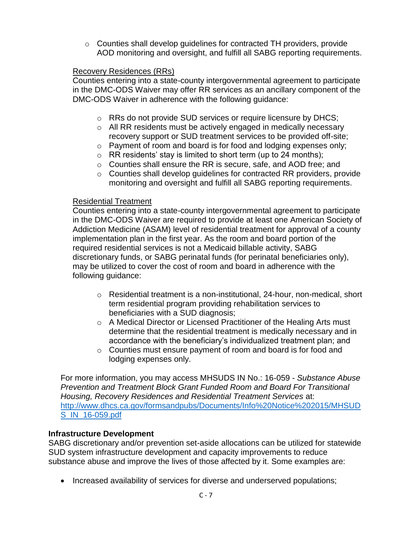$\circ$  Counties shall develop guidelines for contracted TH providers, provide AOD monitoring and oversight, and fulfill all SABG reporting requirements.

#### Recovery Residences (RRs)

Counties entering into a state-county intergovernmental agreement to participate in the DMC-ODS Waiver may offer RR services as an ancillary component of the DMC-ODS Waiver in adherence with the following guidance:

- o RRs do not provide SUD services or require licensure by DHCS;
- o All RR residents must be actively engaged in medically necessary recovery support or SUD treatment services to be provided off-site;
- o Payment of room and board is for food and lodging expenses only;
- $\circ$  RR residents' stay is limited to short term (up to 24 months);
- o Counties shall ensure the RR is secure, safe, and AOD free; and
- o Counties shall develop guidelines for contracted RR providers, provide monitoring and oversight and fulfill all SABG reporting requirements.

#### Residential Treatment

Counties entering into a state-county intergovernmental agreement to participate in the DMC-ODS Waiver are required to provide at least one American Society of Addiction Medicine (ASAM) level of residential treatment for approval of a county implementation plan in the first year. As the room and board portion of the required residential services is not a Medicaid billable activity, SABG discretionary funds, or SABG perinatal funds (for perinatal beneficiaries only), may be utilized to cover the cost of room and board in adherence with the following guidance:

- $\circ$  Residential treatment is a non-institutional, 24-hour, non-medical, short term residential program providing rehabilitation services to beneficiaries with a SUD diagnosis;
- o A Medical Director or Licensed Practitioner of the Healing Arts must determine that the residential treatment is medically necessary and in accordance with the beneficiary's individualized treatment plan; and
- o Counties must ensure payment of room and board is for food and lodging expenses only.

For more information, you may access MHSUDS IN No.: 16-059 - *Substance Abuse Prevention and Treatment Block Grant Funded Room and Board For Transitional Housing, Recovery Residences and Residential Treatment Services* at: [http://www.dhcs.ca.gov/formsandpubs/Documents/Info%20Notice%202015/MHSUD](http://www.dhcs.ca.gov/formsandpubs/Documents/Info%20Notice%202015/MHSUDS_IN_16-059.pdf) [S\\_IN\\_16-059.pdf](http://www.dhcs.ca.gov/formsandpubs/Documents/Info%20Notice%202015/MHSUDS_IN_16-059.pdf)

#### **Infrastructure Development**

SABG discretionary and/or prevention set-aside allocations can be utilized for statewide SUD system infrastructure development and capacity improvements to reduce substance abuse and improve the lives of those affected by it. Some examples are:

• Increased availability of services for diverse and underserved populations;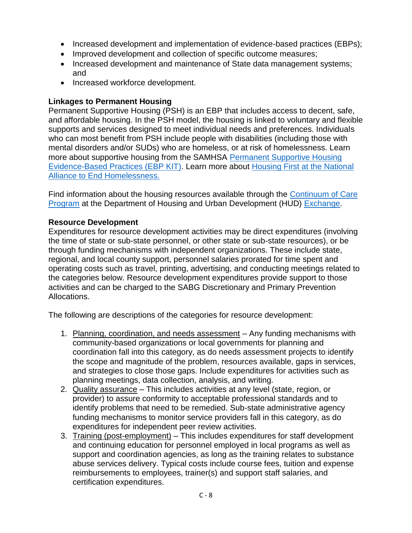- Increased development and implementation of evidence-based practices (EBPs);
- Improved development and collection of specific outcome measures;
- Increased development and maintenance of State data management systems; and
- Increased workforce development.

### **Linkages to Permanent Housing**

Permanent Supportive Housing (PSH) is an EBP that includes access to decent, safe, and affordable housing. In the PSH model, the housing is linked to voluntary and flexible supports and services designed to meet individual needs and preferences. Individuals who can most benefit from PSH include people with disabilities (including those with mental disorders and/or SUDs) who are homeless, or at risk of homelessness. Learn more about supportive housing from the SAMHSA [Permanent Supportive Housing](http://store.samhsa.gov/product/Permanent-Supportive-Housing-Evidence-Based-Practices-EBP-KIT/SMA10-4510)  [Evidence-Based Practices \(EBP KIT\).](http://store.samhsa.gov/product/Permanent-Supportive-Housing-Evidence-Based-Practices-EBP-KIT/SMA10-4510) Learn more about [Housing First at the National](http://www.endhomelessness.org/pages/housing_first)  [Alliance to End Homelessness.](http://www.endhomelessness.org/pages/housing_first)

Find information about the housing resources available through the [Continuum of Care](https://www.hudexchange.info/programs/coc/)  [Program](https://www.hudexchange.info/programs/coc/) at the Department of Housing and Urban Development (HUD) [Exchange.](https://www.hudexchange.info/)

### **Resource Development**

Expenditures for resource development activities may be direct expenditures (involving the time of state or sub-state personnel, or other state or sub-state resources), or be through funding mechanisms with independent organizations. These include state, regional, and local county support, personnel salaries prorated for time spent and operating costs such as travel, printing, advertising, and conducting meetings related to the categories below. Resource development expenditures provide support to those activities and can be charged to the SABG Discretionary and Primary Prevention Allocations.

The following are descriptions of the categories for resource development:

- 1. Planning, coordination, and needs assessment Any funding mechanisms with community-based organizations or local governments for planning and coordination fall into this category, as do needs assessment projects to identify the scope and magnitude of the problem, resources available, gaps in services, and strategies to close those gaps. Include expenditures for activities such as planning meetings, data collection, analysis, and writing.
- 2. Quality assurance This includes activities at any level (state, region, or provider) to assure conformity to acceptable professional standards and to identify problems that need to be remedied. Sub-state administrative agency funding mechanisms to monitor service providers fall in this category, as do expenditures for independent peer review activities.
- 3. Training (post-employment) This includes expenditures for staff development and continuing education for personnel employed in local programs as well as support and coordination agencies, as long as the training relates to substance abuse services delivery. Typical costs include course fees, tuition and expense reimbursements to employees, trainer(s) and support staff salaries, and certification expenditures.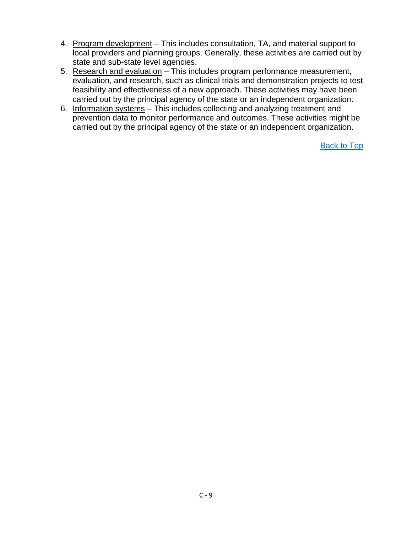- 4. Program development This includes consultation, TA, and material support to local providers and planning groups. Generally, these activities are carried out by state and sub-state level agencies.
- 5. Research and evaluation This includes program performance measurement, evaluation, and research, such as clinical trials and demonstration projects to test feasibility and effectiveness of a new approach. These activities may have been carried out by the principal agency of the state or an independent organization.
- 6. Information systems This includes collecting and analyzing treatment and prevention data to monitor performance and outcomes. These activities might be carried out by the principal agency of the state or an independent organization.

[Back to Top](#page-2-0)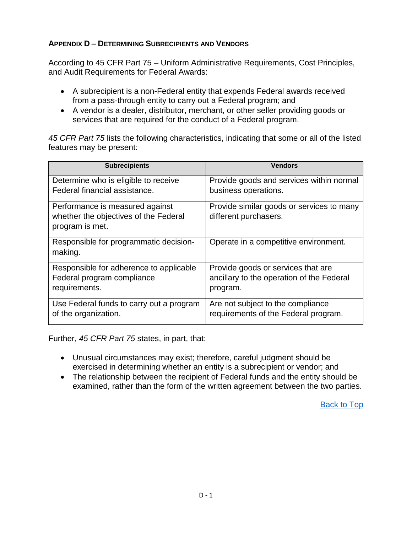### **APPENDIX D – DETERMINING SUBRECIPIENTS AND VENDORS**

According to 45 CFR Part 75 – Uniform Administrative Requirements, Cost Principles, and Audit Requirements for Federal Awards:

- A subrecipient is a non-Federal entity that expends Federal awards received from a pass-through entity to carry out a Federal program; and
- A vendor is a dealer, distributor, merchant, or other seller providing goods or services that are required for the conduct of a Federal program.

*45 CFR Part 75* lists the following characteristics, indicating that some or all of the listed features may be present:

| <b>Subrecipients</b>                     | <b>Vendors</b>                            |
|------------------------------------------|-------------------------------------------|
| Determine who is eligible to receive     | Provide goods and services within normal  |
| Federal financial assistance.            | business operations.                      |
| Performance is measured against          | Provide similar goods or services to many |
| whether the objectives of the Federal    | different purchasers.                     |
| program is met.                          |                                           |
| Responsible for programmatic decision-   | Operate in a competitive environment.     |
| making.                                  |                                           |
| Responsible for adherence to applicable  | Provide goods or services that are        |
| Federal program compliance               | ancillary to the operation of the Federal |
| requirements.                            | program.                                  |
| Use Federal funds to carry out a program | Are not subject to the compliance         |
| of the organization.                     | requirements of the Federal program.      |
|                                          |                                           |

Further, *45 CFR Part 75* states, in part, that:

- Unusual circumstances may exist; therefore, careful judgment should be exercised in determining whether an entity is a subrecipient or vendor; and
- The relationship between the recipient of Federal funds and the entity should be examined, rather than the form of the written agreement between the two parties.

[Back to Top](#page-2-0)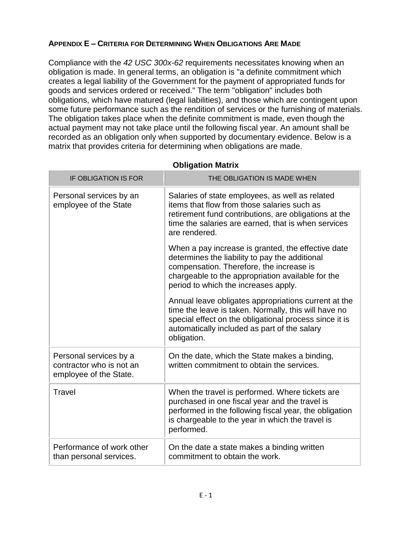### **APPENDIX E – CRITERIA FOR DETERMINING WHEN OBLIGATIONS ARE MADE**

Compliance with the *42 USC 300x-62* requirements necessitates knowing when an obligation is made. In general terms, an obligation is "a definite commitment which creates a legal liability of the Government for the payment of appropriated funds for goods and services ordered or received." The term "obligation" includes both obligations, which have matured (legal liabilities), and those which are contingent upon some future performance such as the rendition of services or the furnishing of materials. The obligation takes place when the definite commitment is made, even though the actual payment may not take place until the following fiscal year. An amount shall be recorded as an obligation only when supported by documentary evidence. Below is a matrix that provides criteria for determining when obligations are made.

| <b>IF OBLIGATION IS FOR</b>                                                  | THE OBLIGATION IS MADE WHEN                                                                                                                                                                                                                   |
|------------------------------------------------------------------------------|-----------------------------------------------------------------------------------------------------------------------------------------------------------------------------------------------------------------------------------------------|
| Personal services by an<br>employee of the State                             | Salaries of state employees, as well as related<br>items that flow from those salaries such as<br>retirement fund contributions, are obligations at the<br>time the salaries are earned, that is when services<br>are rendered.               |
|                                                                              | When a pay increase is granted, the effective date<br>determines the liability to pay the additional<br>compensation. Therefore, the increase is<br>chargeable to the appropriation available for the<br>period to which the increases apply. |
|                                                                              | Annual leave obligates appropriations current at the<br>time the leave is taken. Normally, this will have no<br>special effect on the obligational process since it is<br>automatically included as part of the salary<br>obligation.         |
| Personal services by a<br>contractor who is not an<br>employee of the State. | On the date, which the State makes a binding,<br>written commitment to obtain the services.                                                                                                                                                   |
| Travel                                                                       | When the travel is performed. Where tickets are<br>purchased in one fiscal year and the travel is<br>performed in the following fiscal year, the obligation<br>is chargeable to the year in which the travel is<br>performed.                 |
| Performance of work other<br>than personal services.                         | On the date a state makes a binding written<br>commitment to obtain the work.                                                                                                                                                                 |

**Obligation Matrix**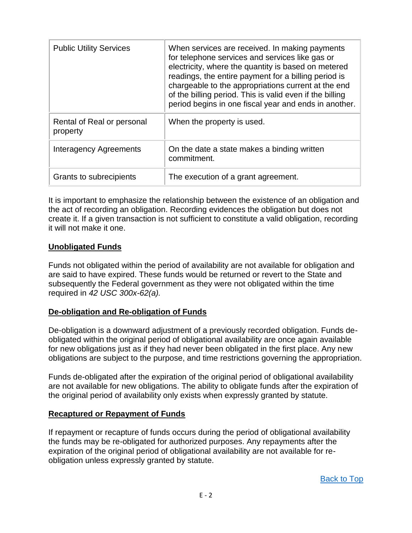| <b>Public Utility Services</b>         | When services are received. In making payments<br>for telephone services and services like gas or<br>electricity, where the quantity is based on metered<br>readings, the entire payment for a billing period is<br>chargeable to the appropriations current at the end<br>of the billing period. This is valid even if the billing<br>period begins in one fiscal year and ends in another. |
|----------------------------------------|----------------------------------------------------------------------------------------------------------------------------------------------------------------------------------------------------------------------------------------------------------------------------------------------------------------------------------------------------------------------------------------------|
| Rental of Real or personal<br>property | When the property is used.                                                                                                                                                                                                                                                                                                                                                                   |
| <b>Interagency Agreements</b>          | On the date a state makes a binding written<br>commitment.                                                                                                                                                                                                                                                                                                                                   |
| Grants to subrecipients                | The execution of a grant agreement.                                                                                                                                                                                                                                                                                                                                                          |

It is important to emphasize the relationship between the existence of an obligation and the act of recording an obligation. Recording evidences the obligation but does not create it. If a given transaction is not sufficient to constitute a valid obligation, recording it will not make it one.

#### **Unobligated Funds**

Funds not obligated within the period of availability are not available for obligation and are said to have expired. These funds would be returned or revert to the State and subsequently the Federal government as they were not obligated within the time required in *42 USC 300x-62(a).*

#### **De-obligation and Re-obligation of Funds**

De-obligation is a downward adjustment of a previously recorded obligation. Funds deobligated within the original period of obligational availability are once again available for new obligations just as if they had never been obligated in the first place. Any new obligations are subject to the purpose, and time restrictions governing the appropriation.

Funds de-obligated after the expiration of the original period of obligational availability are not available for new obligations. The ability to obligate funds after the expiration of the original period of availability only exists when expressly granted by statute.

#### **Recaptured or Repayment of Funds**

If repayment or recapture of funds occurs during the period of obligational availability the funds may be re-obligated for authorized purposes. Any repayments after the expiration of the original period of obligational availability are not available for reobligation unless expressly granted by statute.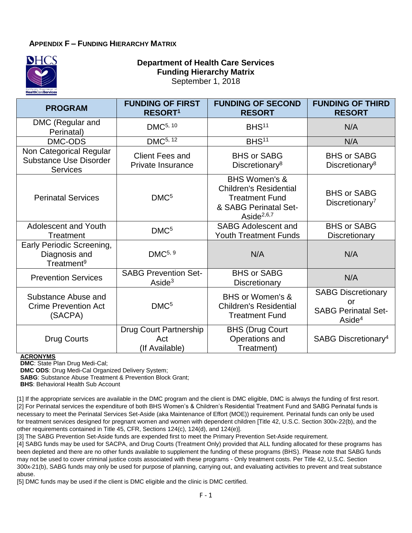#### **APPENDIX F – FUNDING HIERARCHY MATRIX**



#### **Department of Health Care Services Funding Hierarchy Matrix** September 1, 2018

| <b>PROGRAM</b>                                                              | <b>FUNDING OF FIRST</b><br>RESORT <sup>1</sup>         | <b>FUNDING OF SECOND</b><br><b>RESORT</b>                                                                                       | <b>FUNDING OF THIRD</b><br><b>RESORT</b>                                          |
|-----------------------------------------------------------------------------|--------------------------------------------------------|---------------------------------------------------------------------------------------------------------------------------------|-----------------------------------------------------------------------------------|
| DMC (Regular and<br>Perinatal)                                              | DMC <sup>5, 10</sup>                                   | BHS <sup>11</sup>                                                                                                               | N/A                                                                               |
| DMC-ODS                                                                     | DMC <sup>5, 12</sup>                                   | BHS <sup>11</sup>                                                                                                               | N/A                                                                               |
| Non Categorical Regular<br><b>Substance Use Disorder</b><br><b>Services</b> | <b>Client Fees and</b><br>Private Insurance            | <b>BHS or SABG</b><br>Discretionary <sup>8</sup>                                                                                | <b>BHS or SABG</b><br>Discretionary <sup>8</sup>                                  |
| <b>Perinatal Services</b>                                                   | DMC <sup>5</sup>                                       | <b>BHS Women's &amp;</b><br><b>Children's Residential</b><br><b>Treatment Fund</b><br>& SABG Perinatal Set-<br>Aside $^{2,6,7}$ | <b>BHS or SABG</b><br>Discretionary <sup>7</sup>                                  |
| Adolescent and Youth<br>Treatment                                           | DMC <sup>5</sup>                                       | <b>SABG Adolescent and</b><br><b>Youth Treatment Funds</b>                                                                      | <b>BHS or SABG</b><br><b>Discretionary</b>                                        |
| Early Periodic Screening,<br>Diagnosis and<br>Treatment <sup>9</sup>        | DMC <sup>5, 9</sup>                                    | N/A                                                                                                                             | N/A                                                                               |
| <b>Prevention Services</b>                                                  | <b>SABG Prevention Set-</b><br>$\text{Aside}^3$        | <b>BHS or SABG</b><br>Discretionary                                                                                             | N/A                                                                               |
| Substance Abuse and<br><b>Crime Prevention Act</b><br>(SACPA)               | DMC <sup>5</sup>                                       | BHS or Women's &<br><b>Children's Residential</b><br><b>Treatment Fund</b>                                                      | <b>SABG Discretionary</b><br>or<br><b>SABG Perinatal Set-</b><br>$\text{Aside}^4$ |
| <b>Drug Courts</b>                                                          | <b>Drug Court Partnership</b><br>Act<br>(If Available) | <b>BHS (Drug Court</b><br>Operations and<br>Treatment)                                                                          | SABG Discretionary <sup>4</sup>                                                   |

#### **ACRONYMS**

**DMC**: State Plan Drug Medi-Cal;

**DMC ODS**: Drug Medi-Cal Organized Delivery System;

**SABG**: Substance Abuse Treatment & Prevention Block Grant;

**BHS: Behavioral Health Sub Account** 

[1] If the appropriate services are available in the DMC program and the client is DMC eligible, DMC is always the funding of first resort. [2] For Perinatal services the expenditure of both BHS Women's & Children's Residential Treatment Fund and SABG Perinatal funds is necessary to meet the Perinatal Services Set-Aside (aka Maintenance of Effort (MOE)) requirement. Perinatal funds can only be used for treatment services designed for pregnant women and women with dependent children [Title 42, U.S.C. Section 300x-22(b), and the other requirements contained in Title 45, CFR, Sections 124(c), 124(d), and 124(e)].

[3] The SABG Prevention Set-Aside funds are expended first to meet the Primary Prevention Set-Aside requirement.

[4] SABG funds may be used for SACPA, and Drug Courts (Treatment Only) provided that ALL funding allocated for these programs has been depleted and there are no other funds available to supplement the funding of these programs (BHS). Please note that SABG funds may not be used to cover criminal justice costs associated with these programs - Only treatment costs. Per Title 42, U.S.C. Section 300x-21(b), SABG funds may only be used for purpose of planning, carrying out, and evaluating activities to prevent and treat substance abuse.

[5] DMC funds may be used if the client is DMC eligible and the clinic is DMC certified.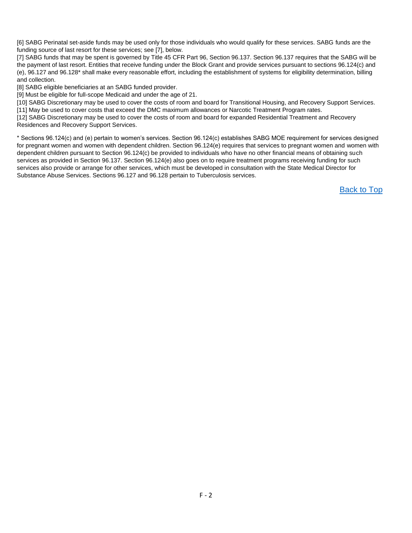[6] SABG Perinatal set-aside funds may be used only for those individuals who would qualify for these services. SABG funds are the funding source of last resort for these services; see [7], below.

[7] SABG funds that may be spent is governed by Title 45 CFR Part 96, Section 96.137. Section 96.137 requires that the SABG will be the payment of last resort. Entities that receive funding under the Block Grant and provide services pursuant to sections 96.124(c) and (e), 96.127 and 96.128\* shall make every reasonable effort, including the establishment of systems for eligibility determination, billing and collection.

[8] SABG eligible beneficiaries at an SABG funded provider.

[9] Must be eligible for full-scope Medicaid and under the age of 21.

[10] SABG Discretionary may be used to cover the costs of room and board for Transitional Housing, and Recovery Support Services. [11] May be used to cover costs that exceed the DMC maximum allowances or Narcotic Treatment Program rates.

[12] SABG Discretionary may be used to cover the costs of room and board for expanded Residential Treatment and Recovery Residences and Recovery Support Services.

\* Sections 96.124(c) and (e) pertain to women's services. Section 96.124(c) establishes SABG MOE requirement for services designed for pregnant women and women with dependent children. Section 96.124(e) requires that services to pregnant women and women with dependent children pursuant to Section 96.124(c) be provided to individuals who have no other financial means of obtaining such services as provided in Section 96.137. Section 96.124(e) also goes on to require treatment programs receiving funding for such services also provide or arrange for other services, which must be developed in consultation with the State Medical Director for Substance Abuse Services. Sections 96.127 and 96.128 pertain to Tuberculosis services.

[Back to Top](#page-2-0)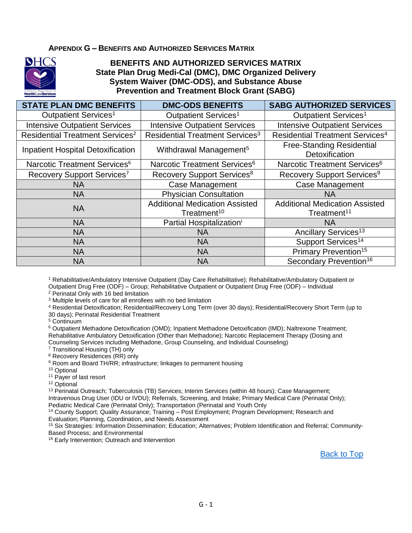#### **APPENDIX G – BENEFITS AND AUTHORIZED SERVICES MATRIX**



#### **BENEFITS AND AUTHORIZED SERVICES MATRIX State Plan Drug Medi-Cal (DMC), DMC Organized Delivery System Waiver (DMC-ODS), and Substance Abuse Prevention and Treatment Block Grant (SABG)**

| <b>STATE PLAN DMC BENEFITS</b>              | <b>DMC-ODS BENEFITS</b>                                          | <b>SABG AUTHORIZED SERVICES</b>                                  |
|---------------------------------------------|------------------------------------------------------------------|------------------------------------------------------------------|
| Outpatient Services <sup>1</sup>            | Outpatient Services <sup>1</sup>                                 | Outpatient Services <sup>1</sup>                                 |
| <b>Intensive Outpatient Services</b>        | <b>Intensive Outpatient Services</b>                             | <b>Intensive Outpatient Services</b>                             |
| Residential Treatment Services <sup>2</sup> | Residential Treatment Services <sup>3</sup>                      | <b>Residential Treatment Services<sup>4</sup></b>                |
| <b>Inpatient Hospital Detoxification</b>    | Withdrawal Management <sup>5</sup>                               | <b>Free-Standing Residential</b><br>Detoxification               |
| Narcotic Treatment Services <sup>6</sup>    | Narcotic Treatment Services <sup>6</sup>                         | Narcotic Treatment Services <sup>6</sup>                         |
| Recovery Support Services <sup>7</sup>      | Recovery Support Services <sup>8</sup>                           | Recovery Support Services <sup>9</sup>                           |
| <b>NA</b>                                   | <b>Case Management</b>                                           | <b>Case Management</b>                                           |
| <b>NA</b>                                   | <b>Physician Consultation</b>                                    | <b>NA</b>                                                        |
| <b>NA</b>                                   | <b>Additional Medication Assisted</b><br>Treatment <sup>10</sup> | <b>Additional Medication Assisted</b><br>Treatment <sup>11</sup> |
| <b>NA</b>                                   | Partial Hospitalization <sup>i</sup>                             | ΝA                                                               |
| <b>NA</b>                                   | NA                                                               | Ancillary Services <sup>13</sup>                                 |
| <b>NA</b>                                   | <b>NA</b>                                                        | Support Services <sup>14</sup>                                   |
| <b>NA</b>                                   | <b>NA</b>                                                        | Primary Prevention <sup>15</sup>                                 |
| <b>NA</b>                                   | <b>NA</b>                                                        | Secondary Prevention <sup>16</sup>                               |

<sup>1</sup> Rehabilitative/Ambulatory Intensive Outpatient (Day Care Rehabilitative); Rehabilitative/Ambulatory Outpatient or Outpatient Drug Free (ODF) – Group; Rehabilitative Outpatient or Outpatient Drug Free (ODF) – Individual

<sup>2</sup> Perinatal Only with 16 bed limitation

<sup>3</sup> Multiple levels of care for all enrollees with no bed limitation

<sup>4</sup> Residential Detoxification; Residential/Recovery Long Term (over 30 days); Residential/Recovery Short Term (up to 30 days); Perinatal Residential Treatment

<sup>5</sup> Continuum

<sup>6</sup> Outpatient Methadone Detoxification (OMD); Inpatient Methadone Detoxification (IMD); Naltrexone Treatment; Rehabilitative Ambulatory Detoxification (Other than Methadone); Narcotic Replacement Therapy (Dosing and Counseling Services including Methadone, Group Counseling, and Individual Counseling)

<sup>7</sup> Transitional Housing (TH) only

<sup>8</sup> Recovery Residences (RR) only

<sup>9</sup> Room and Board TH/RR; infrastructure; linkages to permanent housing

<sup>10</sup> Optional

<sup>11</sup> Payer of last resort

<sup>12</sup> Optional

<sup>13</sup> Perinatal Outreach; Tuberculosis (TB) Services; Interim Services (within 48 hours); Case Management; Intravenous Drug User (IDU or IVDU); Referrals, Screening, and Intake; Primary Medical Care (Perinatal Only); Pediatric Medical Care (Perinatal Only); Transportation (Perinatal and Youth Only

<sup>14</sup> County Support; Quality Assurance; Training – Post Employment; Program Development; Research and

Evaluation; Planning, Coordination, and Needs Assessment

<sup>15</sup> Six Strategies: Information Dissemination; Education; Alternatives; Problem Identification and Referral; Community-Based Process; and Environmental

16 Early Intervention; Outreach and Intervention

[Back to Top](#page-2-0)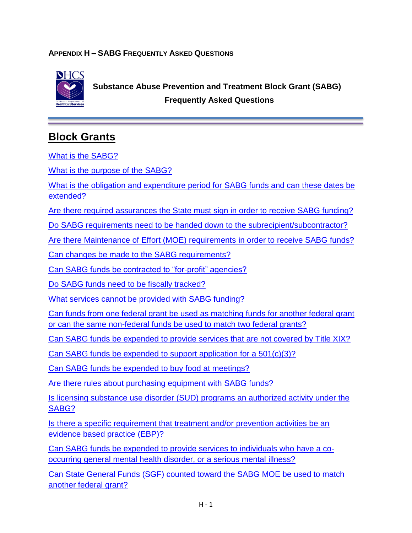### **APPENDIX H – SABG FREQUENTLY ASKED QUESTIONS**



 **Substance Abuse Prevention and Treatment Block Grant (SABG) Frequently Asked Questions**

# <span id="page-48-0"></span>**Block Grants**

[What is the SABG?](#page-51-0)

[What is the purpose of the SABG?](#page-51-1)

[What is the obligation and expenditure period for SABG](#page-51-2) funds and can these dates be [extended?](#page-51-2)

[Are there required assurances the State must sign in order to receive SABG](#page-51-3) funding?

Do SABG [requirements need to be handed down to the subrecipient/subcontractor?](#page-52-0)

[Are there Maintenance of Effort \(MOE\) requirements in order to receive SABG](#page-52-1) funds?

[Can changes be made to the SABG](#page-52-2) requirements?

Can SABG [funds be contracted to "for-profit" agencies?](#page-52-3)

[Do SABG funds need to be fiscally tracked?](#page-53-0)

[What services cannot be provided](#page-53-1) with SABG funding?

[Can funds from one federal grant be used as matching funds for another federal grant](#page-53-2)  [or can the same non-federal funds be used to match two federal grants?](#page-53-2)

Can SABG funds be expended [to provide services that are not covered by Title XIX?](#page-54-0)

Can SABG funds be expended [to support application for a 501\(c\)\(3\)?](#page-54-1)

Can SABG funds be expended [to buy food at meetings?](#page-54-2)

[Are there rules about purchasing equipment with SABG funds?](#page-54-3)

Is licensing substance use disorder (SUD) [programs an authorized activity under the](#page-55-0)  [SABG?](#page-55-0)

[Is there a specific requirement that treatment and/or prevention activities be an](#page-55-1)  [evidence based practice \(EBP\)?](#page-55-1)

Can SABG funds be expended [to provide services to individuals who have a co](#page-55-2)[occurring general mental health disorder, or a serious mental](#page-55-2) illness?

[Can State General Funds \(SGF\) counted toward the SABG MOE be used to match](#page-55-3)  [another federal grant?](#page-55-3)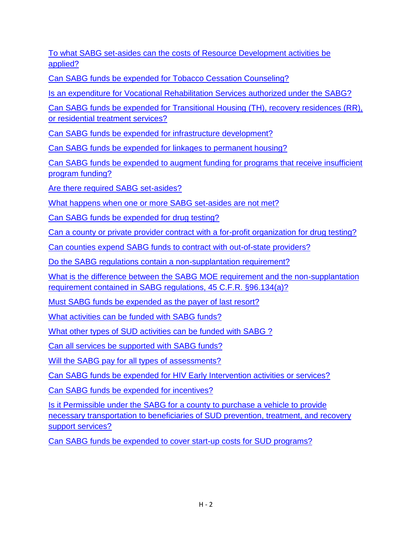[To what SABG set-asides can the costs of Resource Development activities be](#page-56-0)  [applied?](#page-56-0)

[Can SABG funds be expended for Tobacco Cessation Counseling?](#page-56-1)

[Is an expenditure for Vocational Rehabilitation Services authorized under the SABG?](#page-56-2)

[Can SABG funds be expended for Transitional Housing \(TH\), recovery residences \(RR\),](#page-56-3)  [or residential treatment services?](#page-56-3)

Can SABG funds be expended [for infrastructure development?](#page-58-0)

Can SABG funds be expended [for linkages to permanent housing?](#page-58-1)

Can SABG funds be expended [to augment funding for programs that receive insufficient](#page-58-2)  [program funding?](#page-58-2)

[Are there required SABG set-asides?](#page-59-0)

[What happens when one or more SABG set-asides are not met?](#page-59-1)

[Can SABG funds be expended for drug testing?](#page-59-2)

[Can a county or private provider contract with a for-profit organization for drug testing?](#page-60-0)

Can counties expend [SABG funds to contract with out-of-state providers?](#page-60-1)

[Do the SABG regulations contain a non-supplantation requirement?](#page-60-2)

[What is the difference between the SABG MOE requirement and the non-supplantation](#page-60-3)  [requirement contained in SABG regulations, 45 C.F.R. §96.134\(a\)?](#page-60-3)

[Must SABG funds be expended](#page-61-0) as the payer of last resort?

[What activities can be funded with SABG funds?](#page-61-1)

What other types of SUD [activities can be funded with SABG ?](#page-62-0)

[Can all services be supported with SABG funds?](#page-62-1)

[Will the SABG pay for all types of assessments?](#page-63-0)

Can SABG funds be expended [for HIV Early Intervention activities or services?](#page-63-1)

[Can SABG funds be expended](#page-63-2) for incentives?

[Is it Permissible under the SABG for a county to purchase a vehicle to provide](#page-64-0)  [necessary transportation to beneficiaries of SUD prevention, treatment, and recovery](#page-64-0)  [support services?](#page-64-0)

Can SABG funds be expended [to cover start-up costs for SUD programs?](#page-66-0)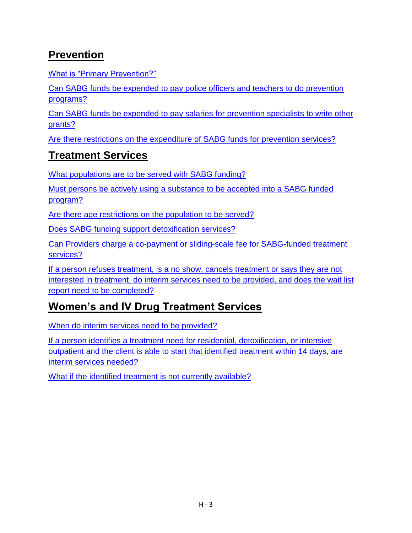# <span id="page-50-0"></span>**Prevention**

[What is "Primary Prevention?"](#page-67-0)

[Can SABG funds be expended to pay police officers and teachers to do prevention](#page-67-1)  [programs?](#page-67-1)

Can SABG funds be expended [to pay salaries for prevention specialists to write other](#page-67-2)  [grants?](#page-67-2)

[Are there restrictions on the expenditure of SABG funds for prevention services?](#page-67-3)

# <span id="page-50-1"></span>**Treatment Services**

[What populations are to be served with SABG funding?](#page-68-0)

[Must persons be actively using a substance to be accepted into a SABG funded](#page-68-1)  [program?](#page-68-1)

[Are there age restrictions on the population to be served?](#page-68-2)

[Does SABG funding support detoxification services?](#page-68-3)

[Can Providers charge a co-payment or sliding-scale fee for SABG-funded treatment](#page-68-4)  [services?](#page-68-4)

[If a person refuses treatment, is a no show, cancels treatment or says they are not](#page-69-0)  [interested in treatment, do interim services need to be provided, and does the wait list](#page-69-0)  [report need to be completed?](#page-69-0)

# <span id="page-50-2"></span>**Women's and IV Drug Treatment Services**

[When do interim services need to be provided?](#page-69-1)

[If a person identifies a treatment need for residential, detoxification, or intensive](#page-69-2)  [outpatient and the client is able to start that identified treatment within 14 days, are](#page-69-2)  [interim services needed?](#page-69-2)

[What if the identified treatment is not currently available?](#page-70-0)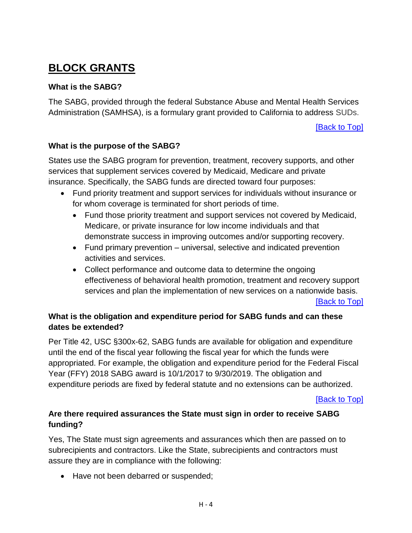# **BLOCK GRANTS**

#### <span id="page-51-0"></span>**What is the SABG?**

The SABG, provided through the federal Substance Abuse and Mental Health Services Administration (SAMHSA), is a formulary grant provided to California to address SUDs.

[\[Back to Top\]](#page-48-0)

#### <span id="page-51-1"></span>**What is the purpose of the SABG?**

States use the SABG program for prevention, treatment, recovery supports, and other services that supplement services covered by Medicaid, Medicare and private insurance. Specifically, the SABG funds are directed toward four purposes:

- Fund priority treatment and support services for individuals without insurance or for whom coverage is terminated for short periods of time.
	- Fund those priority treatment and support services not covered by Medicaid, Medicare, or private insurance for low income individuals and that demonstrate success in improving outcomes and/or supporting recovery.
	- Fund primary prevention universal, selective and indicated prevention activities and services.
	- Collect performance and outcome data to determine the ongoing effectiveness of behavioral health promotion, treatment and recovery support services and plan the implementation of new services on a nationwide basis.

**[\[Back to Top\]](#page-48-0)** 

## <span id="page-51-2"></span>**What is the obligation and expenditure period for SABG funds and can these dates be extended?**

Per Title 42, USC §300x-62, SABG funds are available for obligation and expenditure until the end of the fiscal year following the fiscal year for which the funds were appropriated. For example, the obligation and expenditure period for the Federal Fiscal Year (FFY) 2018 SABG award is 10/1/2017 to 9/30/2019. The obligation and expenditure periods are fixed by federal statute and no extensions can be authorized.

[\[Back to Top\]](#page-48-0)

## <span id="page-51-3"></span>**Are there required assurances the State must sign in order to receive SABG funding?**

Yes, The State must sign agreements and assurances which then are passed on to subrecipients and contractors. Like the State, subrecipients and contractors must assure they are in compliance with the following:

• Have not been debarred or suspended;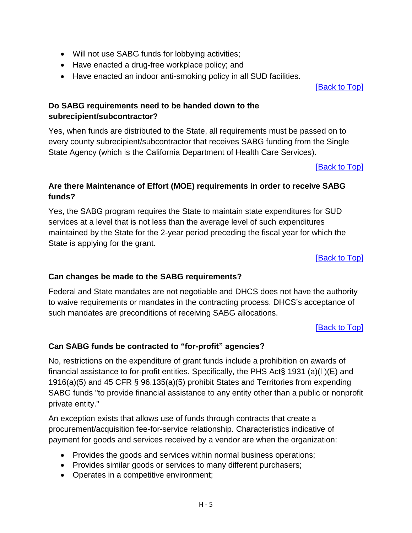- Will not use SABG funds for lobbying activities;
- Have enacted a drug-free workplace policy; and
- Have enacted an indoor anti-smoking policy in all SUD facilities.

[\[Back to Top\]](#page-48-0)

### <span id="page-52-0"></span>**Do SABG requirements need to be handed down to the subrecipient/subcontractor?**

Yes, when funds are distributed to the State, all requirements must be passed on to every county subrecipient/subcontractor that receives SABG funding from the Single State Agency (which is the California Department of Health Care Services).

[\[Back to Top\]](#page-48-0)

# <span id="page-52-1"></span>**Are there Maintenance of Effort (MOE) requirements in order to receive SABG funds?**

Yes, the SABG program requires the State to maintain state expenditures for SUD services at a level that is not less than the average level of such expenditures maintained by the State for the 2-year period preceding the fiscal year for which the State is applying for the grant.

[\[Back to Top\]](#page-48-0)

### <span id="page-52-2"></span>**Can changes be made to the SABG requirements?**

Federal and State mandates are not negotiable and DHCS does not have the authority to waive requirements or mandates in the contracting process. DHCS's acceptance of such mandates are preconditions of receiving SABG allocations.

[\[Back to Top\]](#page-48-0)

# <span id="page-52-3"></span>**Can SABG funds be contracted to "for-profit" agencies?**

No, restrictions on the expenditure of grant funds include a prohibition on awards of financial assistance to for-profit entities. Specifically, the PHS Act§ 1931 (a)(l )(E) and 1916(a)(5) and 45 CFR § 96.135(a)(5) prohibit States and Territories from expending SABG funds "to provide financial assistance to any entity other than a public or nonprofit private entity."

An exception exists that allows use of funds through contracts that create a procurement/acquisition fee-for-service relationship. Characteristics indicative of payment for goods and services received by a vendor are when the organization:

- Provides the goods and services within normal business operations;
- Provides similar goods or services to many different purchasers;
- Operates in a competitive environment;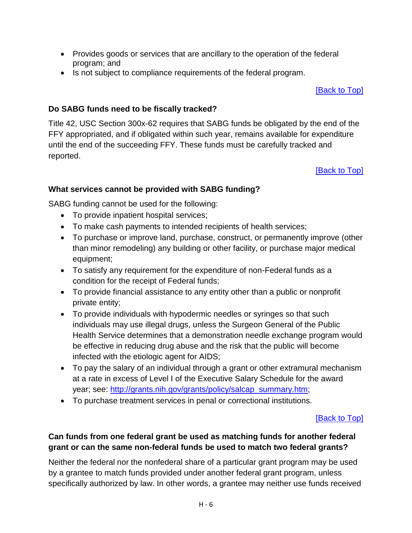- Provides goods or services that are ancillary to the operation of the federal program; and
- Is not subject to compliance requirements of the federal program.

[\[Back to Top\]](#page-48-0)

### <span id="page-53-0"></span>**Do SABG funds need to be fiscally tracked?**

Title 42, USC Section 300x-62 requires that SABG funds be obligated by the end of the FFY appropriated, and if obligated within such year, remains available for expenditure until the end of the succeeding FFY. These funds must be carefully tracked and reported.

[\[Back to Top\]](#page-48-0)

### <span id="page-53-1"></span>**What services cannot be provided with SABG funding?**

SABG funding cannot be used for the following:

- To provide inpatient hospital services;
- To make cash payments to intended recipients of health services;
- To purchase or improve land, purchase, construct, or permanently improve (other than minor remodeling) any building or other facility, or purchase major medical equipment;
- To satisfy any requirement for the expenditure of non-Federal funds as a condition for the receipt of Federal funds;
- To provide financial assistance to any entity other than a public or nonprofit private entity;
- To provide individuals with hypodermic needles or syringes so that such individuals may use illegal drugs, unless the Surgeon General of the Public Health Service determines that a demonstration needle exchange program would be effective in reducing drug abuse and the risk that the public will become infected with the etiologic agent for AIDS;
- To pay the salary of an individual through a grant or other extramural mechanism at a rate in excess of Level I of the Executive Salary Schedule for the award year; see: [http://grants.nih.gov/grants/policy/salcap\\_summary.htm;](http://grants.nih.gov/grants/policy/salcap_summary.htm)
- To purchase treatment services in penal or correctional institutions.

# [\[Back to Top\]](#page-48-0)

### <span id="page-53-2"></span>**Can funds from one federal grant be used as matching funds for another federal grant or can the same non-federal funds be used to match two federal grants?**

Neither the federal nor the nonfederal share of a particular grant program may be used by a grantee to match funds provided under another federal grant program, unless specifically authorized by law. In other words, a grantee may neither use funds received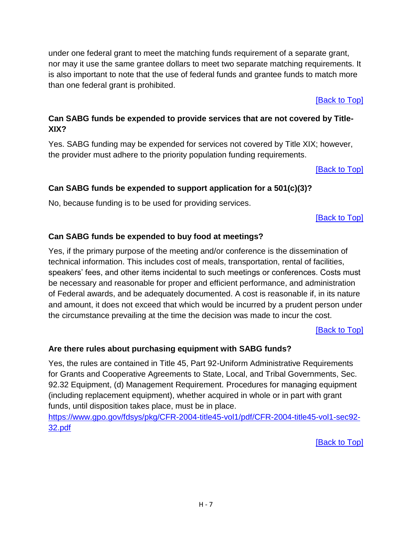under one federal grant to meet the matching funds requirement of a separate grant, nor may it use the same grantee dollars to meet two separate matching requirements. It is also important to note that the use of federal funds and grantee funds to match more than one federal grant is prohibited.

[\[Back to Top\]](#page-48-0)

# <span id="page-54-0"></span>**Can SABG funds be expended to provide services that are not covered by Title-XIX?**

Yes. SABG funding may be expended for services not covered by Title XIX; however, the provider must adhere to the priority population funding requirements.

[\[Back to Top\]](#page-48-0)

# <span id="page-54-1"></span>**Can SABG funds be expended to support application for a 501(c)(3)?**

No, because funding is to be used for providing services.

[\[Back to Top\]](#page-48-0)

# <span id="page-54-2"></span>**Can SABG funds be expended to buy food at meetings?**

Yes, if the primary purpose of the meeting and/or conference is the dissemination of technical information. This includes cost of meals, transportation, rental of facilities, speakers' fees, and other items incidental to such meetings or conferences. Costs must be necessary and reasonable for proper and efficient performance, and administration of Federal awards, and be adequately documented. A cost is reasonable if, in its nature and amount, it does not exceed that which would be incurred by a prudent person under the circumstance prevailing at the time the decision was made to incur the cost.

[\[Back to Top\]](#page-48-0)

# <span id="page-54-3"></span>**Are there rules about purchasing equipment with SABG funds?**

Yes, the rules are contained in Title 45, Part 92-Uniform Administrative Requirements for Grants and Cooperative Agreements to State, Local, and Tribal Governments, Sec. 92.32 Equipment, (d) Management Requirement. Procedures for managing equipment (including replacement equipment), whether acquired in whole or in part with grant funds, until disposition takes place, must be in place.

[https://www.gpo.gov/fdsys/pkg/CFR-2004-title45-vol1/pdf/CFR-2004-title45-vol1-sec92-](https://www.gpo.gov/fdsys/pkg/CFR-2004-title45-vol1/pdf/CFR-2004-title45-vol1-sec92-32.pdf) [32.pdf](https://www.gpo.gov/fdsys/pkg/CFR-2004-title45-vol1/pdf/CFR-2004-title45-vol1-sec92-32.pdf)

[\[Back to Top\]](#page-48-0)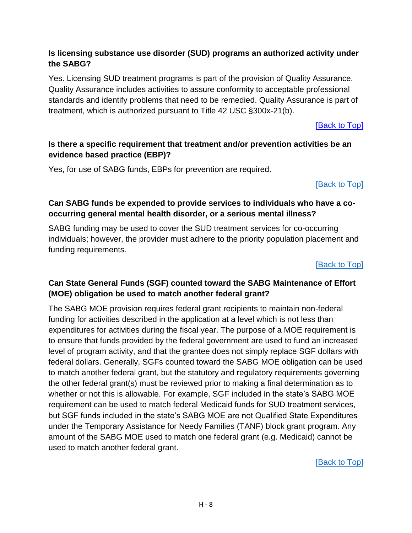## <span id="page-55-0"></span>**Is licensing substance use disorder (SUD) programs an authorized activity under the SABG?**

Yes. Licensing SUD treatment programs is part of the provision of Quality Assurance. Quality Assurance includes activities to assure conformity to acceptable professional standards and identify problems that need to be remedied. Quality Assurance is part of treatment, which is authorized pursuant to Title 42 USC §300x-21(b).

[\[Back to Top\]](#page-48-0)

## <span id="page-55-1"></span>**Is there a specific requirement that treatment and/or prevention activities be an evidence based practice (EBP)?**

Yes, for use of SABG funds, EBPs for prevention are required.

[\[Back to Top\]](#page-48-0)

## <span id="page-55-2"></span>**Can SABG funds be expended to provide services to individuals who have a cooccurring general mental health disorder, or a serious mental illness?**

SABG funding may be used to cover the SUD treatment services for co-occurring individuals; however, the provider must adhere to the priority population placement and funding requirements.

[\[Back to Top\]](#page-48-0)

# <span id="page-55-3"></span>**Can State General Funds (SGF) counted toward the SABG Maintenance of Effort (MOE) obligation be used to match another federal grant?**

The SABG MOE provision requires federal grant recipients to maintain non-federal funding for activities described in the application at a level which is not less than expenditures for activities during the fiscal year. The purpose of a MOE requirement is to ensure that funds provided by the federal government are used to fund an increased level of program activity, and that the grantee does not simply replace SGF dollars with federal dollars. Generally, SGFs counted toward the SABG MOE obligation can be used to match another federal grant, but the statutory and regulatory requirements governing the other federal grant(s) must be reviewed prior to making a final determination as to whether or not this is allowable. For example, SGF included in the state's SABG MOE requirement can be used to match federal Medicaid funds for SUD treatment services, but SGF funds included in the state's SABG MOE are not Qualified State Expenditures under the Temporary Assistance for Needy Families (TANF) block grant program. Any amount of the SABG MOE used to match one federal grant (e.g. Medicaid) cannot be used to match another federal grant.

[\[Back to Top\]](#page-48-0)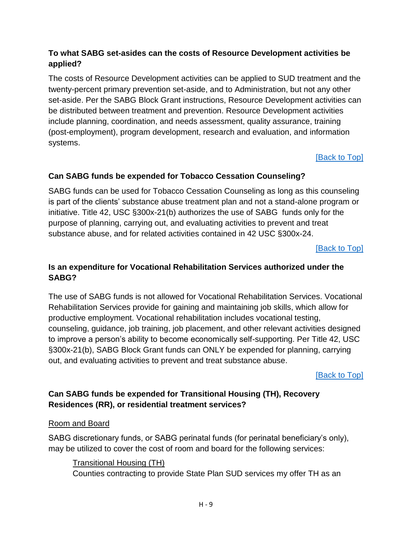# <span id="page-56-0"></span>**To what SABG set-asides can the costs of Resource Development activities be applied?**

The costs of Resource Development activities can be applied to SUD treatment and the twenty-percent primary prevention set-aside, and to Administration, but not any other set-aside. Per the SABG Block Grant instructions, Resource Development activities can be distributed between treatment and prevention. Resource Development activities include planning, coordination, and needs assessment, quality assurance, training (post-employment), program development, research and evaluation, and information systems.

[\[Back to Top\]](#page-48-0)

# <span id="page-56-1"></span>**Can SABG funds be expended for Tobacco Cessation Counseling?**

SABG funds can be used for Tobacco Cessation Counseling as long as this counseling is part of the clients' substance abuse treatment plan and not a stand-alone program or initiative. Title 42, USC §300x-21(b) authorizes the use of SABG funds only for the purpose of planning, carrying out, and evaluating activities to prevent and treat substance abuse, and for related activities contained in 42 USC §300x-24.

[\[Back to Top\]](#page-48-0)

# <span id="page-56-2"></span>**Is an expenditure for Vocational Rehabilitation Services authorized under the SABG?**

The use of SABG funds is not allowed for Vocational Rehabilitation Services. Vocational Rehabilitation Services provide for gaining and maintaining job skills, which allow for productive employment. Vocational rehabilitation includes vocational testing, counseling, guidance, job training, job placement, and other relevant activities designed to improve a person's ability to become economically self-supporting. Per Title 42, USC §300x-21(b), SABG Block Grant funds can ONLY be expended for planning, carrying out, and evaluating activities to prevent and treat substance abuse.

[\[Back to Top\]](#page-48-0)

# <span id="page-56-3"></span>**Can SABG funds be expended for Transitional Housing (TH), Recovery Residences (RR), or residential treatment services?**

### Room and Board

SABG discretionary funds, or SABG perinatal funds (for perinatal beneficiary's only), may be utilized to cover the cost of room and board for the following services:

Transitional Housing (TH)

Counties contracting to provide State Plan SUD services my offer TH as an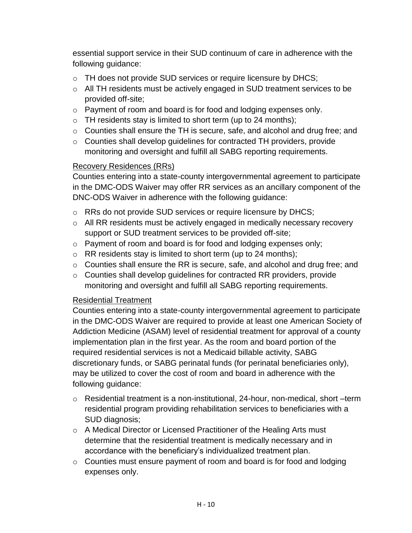essential support service in their SUD continuum of care in adherence with the following guidance:

- o TH does not provide SUD services or require licensure by DHCS;
- o All TH residents must be actively engaged in SUD treatment services to be provided off-site;
- o Payment of room and board is for food and lodging expenses only.
- $\circ$  TH residents stay is limited to short term (up to 24 months);
- o Counties shall ensure the TH is secure, safe, and alcohol and drug free; and
- o Counties shall develop guidelines for contracted TH providers, provide monitoring and oversight and fulfill all SABG reporting requirements.

# Recovery Residences (RRs)

Counties entering into a state-county intergovernmental agreement to participate in the DMC-ODS Waiver may offer RR services as an ancillary component of the DNC-ODS Waiver in adherence with the following guidance:

- o RRs do not provide SUD services or require licensure by DHCS;
- o All RR residents must be actively engaged in medically necessary recovery support or SUD treatment services to be provided off-site;
- o Payment of room and board is for food and lodging expenses only;
- $\circ$  RR residents stay is limited to short term (up to 24 months);
- o Counties shall ensure the RR is secure, safe, and alcohol and drug free; and
- o Counties shall develop guidelines for contracted RR providers, provide monitoring and oversight and fulfill all SABG reporting requirements.

# Residential Treatment

Counties entering into a state-county intergovernmental agreement to participate in the DMC-ODS Waiver are required to provide at least one American Society of Addiction Medicine (ASAM) level of residential treatment for approval of a county implementation plan in the first year. As the room and board portion of the required residential services is not a Medicaid billable activity, SABG discretionary funds, or SABG perinatal funds (for perinatal beneficiaries only), may be utilized to cover the cost of room and board in adherence with the following guidance:

- o Residential treatment is a non-institutional, 24-hour, non-medical, short –term residential program providing rehabilitation services to beneficiaries with a SUD diagnosis;
- $\circ$  A Medical Director or Licensed Practitioner of the Healing Arts must determine that the residential treatment is medically necessary and in accordance with the beneficiary's individualized treatment plan.
- o Counties must ensure payment of room and board is for food and lodging expenses only.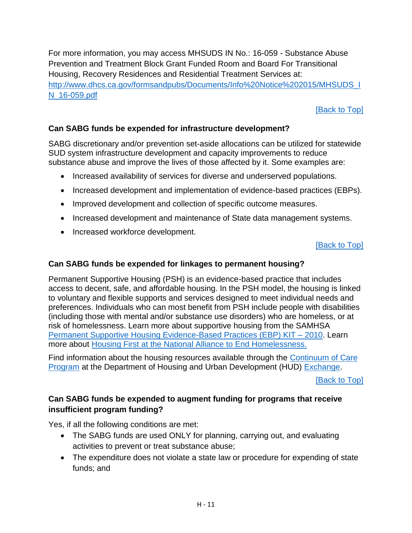For more information, you may access MHSUDS IN No.: 16-059 - Substance Abuse Prevention and Treatment Block Grant Funded Room and Board For Transitional Housing, Recovery Residences and Residential Treatment Services at: [http://www.dhcs.ca.gov/formsandpubs/Documents/Info%20Notice%202015/MHSUDS\\_I](http://www.dhcs.ca.gov/formsandpubs/Documents/Info%20Notice%202015/MHSUDS_IN_16-059.pdf) [N\\_16-059.pdf](http://www.dhcs.ca.gov/formsandpubs/Documents/Info%20Notice%202015/MHSUDS_IN_16-059.pdf)

## [\[Back to Top\]](#page-48-0)

### <span id="page-58-0"></span>**Can SABG funds be expended for infrastructure development?**

SABG discretionary and/or prevention set-aside allocations can be utilized for statewide SUD system infrastructure development and capacity improvements to reduce substance abuse and improve the lives of those affected by it. Some examples are:

- Increased availability of services for diverse and underserved populations.
- Increased development and implementation of evidence-based practices (EBPs).
- Improved development and collection of specific outcome measures.
- Increased development and maintenance of State data management systems.
- Increased workforce development.

#### **[\[Back to Top\]](#page-48-0)**

#### <span id="page-58-1"></span>**Can SABG funds be expended for linkages to permanent housing?**

Permanent Supportive Housing (PSH) is an evidence-based practice that includes access to decent, safe, and affordable housing. In the PSH model, the housing is linked to voluntary and flexible supports and services designed to meet individual needs and preferences. Individuals who can most benefit from PSH include people with disabilities (including those with mental and/or substance use disorders) who are homeless, or at risk of homelessness. Learn more about supportive housing from the SAMHSA [Permanent Supportive Housing Evidence-Based Practices \(EBP\) KIT –](http://store.samhsa.gov/product/Permanent-Supportive-Housing-Evidence-Based-Practices-EBP-KIT/SMA10-4510) 2010. Learn more about [Housing First at the National Alliance to End Homelessness.](http://www.endhomelessness.org/pages/housing_first)

Find information about the housing resources available through the [Continuum of Care](https://www.hudexchange.info/programs/coc/)  [Program](https://www.hudexchange.info/programs/coc/) at the Department of Housing and Urban Development (HUD) [Exchange.](https://www.hudexchange.info/)

[\[Back to Top\]](#page-48-0)

#### <span id="page-58-2"></span>**Can SABG funds be expended to augment funding for programs that receive insufficient program funding?**

Yes, if all the following conditions are met:

- The SABG funds are used ONLY for planning, carrying out, and evaluating activities to prevent or treat substance abuse;
- The expenditure does not violate a state law or procedure for expending of state funds; and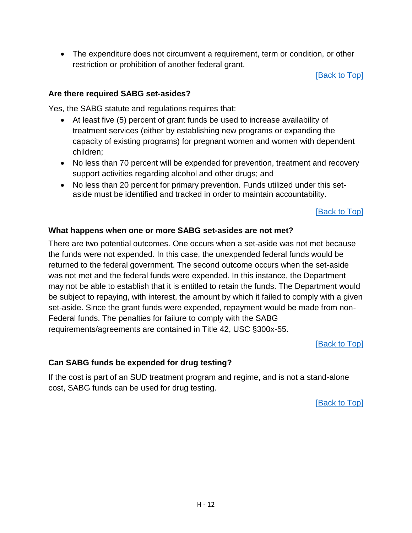The expenditure does not circumvent a requirement, term or condition, or other restriction or prohibition of another federal grant.

[\[Back to Top\]](#page-48-0)

#### <span id="page-59-0"></span>**Are there required SABG set-asides?**

Yes, the SABG statute and regulations requires that:

- At least five (5) percent of grant funds be used to increase availability of treatment services (either by establishing new programs or expanding the capacity of existing programs) for pregnant women and women with dependent children;
- No less than 70 percent will be expended for prevention, treatment and recovery support activities regarding alcohol and other drugs; and
- No less than 20 percent for primary prevention. Funds utilized under this setaside must be identified and tracked in order to maintain accountability.

[\[Back to Top\]](#page-48-0)

## <span id="page-59-1"></span>**What happens when one or more SABG set-asides are not met?**

There are two potential outcomes. One occurs when a set-aside was not met because the funds were not expended. In this case, the unexpended federal funds would be returned to the federal government. The second outcome occurs when the set-aside was not met and the federal funds were expended. In this instance, the Department may not be able to establish that it is entitled to retain the funds. The Department would be subject to repaying, with interest, the amount by which it failed to comply with a given set-aside. Since the grant funds were expended, repayment would be made from non-Federal funds. The penalties for failure to comply with the SABG requirements/agreements are contained in Title 42, USC §300x-55.

[\[Back to Top\]](#page-48-0)

# <span id="page-59-2"></span>**Can SABG funds be expended for drug testing?**

If the cost is part of an SUD treatment program and regime, and is not a stand-alone cost, SABG funds can be used for drug testing.

[\[Back to Top\]](#page-48-0)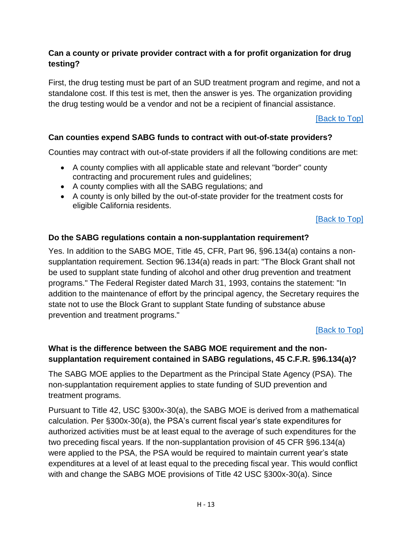## <span id="page-60-0"></span>**Can a county or private provider contract with a for profit organization for drug testing?**

First, the drug testing must be part of an SUD treatment program and regime, and not a standalone cost. If this test is met, then the answer is yes. The organization providing the drug testing would be a vendor and not be a recipient of financial assistance.

[\[Back to Top\]](#page-48-0)

## <span id="page-60-1"></span>**Can counties expend SABG funds to contract with out-of-state providers?**

Counties may contract with out-of-state providers if all the following conditions are met:

- A county complies with all applicable state and relevant "border" county contracting and procurement rules and guidelines;
- A county complies with all the SABG regulations; and
- A county is only billed by the out-of-state provider for the treatment costs for eligible California residents.

[\[Back to Top\]](#page-48-0)

### <span id="page-60-2"></span>**Do the SABG regulations contain a non-supplantation requirement?**

Yes. In addition to the SABG MOE, Title 45, CFR, Part 96, §96.134(a) contains a nonsupplantation requirement. Section 96.134(a) reads in part: "The Block Grant shall not be used to supplant state funding of alcohol and other drug prevention and treatment programs." The Federal Register dated March 31, 1993, contains the statement: "In addition to the maintenance of effort by the principal agency, the Secretary requires the state not to use the Block Grant to supplant State funding of substance abuse prevention and treatment programs."

### [\[Back to Top\]](#page-48-0)

## <span id="page-60-3"></span>**What is the difference between the SABG MOE requirement and the nonsupplantation requirement contained in SABG regulations, 45 C.F.R. §96.134(a)?**

The SABG MOE applies to the Department as the Principal State Agency (PSA). The non-supplantation requirement applies to state funding of SUD prevention and treatment programs.

Pursuant to Title 42, USC §300x-30(a), the SABG MOE is derived from a mathematical calculation. Per §300x-30(a), the PSA's current fiscal year's state expenditures for authorized activities must be at least equal to the average of such expenditures for the two preceding fiscal years. If the non-supplantation provision of 45 CFR §96.134(a) were applied to the PSA, the PSA would be required to maintain current year's state expenditures at a level of at least equal to the preceding fiscal year. This would conflict with and change the SABG MOE provisions of Title 42 USC §300x-30(a). Since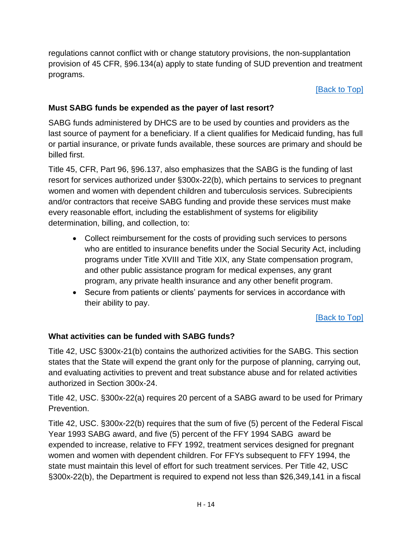regulations cannot conflict with or change statutory provisions, the non-supplantation provision of 45 CFR, §96.134(a) apply to state funding of SUD prevention and treatment programs.

### [\[Back to Top\]](#page-48-0)

# <span id="page-61-0"></span>**Must SABG funds be expended as the payer of last resort?**

SABG funds administered by DHCS are to be used by counties and providers as the last source of payment for a beneficiary. If a client qualifies for Medicaid funding, has full or partial insurance, or private funds available, these sources are primary and should be billed first.

Title 45, CFR, Part 96, §96.137, also emphasizes that the SABG is the funding of last resort for services authorized under §300x-22(b), which pertains to services to pregnant women and women with dependent children and tuberculosis services. Subrecipients and/or contractors that receive SABG funding and provide these services must make every reasonable effort, including the establishment of systems for eligibility determination, billing, and collection, to:

- Collect reimbursement for the costs of providing such services to persons who are entitled to insurance benefits under the Social Security Act, including programs under Title XVIII and Title XIX, any State compensation program, and other public assistance program for medical expenses, any grant program, any private health insurance and any other benefit program.
- Secure from patients or clients' payments for services in accordance with their ability to pay.

# [\[Back to Top\]](#page-48-0)

# <span id="page-61-1"></span>**[What activities can be funded with SABG funds?](http://insideadp.adp.ca.gov/dir/OIA/faq_grants_requirements.htm#13. What activities can be funded with SAPT Block Grant funds?#13. What activities can be funded with SAPT Block Grant funds?)**

Title 42, USC §300x-21(b) contains the authorized activities for the SABG. This section states that the State will expend the grant only for the purpose of planning, carrying out, and evaluating activities to prevent and treat substance abuse and for related activities authorized in Section 300x-24.

Title 42, USC. §300x-22(a) requires 20 percent of a SABG award to be used for Primary Prevention.

Title 42, USC. §300x-22(b) requires that the sum of five (5) percent of the Federal Fiscal Year 1993 SABG award, and five (5) percent of the FFY 1994 SABG award be expended to increase, relative to FFY 1992, treatment services designed for pregnant women and women with dependent children. For FFYs subsequent to FFY 1994, the state must maintain this level of effort for such treatment services. Per Title 42, USC §300x-22(b), the Department is required to expend not less than \$26,349,141 in a fiscal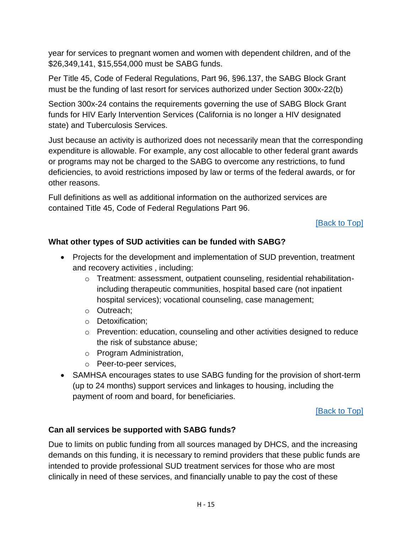year for services to pregnant women and women with dependent children, and of the \$26,349,141, \$15,554,000 must be SABG funds.

Per Title 45, Code of Federal Regulations, Part 96, §96.137, the SABG Block Grant must be the funding of last resort for services authorized under Section 300x-22(b)

Section 300x-24 contains the requirements governing the use of SABG Block Grant funds for HIV Early Intervention Services (California is no longer a HIV designated state) and Tuberculosis Services.

Just because an activity is authorized does not necessarily mean that the corresponding expenditure is allowable. For example, any cost allocable to other federal grant awards or programs may not be charged to the SABG to overcome any restrictions, to fund deficiencies, to avoid restrictions imposed by law or terms of the federal awards, or for other reasons.

Full definitions as well as additional information on the authorized services are contained Title 45, Code of Federal Regulations Part 96.

**[\[Back to Top\]](#page-48-0)** 

## <span id="page-62-0"></span>**What other types of SUD activities can be funded with SABG?**

- Projects for the development and implementation of SUD prevention, treatment and recovery activities , including:
	- $\circ$  Treatment: assessment, outpatient counseling, residential rehabilitationincluding therapeutic communities, hospital based care (not inpatient hospital services); vocational counseling, case management;
	- o Outreach;
	- o Detoxification;
	- $\circ$  Prevention: education, counseling and other activities designed to reduce the risk of substance abuse;
	- o Program Administration,
	- o Peer-to-peer services,
- SAMHSA encourages states to use SABG funding for the provision of short-term (up to 24 months) support services and linkages to housing, including the payment of room and board, for beneficiaries.

[\[Back to Top\]](#page-48-0)

### <span id="page-62-1"></span>**Can all services be supported with SABG funds?**

Due to limits on public funding from all sources managed by DHCS, and the increasing demands on this funding, it is necessary to remind providers that these public funds are intended to provide professional SUD treatment services for those who are most clinically in need of these services, and financially unable to pay the cost of these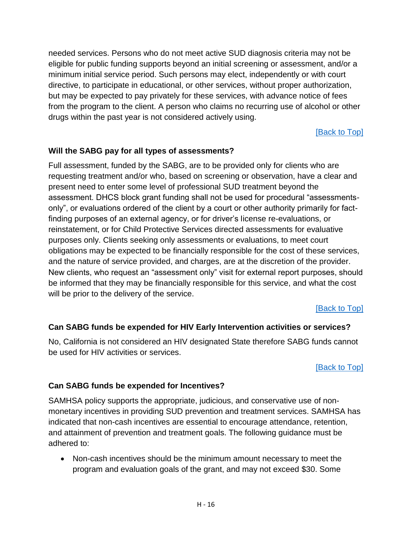needed services. Persons who do not meet active SUD diagnosis criteria may not be eligible for public funding supports beyond an initial screening or assessment, and/or a minimum initial service period. Such persons may elect, independently or with court directive, to participate in educational, or other services, without proper authorization, but may be expected to pay privately for these services, with advance notice of fees from the program to the client. A person who claims no recurring use of alcohol or other drugs within the past year is not considered actively using.

[\[Back to Top\]](#page-48-0)

# <span id="page-63-0"></span>**Will the SABG pay for all types of assessments?**

Full assessment, funded by the SABG, are to be provided only for clients who are requesting treatment and/or who, based on screening or observation, have a clear and present need to enter some level of professional SUD treatment beyond the assessment. DHCS block grant funding shall not be used for procedural "assessmentsonly", or evaluations ordered of the client by a court or other authority primarily for factfinding purposes of an external agency, or for driver's license re-evaluations, or reinstatement, or for Child Protective Services directed assessments for evaluative purposes only. Clients seeking only assessments or evaluations, to meet court obligations may be expected to be financially responsible for the cost of these services, and the nature of service provided, and charges, are at the discretion of the provider. New clients, who request an "assessment only" visit for external report purposes, should be informed that they may be financially responsible for this service, and what the cost will be prior to the delivery of the service.

[\[Back to Top\]](#page-48-0)

# <span id="page-63-1"></span>**Can SABG funds be expended for HIV Early Intervention activities or services?**

No, California is not considered an HIV designated State therefore SABG funds cannot be used for HIV activities or services.

[\[Back to Top\]](#page-48-0)

### <span id="page-63-2"></span>**Can SABG funds be expended for Incentives?**

SAMHSA policy supports the appropriate, judicious, and conservative use of nonmonetary incentives in providing SUD prevention and treatment services. SAMHSA has indicated that non-cash incentives are essential to encourage attendance, retention, and attainment of prevention and treatment goals. The following guidance must be adhered to:

 Non-cash incentives should be the minimum amount necessary to meet the program and evaluation goals of the grant, and may not exceed \$30. Some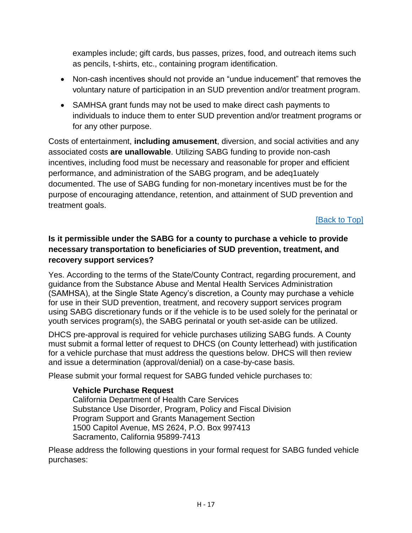examples include; gift cards, bus passes, prizes, food, and outreach items such as pencils, t-shirts, etc., containing program identification.

- Non-cash incentives should not provide an "undue inducement" that removes the voluntary nature of participation in an SUD prevention and/or treatment program.
- SAMHSA grant funds may not be used to make direct cash payments to individuals to induce them to enter SUD prevention and/or treatment programs or for any other purpose.

Costs of entertainment, **including amusement**, diversion, and social activities and any associated costs **are unallowable**. Utilizing SABG funding to provide non-cash incentives, including food must be necessary and reasonable for proper and efficient performance, and administration of the SABG program, and be adeq1uately documented. The use of SABG funding for non-monetary incentives must be for the purpose of encouraging attendance, retention, and attainment of SUD prevention and treatment goals.

[\[Back to Top\]](#page-48-0)

# <span id="page-64-0"></span>**Is it permissible under the SABG for a county to purchase a vehicle to provide necessary transportation to beneficiaries of SUD prevention, treatment, and recovery support services?**

Yes. According to the terms of the State/County Contract, regarding procurement, and guidance from the Substance Abuse and Mental Health Services Administration (SAMHSA), at the Single State Agency's discretion, a County may purchase a vehicle for use in their SUD prevention, treatment, and recovery support services program using SABG discretionary funds or if the vehicle is to be used solely for the perinatal or youth services program(s), the SABG perinatal or youth set-aside can be utilized.

DHCS pre-approval is required for vehicle purchases utilizing SABG funds. A County must submit a formal letter of request to DHCS (on County letterhead) with justification for a vehicle purchase that must address the questions below. DHCS will then review and issue a determination (approval/denial) on a case-by-case basis.

Please submit your formal request for SABG funded vehicle purchases to:

### **Vehicle Purchase Request**

California Department of Health Care Services Substance Use Disorder, Program, Policy and Fiscal Division Program Support and Grants Management Section 1500 Capitol Avenue, MS 2624, P.O. Box 997413 Sacramento, California 95899-7413

Please address the following questions in your formal request for SABG funded vehicle purchases: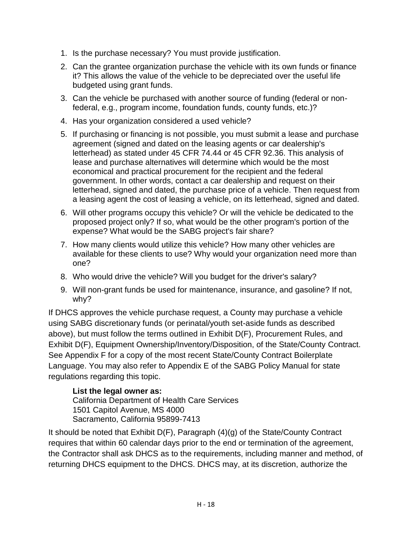- 1. Is the purchase necessary? You must provide justification.
- 2. Can the grantee organization purchase the vehicle with its own funds or finance it? This allows the value of the vehicle to be depreciated over the useful life budgeted using grant funds.
- 3. Can the vehicle be purchased with another source of funding (federal or nonfederal, e.g., program income, foundation funds, county funds, etc.)?
- 4. Has your organization considered a used vehicle?
- 5. If purchasing or financing is not possible, you must submit a lease and purchase agreement (signed and dated on the leasing agents or car dealership's letterhead) as stated under 45 CFR 74.44 or 45 CFR 92.36. This analysis of lease and purchase alternatives will determine which would be the most economical and practical procurement for the recipient and the federal government. In other words, contact a car dealership and request on their letterhead, signed and dated, the purchase price of a vehicle. Then request from a leasing agent the cost of leasing a vehicle, on its letterhead, signed and dated.
- 6. Will other programs occupy this vehicle? Or will the vehicle be dedicated to the proposed project only? If so, what would be the other program's portion of the expense? What would be the SABG project's fair share?
- 7. How many clients would utilize this vehicle? How many other vehicles are available for these clients to use? Why would your organization need more than one?
- 8. Who would drive the vehicle? Will you budget for the driver's salary?
- 9. Will non-grant funds be used for maintenance, insurance, and gasoline? If not, why?

If DHCS approves the vehicle purchase request, a County may purchase a vehicle using SABG discretionary funds (or perinatal/youth set-aside funds as described above), but must follow the terms outlined in Exhibit D(F), Procurement Rules, and Exhibit D(F), Equipment Ownership/Inventory/Disposition, of the State/County Contract. See Appendix F for a copy of the most recent State/County Contract Boilerplate Language. You may also refer to Appendix E of the SABG Policy Manual for state regulations regarding this topic.

# **List the legal owner as:**

California Department of Health Care Services 1501 Capitol Avenue, MS 4000 Sacramento, California 95899-7413

It should be noted that Exhibit D(F), Paragraph (4)(g) of the State/County Contract requires that within 60 calendar days prior to the end or termination of the agreement, the Contractor shall ask DHCS as to the requirements, including manner and method, of returning DHCS equipment to the DHCS. DHCS may, at its discretion, authorize the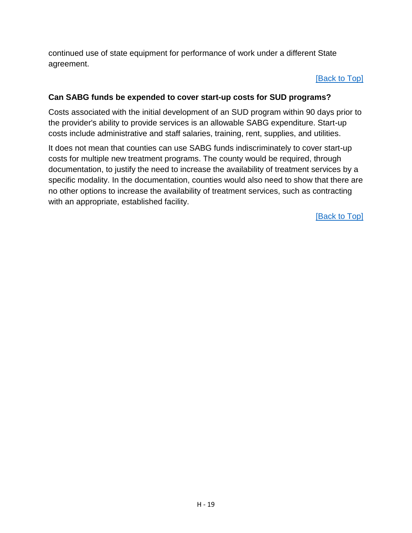continued use of state equipment for performance of work under a different State agreement.

### [\[Back to Top\]](#page-48-0)

## <span id="page-66-0"></span>**Can SABG funds be expended to cover start-up costs for SUD programs?**

Costs associated with the initial development of an SUD program within 90 days prior to the provider's ability to provide services is an allowable SABG expenditure. Start-up costs include administrative and staff salaries, training, rent, supplies, and utilities.

It does not mean that counties can use SABG funds indiscriminately to cover start-up costs for multiple new treatment programs. The county would be required, through documentation, to justify the need to increase the availability of treatment services by a specific modality. In the documentation, counties would also need to show that there are no other options to increase the availability of treatment services, such as contracting with an appropriate, established facility.

[\[Back to Top\]](#page-48-0)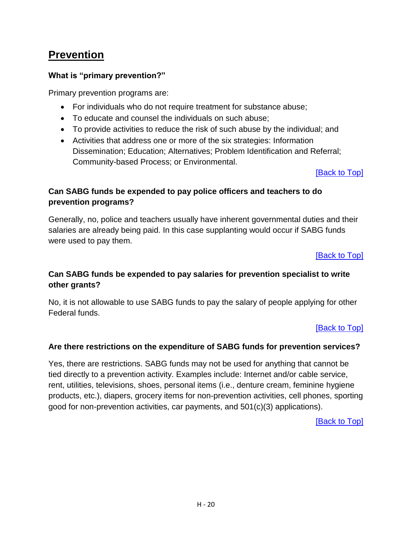# **Prevention**

# <span id="page-67-0"></span>**What is "primary prevention?"**

Primary prevention programs are:

- For individuals who do not require treatment for substance abuse;
- To educate and counsel the individuals on such abuse;
- To provide activities to reduce the risk of such abuse by the individual; and
- Activities that address one or more of the six strategies: Information Dissemination; Education; Alternatives; Problem Identification and Referral; Community-based Process; or Environmental.

### [\[Back to Top\]](#page-50-0)

# <span id="page-67-1"></span>**Can SABG funds be expended to pay police officers and teachers to do prevention programs?**

Generally, no, police and teachers usually have inherent governmental duties and their salaries are already being paid. In this case supplanting would occur if SABG funds were used to pay them.

[\[Back to Top\]](#page-50-0)

# <span id="page-67-2"></span>**Can SABG funds be expended to pay salaries for prevention specialist to write other grants?**

No, it is not allowable to use SABG funds to pay the salary of people applying for other Federal funds.

[\[Back to Top\]](#page-50-0)

# <span id="page-67-3"></span>**Are there restrictions on the expenditure of SABG funds for prevention services?**

Yes, there are restrictions. SABG funds may not be used for anything that cannot be tied directly to a prevention activity. Examples include: Internet and/or cable service, rent, utilities, televisions, shoes, personal items (i.e., denture cream, feminine hygiene products, etc.), diapers, grocery items for non-prevention activities, cell phones, sporting good for non-prevention activities, car payments, and 501(c)(3) applications).

[\[Back to Top\]](#page-50-0)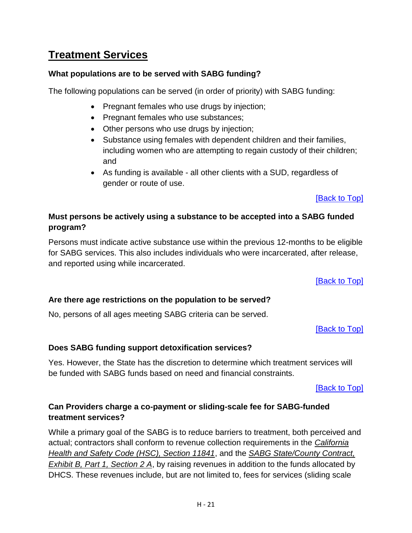# **Treatment Services**

# <span id="page-68-0"></span>**What populations are to be served with SABG funding?**

The following populations can be served (in order of priority) with SABG funding:

- Pregnant females who use drugs by injection;
- Pregnant females who use substances;
- Other persons who use drugs by injection;
- Substance using females with dependent children and their families, including women who are attempting to regain custody of their children; and
- As funding is available all other clients with a SUD, regardless of gender or route of use.

[\[Back to Top\]](#page-50-1)

# <span id="page-68-1"></span>**Must persons be actively using a substance to be accepted into a SABG funded program?**

Persons must indicate active substance use within the previous 12-months to be eligible for SABG services. This also includes individuals who were incarcerated, after release, and reported using while incarcerated.

[\[Back to Top\]](#page-50-1)

# <span id="page-68-2"></span>**Are there age restrictions on the population to be served?**

No, persons of all ages meeting SABG criteria can be served.

[\[Back to Top\]](#page-50-1)

# <span id="page-68-3"></span>**Does SABG funding support detoxification services?**

Yes. However, the State has the discretion to determine which treatment services will be funded with SABG funds based on need and financial constraints.

[\[Back to Top\]](#page-50-1)

# <span id="page-68-4"></span>**Can Providers charge a co-payment or sliding-scale fee for SABG-funded treatment services?**

While a primary goal of the SABG is to reduce barriers to treatment, both perceived and actual; contractors shall conform to revenue collection requirements in the *California Health and Safety Code (HSC), Section 11841*, and the *SABG State/County Contract, Exhibit B, Part 1, Section 2 A*, by raising revenues in addition to the funds allocated by DHCS. These revenues include, but are not limited to, fees for services (sliding scale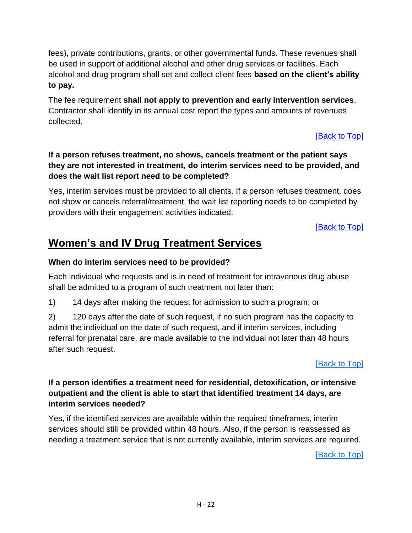fees), private contributions, grants, or other governmental funds. These revenues shall be used in support of additional alcohol and other drug services or facilities. Each alcohol and drug program shall set and collect client fees **based on the client's ability to pay.**

The fee requirement **shall not apply to prevention and early intervention services**. Contractor shall identify in its annual cost report the types and amounts of revenues collected.

[\[Back to Top\]](#page-50-1)

# <span id="page-69-0"></span>**If a person refuses treatment, no shows, cancels treatment or the patient says they are not interested in treatment, do interim services need to be provided, and does the wait list report need to be completed?**

Yes, interim services must be provided to all clients. If a person refuses treatment, does not show or cancels referral/treatment, the wait list reporting needs to be completed by providers with their engagement activities indicated.

[\[Back to Top\]](#page-50-1)

# **Women's and IV Drug Treatment Services**

# <span id="page-69-1"></span>**When do interim services need to be provided?**

Each individual who requests and is in need of treatment for intravenous drug abuse shall be admitted to a program of such treatment not later than:

1) 14 days after making the request for admission to such a program; or

2) 120 days after the date of such request, if no such program has the capacity to admit the individual on the date of such request, and if interim services, including referral for prenatal care, are made available to the individual not later than 48 hours after such request.

[\[Back to](#page-50-2) Top]

# <span id="page-69-2"></span>**If a person identifies a treatment need for residential, detoxification, or intensive outpatient and the client is able to start that identified treatment 14 days, are interim services needed?**

Yes, if the identified services are available within the required timeframes, interim services should still be provided within 48 hours. Also, if the person is reassessed as needing a treatment service that is not currently available, interim services are required.

[\[Back to Top\]](#page-50-2)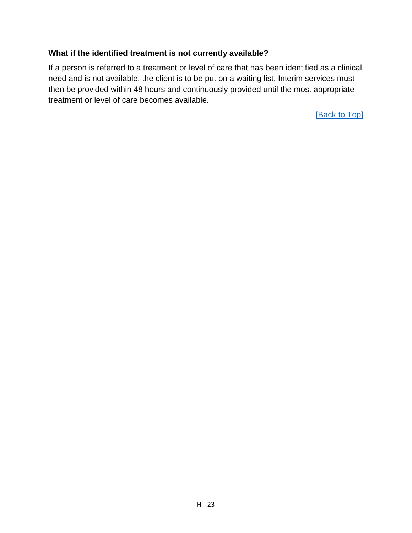### <span id="page-70-0"></span>**What if the identified treatment is not currently available?**

If a person is referred to a treatment or level of care that has been identified as a clinical need and is not available, the client is to be put on a waiting list. Interim services must then be provided within 48 hours and continuously provided until the most appropriate treatment or level of care becomes available.

[\[Back to Top\]](#page-50-2)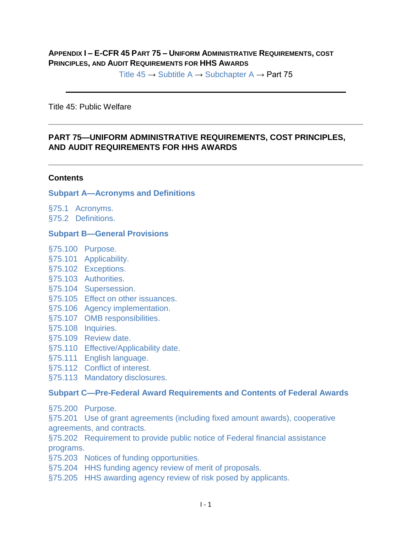#### **APPENDIX I – E-CFR 45 PART 75 – UNIFORM ADMINISTRATIVE REQUIREMENTS, COST PRINCIPLES, AND AUDIT REQUIREMENTS FOR HHS AWARDS**

Title  $45 \rightarrow$  [Subtitle A](https://www.ecfr.gov/cgi-bin/text-idx?gp=&SID=9a1a2771cb6b6c5f45c53219b5af62be&mc=true&tpl=/ecfrbrowse/Title45/45subtitleA.tpl)  $\rightarrow$  [Subchapter A](https://www.ecfr.gov/cgi-bin/text-idx?gp=&SID=9a1a2771cb6b6c5f45c53219b5af62be&mc=true&tpl=/ecfrbrowse/Title45/45CsubchapA.tpl)  $\rightarrow$  Part 75

Title 45: Public Welfare

#### **PART 75—UNIFORM ADMINISTRATIVE REQUIREMENTS, COST PRINCIPLES, AND AUDIT REQUIREMENTS FOR HHS AWARDS**

#### **Contents**

#### **[Subpart A—Acronyms and Definitions](https://www.ecfr.gov/cgi-bin/text-idx?SID=06a0b0411d1520fae5e2799030e64ebf&node=pt45.1.75&rgn=div5#sp45.1.75.a)**

[§75.1 Acronyms.](https://www.ecfr.gov/cgi-bin/text-idx?SID=06a0b0411d1520fae5e2799030e64ebf&node=pt45.1.75&rgn=div5#se45.1.75_11) [§75.2 Definitions.](https://www.ecfr.gov/cgi-bin/text-idx?SID=06a0b0411d1520fae5e2799030e64ebf&node=pt45.1.75&rgn=div5#se45.1.75_12)

#### **[Subpart B—General Provisions](https://www.ecfr.gov/cgi-bin/text-idx?SID=06a0b0411d1520fae5e2799030e64ebf&node=pt45.1.75&rgn=div5#sp45.1.75.b)**

- [§75.100 Purpose.](https://www.ecfr.gov/cgi-bin/text-idx?SID=06a0b0411d1520fae5e2799030e64ebf&node=pt45.1.75&rgn=div5#se45.1.75_1100)
- [§75.101 Applicability.](https://www.ecfr.gov/cgi-bin/text-idx?SID=06a0b0411d1520fae5e2799030e64ebf&node=pt45.1.75&rgn=div5#se45.1.75_1101)
- [§75.102 Exceptions.](https://www.ecfr.gov/cgi-bin/text-idx?SID=06a0b0411d1520fae5e2799030e64ebf&node=pt45.1.75&rgn=div5#se45.1.75_1102)
- [§75.103 Authorities.](https://www.ecfr.gov/cgi-bin/text-idx?SID=06a0b0411d1520fae5e2799030e64ebf&node=pt45.1.75&rgn=div5#se45.1.75_1103)
- [§75.104 Supersession.](https://www.ecfr.gov/cgi-bin/text-idx?SID=06a0b0411d1520fae5e2799030e64ebf&node=pt45.1.75&rgn=div5#se45.1.75_1104)
- [§75.105 Effect on other issuances.](https://www.ecfr.gov/cgi-bin/text-idx?SID=06a0b0411d1520fae5e2799030e64ebf&node=pt45.1.75&rgn=div5#se45.1.75_1105)
- [§75.106 Agency implementation.](https://www.ecfr.gov/cgi-bin/text-idx?SID=06a0b0411d1520fae5e2799030e64ebf&node=pt45.1.75&rgn=div5#se45.1.75_1106)
- [§75.107 OMB responsibilities.](https://www.ecfr.gov/cgi-bin/text-idx?SID=06a0b0411d1520fae5e2799030e64ebf&node=pt45.1.75&rgn=div5#se45.1.75_1107)
- [§75.108 Inquiries.](https://www.ecfr.gov/cgi-bin/text-idx?SID=06a0b0411d1520fae5e2799030e64ebf&node=pt45.1.75&rgn=div5#se45.1.75_1108)
- [§75.109 Review date.](https://www.ecfr.gov/cgi-bin/text-idx?SID=06a0b0411d1520fae5e2799030e64ebf&node=pt45.1.75&rgn=div5#se45.1.75_1109)
- [§75.110 Effective/Applicability date.](https://www.ecfr.gov/cgi-bin/text-idx?SID=06a0b0411d1520fae5e2799030e64ebf&node=pt45.1.75&rgn=div5#se45.1.75_1110)
- [§75.111 English language.](https://www.ecfr.gov/cgi-bin/text-idx?SID=06a0b0411d1520fae5e2799030e64ebf&node=pt45.1.75&rgn=div5#se45.1.75_1111)
- [§75.112 Conflict of interest.](https://www.ecfr.gov/cgi-bin/text-idx?SID=06a0b0411d1520fae5e2799030e64ebf&node=pt45.1.75&rgn=div5#se45.1.75_1112)
- [§75.113 Mandatory disclosures.](https://www.ecfr.gov/cgi-bin/text-idx?SID=06a0b0411d1520fae5e2799030e64ebf&node=pt45.1.75&rgn=div5#se45.1.75_1113)

#### **[Subpart C—Pre-Federal Award Requirements and Contents of Federal Awards](https://www.ecfr.gov/cgi-bin/text-idx?SID=06a0b0411d1520fae5e2799030e64ebf&node=pt45.1.75&rgn=div5#sp45.1.75.c)**

[§75.200 Purpose.](https://www.ecfr.gov/cgi-bin/text-idx?SID=06a0b0411d1520fae5e2799030e64ebf&node=pt45.1.75&rgn=div5#se45.1.75_1200)

[§75.201 Use of grant agreements \(including fixed amount awards\), cooperative](https://www.ecfr.gov/cgi-bin/text-idx?SID=06a0b0411d1520fae5e2799030e64ebf&node=pt45.1.75&rgn=div5#se45.1.75_1201)  [agreements, and contracts.](https://www.ecfr.gov/cgi-bin/text-idx?SID=06a0b0411d1520fae5e2799030e64ebf&node=pt45.1.75&rgn=div5#se45.1.75_1201)

[§75.202 Requirement to provide public notice of Federal financial assistance](https://www.ecfr.gov/cgi-bin/text-idx?SID=06a0b0411d1520fae5e2799030e64ebf&node=pt45.1.75&rgn=div5#se45.1.75_1202)  [programs.](https://www.ecfr.gov/cgi-bin/text-idx?SID=06a0b0411d1520fae5e2799030e64ebf&node=pt45.1.75&rgn=div5#se45.1.75_1202)

[§75.203 Notices of funding opportunities.](https://www.ecfr.gov/cgi-bin/text-idx?SID=06a0b0411d1520fae5e2799030e64ebf&node=pt45.1.75&rgn=div5#se45.1.75_1203)

- [§75.204 HHS funding agency review of merit of proposals.](https://www.ecfr.gov/cgi-bin/text-idx?SID=06a0b0411d1520fae5e2799030e64ebf&node=pt45.1.75&rgn=div5#se45.1.75_1204)
- [§75.205 HHS awarding agency review of risk posed by applicants.](https://www.ecfr.gov/cgi-bin/text-idx?SID=06a0b0411d1520fae5e2799030e64ebf&node=pt45.1.75&rgn=div5#se45.1.75_1205)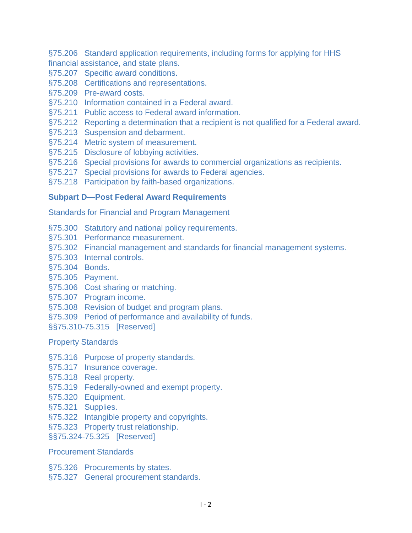[§75.206 Standard application requirements, including forms for applying for HHS](https://www.ecfr.gov/cgi-bin/text-idx?SID=06a0b0411d1520fae5e2799030e64ebf&node=pt45.1.75&rgn=div5#se45.1.75_1206)  [financial assistance, and state plans.](https://www.ecfr.gov/cgi-bin/text-idx?SID=06a0b0411d1520fae5e2799030e64ebf&node=pt45.1.75&rgn=div5#se45.1.75_1206)

- [§75.207 Specific award conditions.](https://www.ecfr.gov/cgi-bin/text-idx?SID=06a0b0411d1520fae5e2799030e64ebf&node=pt45.1.75&rgn=div5#se45.1.75_1207)
- [§75.208 Certifications and representations.](https://www.ecfr.gov/cgi-bin/text-idx?SID=06a0b0411d1520fae5e2799030e64ebf&node=pt45.1.75&rgn=div5#se45.1.75_1208)
- [§75.209 Pre-award costs.](https://www.ecfr.gov/cgi-bin/text-idx?SID=06a0b0411d1520fae5e2799030e64ebf&node=pt45.1.75&rgn=div5#se45.1.75_1209)
- [§75.210 Information contained in a Federal award.](https://www.ecfr.gov/cgi-bin/text-idx?SID=06a0b0411d1520fae5e2799030e64ebf&node=pt45.1.75&rgn=div5#se45.1.75_1210)
- [§75.211 Public access to Federal award information.](https://www.ecfr.gov/cgi-bin/text-idx?SID=06a0b0411d1520fae5e2799030e64ebf&node=pt45.1.75&rgn=div5#se45.1.75_1211)
- [§75.212 Reporting a determination that a recipient is not qualified for a Federal award.](https://www.ecfr.gov/cgi-bin/text-idx?SID=06a0b0411d1520fae5e2799030e64ebf&node=pt45.1.75&rgn=div5#se45.1.75_1212)
- [§75.213 Suspension and debarment.](https://www.ecfr.gov/cgi-bin/text-idx?SID=06a0b0411d1520fae5e2799030e64ebf&node=pt45.1.75&rgn=div5#se45.1.75_1213)
- [§75.214 Metric system of measurement.](https://www.ecfr.gov/cgi-bin/text-idx?SID=06a0b0411d1520fae5e2799030e64ebf&node=pt45.1.75&rgn=div5#se45.1.75_1214)
- [§75.215 Disclosure of lobbying activities.](https://www.ecfr.gov/cgi-bin/text-idx?SID=06a0b0411d1520fae5e2799030e64ebf&node=pt45.1.75&rgn=div5#se45.1.75_1215)
- [§75.216 Special provisions for awards to commercial organizations as recipients.](https://www.ecfr.gov/cgi-bin/text-idx?SID=06a0b0411d1520fae5e2799030e64ebf&node=pt45.1.75&rgn=div5#se45.1.75_1216)
- [§75.217 Special provisions for awards to Federal agencies.](https://www.ecfr.gov/cgi-bin/text-idx?SID=06a0b0411d1520fae5e2799030e64ebf&node=pt45.1.75&rgn=div5#se45.1.75_1217)
- [§75.218 Participation by faith-based organizations.](https://www.ecfr.gov/cgi-bin/text-idx?SID=06a0b0411d1520fae5e2799030e64ebf&node=pt45.1.75&rgn=div5#se45.1.75_1218)

## **[Subpart D—Post Federal Award Requirements](https://www.ecfr.gov/cgi-bin/text-idx?SID=06a0b0411d1520fae5e2799030e64ebf&node=pt45.1.75&rgn=div5#sp45.1.75.d)**

[Standards for Financial and Program Management](https://www.ecfr.gov/cgi-bin/text-idx?SID=06a0b0411d1520fae5e2799030e64ebf&node=pt45.1.75&rgn=div5#sg45.1.75.d.sg0)

- [§75.300 Statutory and national policy requirements.](https://www.ecfr.gov/cgi-bin/text-idx?SID=06a0b0411d1520fae5e2799030e64ebf&node=pt45.1.75&rgn=div5#se45.1.75_1300)
- [§75.301 Performance measurement.](https://www.ecfr.gov/cgi-bin/text-idx?SID=06a0b0411d1520fae5e2799030e64ebf&node=pt45.1.75&rgn=div5#se45.1.75_1301)
- [§75.302 Financial management and standards for financial management systems.](https://www.ecfr.gov/cgi-bin/text-idx?SID=06a0b0411d1520fae5e2799030e64ebf&node=pt45.1.75&rgn=div5#se45.1.75_1302)
- [§75.303 Internal controls.](https://www.ecfr.gov/cgi-bin/text-idx?SID=06a0b0411d1520fae5e2799030e64ebf&node=pt45.1.75&rgn=div5#se45.1.75_1303)
- [§75.304 Bonds.](https://www.ecfr.gov/cgi-bin/text-idx?SID=06a0b0411d1520fae5e2799030e64ebf&node=pt45.1.75&rgn=div5#se45.1.75_1304)
- [§75.305 Payment.](https://www.ecfr.gov/cgi-bin/text-idx?SID=06a0b0411d1520fae5e2799030e64ebf&node=pt45.1.75&rgn=div5#se45.1.75_1305)
- [§75.306 Cost sharing or matching.](https://www.ecfr.gov/cgi-bin/text-idx?SID=06a0b0411d1520fae5e2799030e64ebf&node=pt45.1.75&rgn=div5#se45.1.75_1306)
- [§75.307 Program income.](https://www.ecfr.gov/cgi-bin/text-idx?SID=06a0b0411d1520fae5e2799030e64ebf&node=pt45.1.75&rgn=div5#se45.1.75_1307)
- [§75.308 Revision of budget and program plans.](https://www.ecfr.gov/cgi-bin/text-idx?SID=06a0b0411d1520fae5e2799030e64ebf&node=pt45.1.75&rgn=div5#se45.1.75_1308)
- [§75.309 Period of performance and availability of funds.](https://www.ecfr.gov/cgi-bin/text-idx?SID=06a0b0411d1520fae5e2799030e64ebf&node=pt45.1.75&rgn=div5#se45.1.75_1309)
- [§§75.310-75.315 \[Reserved\]](https://www.ecfr.gov/cgi-bin/text-idx?SID=06a0b0411d1520fae5e2799030e64ebf&node=pt45.1.75&rgn=div5#se45.1.75_1310_675_1315)

[Property Standards](https://www.ecfr.gov/cgi-bin/text-idx?SID=06a0b0411d1520fae5e2799030e64ebf&node=pt45.1.75&rgn=div5#sg45.1.75_1310_675_1315.sg1)

- [§75.316 Purpose of property standards.](https://www.ecfr.gov/cgi-bin/text-idx?SID=06a0b0411d1520fae5e2799030e64ebf&node=pt45.1.75&rgn=div5#se45.1.75_1316)
- [§75.317 Insurance coverage.](https://www.ecfr.gov/cgi-bin/text-idx?SID=06a0b0411d1520fae5e2799030e64ebf&node=pt45.1.75&rgn=div5#se45.1.75_1317)
- [§75.318 Real property.](https://www.ecfr.gov/cgi-bin/text-idx?SID=06a0b0411d1520fae5e2799030e64ebf&node=pt45.1.75&rgn=div5#se45.1.75_1318)
- [§75.319 Federally-owned and exempt property.](https://www.ecfr.gov/cgi-bin/text-idx?SID=06a0b0411d1520fae5e2799030e64ebf&node=pt45.1.75&rgn=div5#se45.1.75_1319)
- [§75.320 Equipment.](https://www.ecfr.gov/cgi-bin/text-idx?SID=06a0b0411d1520fae5e2799030e64ebf&node=pt45.1.75&rgn=div5#se45.1.75_1320)
- [§75.321 Supplies.](https://www.ecfr.gov/cgi-bin/text-idx?SID=06a0b0411d1520fae5e2799030e64ebf&node=pt45.1.75&rgn=div5#se45.1.75_1321)
- [§75.322 Intangible property and copyrights.](https://www.ecfr.gov/cgi-bin/text-idx?SID=06a0b0411d1520fae5e2799030e64ebf&node=pt45.1.75&rgn=div5#se45.1.75_1322)
- [§75.323 Property trust relationship.](https://www.ecfr.gov/cgi-bin/text-idx?SID=06a0b0411d1520fae5e2799030e64ebf&node=pt45.1.75&rgn=div5#se45.1.75_1323)
- [§§75.324-75.325 \[Reserved\]](https://www.ecfr.gov/cgi-bin/text-idx?SID=06a0b0411d1520fae5e2799030e64ebf&node=pt45.1.75&rgn=div5#se45.1.75_1324_675_1325)

## [Procurement Standards](https://www.ecfr.gov/cgi-bin/text-idx?SID=06a0b0411d1520fae5e2799030e64ebf&node=pt45.1.75&rgn=div5#sg45.1.75_1324_675_1325.sg2)

- [§75.326 Procurements by states.](https://www.ecfr.gov/cgi-bin/text-idx?SID=06a0b0411d1520fae5e2799030e64ebf&node=pt45.1.75&rgn=div5#se45.1.75_1326)
- [§75.327 General procurement standards.](https://www.ecfr.gov/cgi-bin/text-idx?SID=06a0b0411d1520fae5e2799030e64ebf&node=pt45.1.75&rgn=div5#se45.1.75_1327)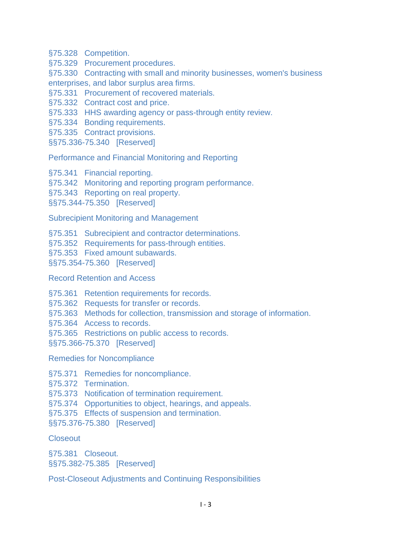[§75.328 Competition.](https://www.ecfr.gov/cgi-bin/text-idx?SID=06a0b0411d1520fae5e2799030e64ebf&node=pt45.1.75&rgn=div5#se45.1.75_1328)

[§75.329 Procurement procedures.](https://www.ecfr.gov/cgi-bin/text-idx?SID=06a0b0411d1520fae5e2799030e64ebf&node=pt45.1.75&rgn=div5#se45.1.75_1329)

[§75.330 Contracting with small and minority businesses, women's business](https://www.ecfr.gov/cgi-bin/text-idx?SID=06a0b0411d1520fae5e2799030e64ebf&node=pt45.1.75&rgn=div5#se45.1.75_1330)  [enterprises, and labor surplus area firms.](https://www.ecfr.gov/cgi-bin/text-idx?SID=06a0b0411d1520fae5e2799030e64ebf&node=pt45.1.75&rgn=div5#se45.1.75_1330)

[§75.331 Procurement of recovered materials.](https://www.ecfr.gov/cgi-bin/text-idx?SID=06a0b0411d1520fae5e2799030e64ebf&node=pt45.1.75&rgn=div5#se45.1.75_1331)

[§75.332 Contract cost and price.](https://www.ecfr.gov/cgi-bin/text-idx?SID=06a0b0411d1520fae5e2799030e64ebf&node=pt45.1.75&rgn=div5#se45.1.75_1332)

[§75.333 HHS awarding agency or pass-through entity review.](https://www.ecfr.gov/cgi-bin/text-idx?SID=06a0b0411d1520fae5e2799030e64ebf&node=pt45.1.75&rgn=div5#se45.1.75_1333)

[§75.334 Bonding requirements.](https://www.ecfr.gov/cgi-bin/text-idx?SID=06a0b0411d1520fae5e2799030e64ebf&node=pt45.1.75&rgn=div5#se45.1.75_1334)

[§75.335 Contract provisions.](https://www.ecfr.gov/cgi-bin/text-idx?SID=06a0b0411d1520fae5e2799030e64ebf&node=pt45.1.75&rgn=div5#se45.1.75_1335)

[§§75.336-75.340 \[Reserved\]](https://www.ecfr.gov/cgi-bin/text-idx?SID=06a0b0411d1520fae5e2799030e64ebf&node=pt45.1.75&rgn=div5#se45.1.75_1336_675_1340)

[Performance and Financial Monitoring and Reporting](https://www.ecfr.gov/cgi-bin/text-idx?SID=06a0b0411d1520fae5e2799030e64ebf&node=pt45.1.75&rgn=div5#sg45.1.75_1336_675_1340.sg3)

[§75.341 Financial reporting.](https://www.ecfr.gov/cgi-bin/text-idx?SID=06a0b0411d1520fae5e2799030e64ebf&node=pt45.1.75&rgn=div5#se45.1.75_1341)

[§75.342 Monitoring and reporting program performance.](https://www.ecfr.gov/cgi-bin/text-idx?SID=06a0b0411d1520fae5e2799030e64ebf&node=pt45.1.75&rgn=div5#se45.1.75_1342)

[§75.343 Reporting on real property.](https://www.ecfr.gov/cgi-bin/text-idx?SID=06a0b0411d1520fae5e2799030e64ebf&node=pt45.1.75&rgn=div5#se45.1.75_1343)

[§§75.344-75.350 \[Reserved\]](https://www.ecfr.gov/cgi-bin/text-idx?SID=06a0b0411d1520fae5e2799030e64ebf&node=pt45.1.75&rgn=div5#se45.1.75_1344_675_1350)

[Subrecipient Monitoring and Management](https://www.ecfr.gov/cgi-bin/text-idx?SID=06a0b0411d1520fae5e2799030e64ebf&node=pt45.1.75&rgn=div5#sg45.1.75_1344_675_1350.sg4)

[§75.351 Subrecipient and contractor determinations.](https://www.ecfr.gov/cgi-bin/text-idx?SID=06a0b0411d1520fae5e2799030e64ebf&node=pt45.1.75&rgn=div5#se45.1.75_1351)

[§75.352 Requirements for pass-through entities.](https://www.ecfr.gov/cgi-bin/text-idx?SID=06a0b0411d1520fae5e2799030e64ebf&node=pt45.1.75&rgn=div5#se45.1.75_1352)

[§75.353 Fixed amount subawards.](https://www.ecfr.gov/cgi-bin/text-idx?SID=06a0b0411d1520fae5e2799030e64ebf&node=pt45.1.75&rgn=div5#se45.1.75_1353)

[§§75.354-75.360 \[Reserved\]](https://www.ecfr.gov/cgi-bin/text-idx?SID=06a0b0411d1520fae5e2799030e64ebf&node=pt45.1.75&rgn=div5#se45.1.75_1354_675_1360)

[Record Retention and Access](https://www.ecfr.gov/cgi-bin/text-idx?SID=06a0b0411d1520fae5e2799030e64ebf&node=pt45.1.75&rgn=div5#sg45.1.75_1354_675_1360.sg5)

[§75.361 Retention requirements for records.](https://www.ecfr.gov/cgi-bin/text-idx?SID=06a0b0411d1520fae5e2799030e64ebf&node=pt45.1.75&rgn=div5#se45.1.75_1361)

[§75.362 Requests for transfer or records.](https://www.ecfr.gov/cgi-bin/text-idx?SID=06a0b0411d1520fae5e2799030e64ebf&node=pt45.1.75&rgn=div5#se45.1.75_1362)

[§75.363 Methods for collection, transmission and storage of information.](https://www.ecfr.gov/cgi-bin/text-idx?SID=06a0b0411d1520fae5e2799030e64ebf&node=pt45.1.75&rgn=div5#se45.1.75_1363)

[§75.364 Access to records.](https://www.ecfr.gov/cgi-bin/text-idx?SID=06a0b0411d1520fae5e2799030e64ebf&node=pt45.1.75&rgn=div5#se45.1.75_1364)

[§75.365 Restrictions on public access to records.](https://www.ecfr.gov/cgi-bin/text-idx?SID=06a0b0411d1520fae5e2799030e64ebf&node=pt45.1.75&rgn=div5#se45.1.75_1365)

[§§75.366-75.370 \[Reserved\]](https://www.ecfr.gov/cgi-bin/text-idx?SID=06a0b0411d1520fae5e2799030e64ebf&node=pt45.1.75&rgn=div5#se45.1.75_1366_675_1370)

[Remedies for Noncompliance](https://www.ecfr.gov/cgi-bin/text-idx?SID=06a0b0411d1520fae5e2799030e64ebf&node=pt45.1.75&rgn=div5#sg45.1.75_1366_675_1370.sg6)

[§75.371 Remedies for noncompliance.](https://www.ecfr.gov/cgi-bin/text-idx?SID=06a0b0411d1520fae5e2799030e64ebf&node=pt45.1.75&rgn=div5#se45.1.75_1371)

[§75.372 Termination.](https://www.ecfr.gov/cgi-bin/text-idx?SID=06a0b0411d1520fae5e2799030e64ebf&node=pt45.1.75&rgn=div5#se45.1.75_1372)

[§75.373 Notification of termination requirement.](https://www.ecfr.gov/cgi-bin/text-idx?SID=06a0b0411d1520fae5e2799030e64ebf&node=pt45.1.75&rgn=div5#se45.1.75_1373)

[§75.374 Opportunities to object, hearings, and appeals.](https://www.ecfr.gov/cgi-bin/text-idx?SID=06a0b0411d1520fae5e2799030e64ebf&node=pt45.1.75&rgn=div5#se45.1.75_1374)

[§75.375 Effects of suspension and termination.](https://www.ecfr.gov/cgi-bin/text-idx?SID=06a0b0411d1520fae5e2799030e64ebf&node=pt45.1.75&rgn=div5#se45.1.75_1375)

[§§75.376-75.380 \[Reserved\]](https://www.ecfr.gov/cgi-bin/text-idx?SID=06a0b0411d1520fae5e2799030e64ebf&node=pt45.1.75&rgn=div5#se45.1.75_1376_675_1380)

**[Closeout](https://www.ecfr.gov/cgi-bin/text-idx?SID=06a0b0411d1520fae5e2799030e64ebf&node=pt45.1.75&rgn=div5#sg45.1.75_1376_675_1380.sg7)** 

[§75.381 Closeout.](https://www.ecfr.gov/cgi-bin/text-idx?SID=06a0b0411d1520fae5e2799030e64ebf&node=pt45.1.75&rgn=div5#se45.1.75_1381) [§§75.382-75.385 \[Reserved\]](https://www.ecfr.gov/cgi-bin/text-idx?SID=06a0b0411d1520fae5e2799030e64ebf&node=pt45.1.75&rgn=div5#se45.1.75_1382_675_1385)

[Post-Closeout Adjustments and Continuing Responsibilities](https://www.ecfr.gov/cgi-bin/text-idx?SID=06a0b0411d1520fae5e2799030e64ebf&node=pt45.1.75&rgn=div5#sg45.1.75_1382_675_1385.sg8)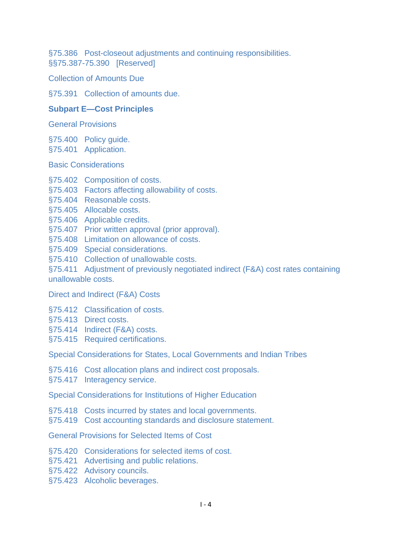[§75.386 Post-closeout adjustments and continuing responsibilities.](https://www.ecfr.gov/cgi-bin/text-idx?SID=06a0b0411d1520fae5e2799030e64ebf&node=pt45.1.75&rgn=div5#se45.1.75_1386) [§§75.387-75.390 \[Reserved\]](https://www.ecfr.gov/cgi-bin/text-idx?SID=06a0b0411d1520fae5e2799030e64ebf&node=pt45.1.75&rgn=div5#se45.1.75_1387_675_1390)

[Collection of Amounts Due](https://www.ecfr.gov/cgi-bin/text-idx?SID=06a0b0411d1520fae5e2799030e64ebf&node=pt45.1.75&rgn=div5#sg45.1.75_1387_675_1390.sg9)

[§75.391 Collection of amounts due.](https://www.ecfr.gov/cgi-bin/text-idx?SID=06a0b0411d1520fae5e2799030e64ebf&node=pt45.1.75&rgn=div5#se45.1.75_1391)

## **[Subpart E—Cost Principles](https://www.ecfr.gov/cgi-bin/text-idx?SID=06a0b0411d1520fae5e2799030e64ebf&node=pt45.1.75&rgn=div5#sp45.1.75.e)**

[General Provisions](https://www.ecfr.gov/cgi-bin/text-idx?SID=06a0b0411d1520fae5e2799030e64ebf&node=pt45.1.75&rgn=div5#sg45.1.75.e.sg10)

[§75.400 Policy guide.](https://www.ecfr.gov/cgi-bin/text-idx?SID=06a0b0411d1520fae5e2799030e64ebf&node=pt45.1.75&rgn=div5#se45.1.75_1400)

[§75.401 Application.](https://www.ecfr.gov/cgi-bin/text-idx?SID=06a0b0411d1520fae5e2799030e64ebf&node=pt45.1.75&rgn=div5#se45.1.75_1401)

[Basic Considerations](https://www.ecfr.gov/cgi-bin/text-idx?SID=06a0b0411d1520fae5e2799030e64ebf&node=pt45.1.75&rgn=div5#sg45.1.75_1401.sg11)

- [§75.402 Composition of costs.](https://www.ecfr.gov/cgi-bin/text-idx?SID=06a0b0411d1520fae5e2799030e64ebf&node=pt45.1.75&rgn=div5#se45.1.75_1402)
- [§75.403 Factors affecting allowability of costs.](https://www.ecfr.gov/cgi-bin/text-idx?SID=06a0b0411d1520fae5e2799030e64ebf&node=pt45.1.75&rgn=div5#se45.1.75_1403)
- [§75.404 Reasonable costs.](https://www.ecfr.gov/cgi-bin/text-idx?SID=06a0b0411d1520fae5e2799030e64ebf&node=pt45.1.75&rgn=div5#se45.1.75_1404)
- [§75.405 Allocable costs.](https://www.ecfr.gov/cgi-bin/text-idx?SID=06a0b0411d1520fae5e2799030e64ebf&node=pt45.1.75&rgn=div5#se45.1.75_1405)
- [§75.406 Applicable credits.](https://www.ecfr.gov/cgi-bin/text-idx?SID=06a0b0411d1520fae5e2799030e64ebf&node=pt45.1.75&rgn=div5#se45.1.75_1406)
- [§75.407 Prior written approval \(prior approval\).](https://www.ecfr.gov/cgi-bin/text-idx?SID=06a0b0411d1520fae5e2799030e64ebf&node=pt45.1.75&rgn=div5#se45.1.75_1407)
- [§75.408 Limitation on allowance of costs.](https://www.ecfr.gov/cgi-bin/text-idx?SID=06a0b0411d1520fae5e2799030e64ebf&node=pt45.1.75&rgn=div5#se45.1.75_1408)
- [§75.409 Special considerations.](https://www.ecfr.gov/cgi-bin/text-idx?SID=06a0b0411d1520fae5e2799030e64ebf&node=pt45.1.75&rgn=div5#se45.1.75_1409)
- [§75.410 Collection of unallowable costs.](https://www.ecfr.gov/cgi-bin/text-idx?SID=06a0b0411d1520fae5e2799030e64ebf&node=pt45.1.75&rgn=div5#se45.1.75_1410)

[§75.411 Adjustment of previously negotiated indirect \(F&A\) cost rates containing](https://www.ecfr.gov/cgi-bin/text-idx?SID=06a0b0411d1520fae5e2799030e64ebf&node=pt45.1.75&rgn=div5#se45.1.75_1411)  [unallowable costs.](https://www.ecfr.gov/cgi-bin/text-idx?SID=06a0b0411d1520fae5e2799030e64ebf&node=pt45.1.75&rgn=div5#se45.1.75_1411)

[Direct and Indirect \(F&A\) Costs](https://www.ecfr.gov/cgi-bin/text-idx?SID=06a0b0411d1520fae5e2799030e64ebf&node=pt45.1.75&rgn=div5#sg45.1.75_1411.sg12)

- [§75.412 Classification of costs.](https://www.ecfr.gov/cgi-bin/text-idx?SID=06a0b0411d1520fae5e2799030e64ebf&node=pt45.1.75&rgn=div5#se45.1.75_1412)
- [§75.413 Direct costs.](https://www.ecfr.gov/cgi-bin/text-idx?SID=06a0b0411d1520fae5e2799030e64ebf&node=pt45.1.75&rgn=div5#se45.1.75_1413)
- [§75.414 Indirect \(F&A\) costs.](https://www.ecfr.gov/cgi-bin/text-idx?SID=06a0b0411d1520fae5e2799030e64ebf&node=pt45.1.75&rgn=div5#se45.1.75_1414)
- [§75.415 Required certifications.](https://www.ecfr.gov/cgi-bin/text-idx?SID=06a0b0411d1520fae5e2799030e64ebf&node=pt45.1.75&rgn=div5#se45.1.75_1415)

[Special Considerations for States, Local Governments and Indian Tribes](https://www.ecfr.gov/cgi-bin/text-idx?SID=06a0b0411d1520fae5e2799030e64ebf&node=pt45.1.75&rgn=div5#sg45.1.75_1415.sg13)

- [§75.416 Cost allocation plans and indirect cost proposals.](https://www.ecfr.gov/cgi-bin/text-idx?SID=06a0b0411d1520fae5e2799030e64ebf&node=pt45.1.75&rgn=div5#se45.1.75_1416)
- [§75.417 Interagency service.](https://www.ecfr.gov/cgi-bin/text-idx?SID=06a0b0411d1520fae5e2799030e64ebf&node=pt45.1.75&rgn=div5#se45.1.75_1417)

[Special Considerations for Institutions of Higher Education](https://www.ecfr.gov/cgi-bin/text-idx?SID=06a0b0411d1520fae5e2799030e64ebf&node=pt45.1.75&rgn=div5#sg45.1.75_1417.sg14)

- [§75.418 Costs incurred by states and local governments.](https://www.ecfr.gov/cgi-bin/text-idx?SID=06a0b0411d1520fae5e2799030e64ebf&node=pt45.1.75&rgn=div5#se45.1.75_1418)
- [§75.419 Cost accounting standards and disclosure statement.](https://www.ecfr.gov/cgi-bin/text-idx?SID=06a0b0411d1520fae5e2799030e64ebf&node=pt45.1.75&rgn=div5#se45.1.75_1419)

[General Provisions for Selected Items of Cost](https://www.ecfr.gov/cgi-bin/text-idx?SID=06a0b0411d1520fae5e2799030e64ebf&node=pt45.1.75&rgn=div5#sg45.1.75_1419.sg15)

- [§75.420 Considerations for selected items of cost.](https://www.ecfr.gov/cgi-bin/text-idx?SID=06a0b0411d1520fae5e2799030e64ebf&node=pt45.1.75&rgn=div5#se45.1.75_1420)
- [§75.421 Advertising and public relations.](https://www.ecfr.gov/cgi-bin/text-idx?SID=06a0b0411d1520fae5e2799030e64ebf&node=pt45.1.75&rgn=div5#se45.1.75_1421)
- [§75.422 Advisory councils.](https://www.ecfr.gov/cgi-bin/text-idx?SID=06a0b0411d1520fae5e2799030e64ebf&node=pt45.1.75&rgn=div5#se45.1.75_1422)
- [§75.423 Alcoholic beverages.](https://www.ecfr.gov/cgi-bin/text-idx?SID=06a0b0411d1520fae5e2799030e64ebf&node=pt45.1.75&rgn=div5#se45.1.75_1423)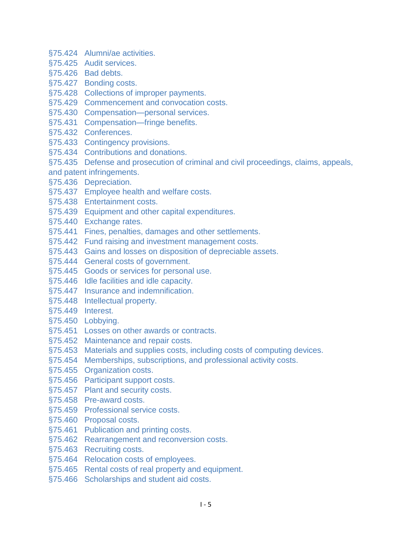- [§75.424 Alumni/ae activities.](https://www.ecfr.gov/cgi-bin/text-idx?SID=06a0b0411d1520fae5e2799030e64ebf&node=pt45.1.75&rgn=div5#se45.1.75_1424)
- [§75.425 Audit services.](https://www.ecfr.gov/cgi-bin/text-idx?SID=06a0b0411d1520fae5e2799030e64ebf&node=pt45.1.75&rgn=div5#se45.1.75_1425)
- [§75.426 Bad debts.](https://www.ecfr.gov/cgi-bin/text-idx?SID=06a0b0411d1520fae5e2799030e64ebf&node=pt45.1.75&rgn=div5#se45.1.75_1426)
- [§75.427 Bonding costs.](https://www.ecfr.gov/cgi-bin/text-idx?SID=06a0b0411d1520fae5e2799030e64ebf&node=pt45.1.75&rgn=div5#se45.1.75_1427)
- [§75.428 Collections of improper payments.](https://www.ecfr.gov/cgi-bin/text-idx?SID=06a0b0411d1520fae5e2799030e64ebf&node=pt45.1.75&rgn=div5#se45.1.75_1428)
- [§75.429 Commencement and convocation costs.](https://www.ecfr.gov/cgi-bin/text-idx?SID=06a0b0411d1520fae5e2799030e64ebf&node=pt45.1.75&rgn=div5#se45.1.75_1429)
- [§75.430 Compensation—personal services.](https://www.ecfr.gov/cgi-bin/text-idx?SID=06a0b0411d1520fae5e2799030e64ebf&node=pt45.1.75&rgn=div5#se45.1.75_1430)
- [§75.431 Compensation—fringe benefits.](https://www.ecfr.gov/cgi-bin/text-idx?SID=06a0b0411d1520fae5e2799030e64ebf&node=pt45.1.75&rgn=div5#se45.1.75_1431)
- [§75.432 Conferences.](https://www.ecfr.gov/cgi-bin/text-idx?SID=06a0b0411d1520fae5e2799030e64ebf&node=pt45.1.75&rgn=div5#se45.1.75_1432)
- [§75.433 Contingency provisions.](https://www.ecfr.gov/cgi-bin/text-idx?SID=06a0b0411d1520fae5e2799030e64ebf&node=pt45.1.75&rgn=div5#se45.1.75_1433)
- [§75.434 Contributions and donations.](https://www.ecfr.gov/cgi-bin/text-idx?SID=06a0b0411d1520fae5e2799030e64ebf&node=pt45.1.75&rgn=div5#se45.1.75_1434)
- [§75.435 Defense and prosecution of criminal and civil proceedings, claims, appeals,](https://www.ecfr.gov/cgi-bin/text-idx?SID=06a0b0411d1520fae5e2799030e64ebf&node=pt45.1.75&rgn=div5#se45.1.75_1435)  [and patent infringements.](https://www.ecfr.gov/cgi-bin/text-idx?SID=06a0b0411d1520fae5e2799030e64ebf&node=pt45.1.75&rgn=div5#se45.1.75_1435)
- [§75.436 Depreciation.](https://www.ecfr.gov/cgi-bin/text-idx?SID=06a0b0411d1520fae5e2799030e64ebf&node=pt45.1.75&rgn=div5#se45.1.75_1436)
- [§75.437 Employee health and welfare costs.](https://www.ecfr.gov/cgi-bin/text-idx?SID=06a0b0411d1520fae5e2799030e64ebf&node=pt45.1.75&rgn=div5#se45.1.75_1437)
- [§75.438 Entertainment costs.](https://www.ecfr.gov/cgi-bin/text-idx?SID=06a0b0411d1520fae5e2799030e64ebf&node=pt45.1.75&rgn=div5#se45.1.75_1438)
- [§75.439 Equipment and other capital expenditures.](https://www.ecfr.gov/cgi-bin/text-idx?SID=06a0b0411d1520fae5e2799030e64ebf&node=pt45.1.75&rgn=div5#se45.1.75_1439)
- [§75.440 Exchange rates.](https://www.ecfr.gov/cgi-bin/text-idx?SID=06a0b0411d1520fae5e2799030e64ebf&node=pt45.1.75&rgn=div5#se45.1.75_1440)
- [§75.441 Fines, penalties, damages and other settlements.](https://www.ecfr.gov/cgi-bin/text-idx?SID=06a0b0411d1520fae5e2799030e64ebf&node=pt45.1.75&rgn=div5#se45.1.75_1441)
- [§75.442 Fund raising and investment management costs.](https://www.ecfr.gov/cgi-bin/text-idx?SID=06a0b0411d1520fae5e2799030e64ebf&node=pt45.1.75&rgn=div5#se45.1.75_1442)
- [§75.443 Gains and losses on disposition of depreciable assets.](https://www.ecfr.gov/cgi-bin/text-idx?SID=06a0b0411d1520fae5e2799030e64ebf&node=pt45.1.75&rgn=div5#se45.1.75_1443)
- [§75.444 General costs of government.](https://www.ecfr.gov/cgi-bin/text-idx?SID=06a0b0411d1520fae5e2799030e64ebf&node=pt45.1.75&rgn=div5#se45.1.75_1444)
- [§75.445 Goods or services for personal use.](https://www.ecfr.gov/cgi-bin/text-idx?SID=06a0b0411d1520fae5e2799030e64ebf&node=pt45.1.75&rgn=div5#se45.1.75_1445)
- [§75.446 Idle facilities and idle capacity.](https://www.ecfr.gov/cgi-bin/text-idx?SID=06a0b0411d1520fae5e2799030e64ebf&node=pt45.1.75&rgn=div5#se45.1.75_1446)
- [§75.447 Insurance and indemnification.](https://www.ecfr.gov/cgi-bin/text-idx?SID=06a0b0411d1520fae5e2799030e64ebf&node=pt45.1.75&rgn=div5#se45.1.75_1447)
- [§75.448 Intellectual property.](https://www.ecfr.gov/cgi-bin/text-idx?SID=06a0b0411d1520fae5e2799030e64ebf&node=pt45.1.75&rgn=div5#se45.1.75_1448)
- [§75.449 Interest.](https://www.ecfr.gov/cgi-bin/text-idx?SID=06a0b0411d1520fae5e2799030e64ebf&node=pt45.1.75&rgn=div5#se45.1.75_1449)
- [§75.450 Lobbying.](https://www.ecfr.gov/cgi-bin/text-idx?SID=06a0b0411d1520fae5e2799030e64ebf&node=pt45.1.75&rgn=div5#se45.1.75_1450)
- [§75.451 Losses on other awards or contracts.](https://www.ecfr.gov/cgi-bin/text-idx?SID=06a0b0411d1520fae5e2799030e64ebf&node=pt45.1.75&rgn=div5#se45.1.75_1451)
- [§75.452 Maintenance and repair costs.](https://www.ecfr.gov/cgi-bin/text-idx?SID=06a0b0411d1520fae5e2799030e64ebf&node=pt45.1.75&rgn=div5#se45.1.75_1452)
- [§75.453 Materials and supplies costs, including costs of computing devices.](https://www.ecfr.gov/cgi-bin/text-idx?SID=06a0b0411d1520fae5e2799030e64ebf&node=pt45.1.75&rgn=div5#se45.1.75_1453)
- [§75.454 Memberships, subscriptions, and professional activity costs.](https://www.ecfr.gov/cgi-bin/text-idx?SID=06a0b0411d1520fae5e2799030e64ebf&node=pt45.1.75&rgn=div5#se45.1.75_1454)
- [§75.455 Organization costs.](https://www.ecfr.gov/cgi-bin/text-idx?SID=06a0b0411d1520fae5e2799030e64ebf&node=pt45.1.75&rgn=div5#se45.1.75_1455)
- [§75.456 Participant support costs.](https://www.ecfr.gov/cgi-bin/text-idx?SID=06a0b0411d1520fae5e2799030e64ebf&node=pt45.1.75&rgn=div5#se45.1.75_1456)
- [§75.457 Plant and security costs.](https://www.ecfr.gov/cgi-bin/text-idx?SID=06a0b0411d1520fae5e2799030e64ebf&node=pt45.1.75&rgn=div5#se45.1.75_1457)
- [§75.458 Pre-award costs.](https://www.ecfr.gov/cgi-bin/text-idx?SID=06a0b0411d1520fae5e2799030e64ebf&node=pt45.1.75&rgn=div5#se45.1.75_1458)
- [§75.459 Professional service costs.](https://www.ecfr.gov/cgi-bin/text-idx?SID=06a0b0411d1520fae5e2799030e64ebf&node=pt45.1.75&rgn=div5#se45.1.75_1459)
- [§75.460 Proposal costs.](https://www.ecfr.gov/cgi-bin/text-idx?SID=06a0b0411d1520fae5e2799030e64ebf&node=pt45.1.75&rgn=div5#se45.1.75_1460)
- [§75.461 Publication and printing costs.](https://www.ecfr.gov/cgi-bin/text-idx?SID=06a0b0411d1520fae5e2799030e64ebf&node=pt45.1.75&rgn=div5#se45.1.75_1461)
- [§75.462 Rearrangement and reconversion costs.](https://www.ecfr.gov/cgi-bin/text-idx?SID=06a0b0411d1520fae5e2799030e64ebf&node=pt45.1.75&rgn=div5#se45.1.75_1462)
- [§75.463 Recruiting costs.](https://www.ecfr.gov/cgi-bin/text-idx?SID=06a0b0411d1520fae5e2799030e64ebf&node=pt45.1.75&rgn=div5#se45.1.75_1463)
- [§75.464 Relocation costs of employees.](https://www.ecfr.gov/cgi-bin/text-idx?SID=06a0b0411d1520fae5e2799030e64ebf&node=pt45.1.75&rgn=div5#se45.1.75_1464)
- [§75.465 Rental costs of real property and equipment.](https://www.ecfr.gov/cgi-bin/text-idx?SID=06a0b0411d1520fae5e2799030e64ebf&node=pt45.1.75&rgn=div5#se45.1.75_1465)
- [§75.466 Scholarships and student aid costs.](https://www.ecfr.gov/cgi-bin/text-idx?SID=06a0b0411d1520fae5e2799030e64ebf&node=pt45.1.75&rgn=div5#se45.1.75_1466)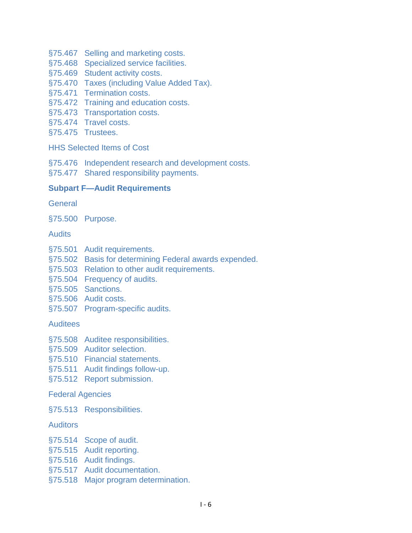- [§75.467 Selling and marketing costs.](https://www.ecfr.gov/cgi-bin/text-idx?SID=06a0b0411d1520fae5e2799030e64ebf&node=pt45.1.75&rgn=div5#se45.1.75_1467)
- [§75.468 Specialized service facilities.](https://www.ecfr.gov/cgi-bin/text-idx?SID=06a0b0411d1520fae5e2799030e64ebf&node=pt45.1.75&rgn=div5#se45.1.75_1468)
- [§75.469 Student activity costs.](https://www.ecfr.gov/cgi-bin/text-idx?SID=06a0b0411d1520fae5e2799030e64ebf&node=pt45.1.75&rgn=div5#se45.1.75_1469)
- [§75.470 Taxes \(including Value Added Tax\).](https://www.ecfr.gov/cgi-bin/text-idx?SID=06a0b0411d1520fae5e2799030e64ebf&node=pt45.1.75&rgn=div5#se45.1.75_1470)
- [§75.471 Termination costs.](https://www.ecfr.gov/cgi-bin/text-idx?SID=06a0b0411d1520fae5e2799030e64ebf&node=pt45.1.75&rgn=div5#se45.1.75_1471)
- [§75.472 Training and education costs.](https://www.ecfr.gov/cgi-bin/text-idx?SID=06a0b0411d1520fae5e2799030e64ebf&node=pt45.1.75&rgn=div5#se45.1.75_1472)
- [§75.473 Transportation costs.](https://www.ecfr.gov/cgi-bin/text-idx?SID=06a0b0411d1520fae5e2799030e64ebf&node=pt45.1.75&rgn=div5#se45.1.75_1473)
- [§75.474 Travel costs.](https://www.ecfr.gov/cgi-bin/text-idx?SID=06a0b0411d1520fae5e2799030e64ebf&node=pt45.1.75&rgn=div5#se45.1.75_1474)
- [§75.475 Trustees.](https://www.ecfr.gov/cgi-bin/text-idx?SID=06a0b0411d1520fae5e2799030e64ebf&node=pt45.1.75&rgn=div5#se45.1.75_1475)

[HHS Selected Items of Cost](https://www.ecfr.gov/cgi-bin/text-idx?SID=06a0b0411d1520fae5e2799030e64ebf&node=pt45.1.75&rgn=div5#sg45.1.75_1475.sg16)

- [§75.476 Independent research and development costs.](https://www.ecfr.gov/cgi-bin/text-idx?SID=06a0b0411d1520fae5e2799030e64ebf&node=pt45.1.75&rgn=div5#se45.1.75_1476)
- [§75.477 Shared responsibility payments.](https://www.ecfr.gov/cgi-bin/text-idx?SID=06a0b0411d1520fae5e2799030e64ebf&node=pt45.1.75&rgn=div5#se45.1.75_1477)

# **[Subpart F—Audit Requirements](https://www.ecfr.gov/cgi-bin/text-idx?SID=06a0b0411d1520fae5e2799030e64ebf&node=pt45.1.75&rgn=div5#sp45.1.75.f)**

**[General](https://www.ecfr.gov/cgi-bin/text-idx?SID=06a0b0411d1520fae5e2799030e64ebf&node=pt45.1.75&rgn=div5#sg45.1.75.f.sg17)** 

[§75.500 Purpose.](https://www.ecfr.gov/cgi-bin/text-idx?SID=06a0b0411d1520fae5e2799030e64ebf&node=pt45.1.75&rgn=div5#se45.1.75_1500)

**[Audits](https://www.ecfr.gov/cgi-bin/text-idx?SID=06a0b0411d1520fae5e2799030e64ebf&node=pt45.1.75&rgn=div5#sg45.1.75_1500.sg18)** 

- [§75.501 Audit requirements.](https://www.ecfr.gov/cgi-bin/text-idx?SID=06a0b0411d1520fae5e2799030e64ebf&node=pt45.1.75&rgn=div5#se45.1.75_1501)
- [§75.502 Basis for determining Federal awards expended.](https://www.ecfr.gov/cgi-bin/text-idx?SID=06a0b0411d1520fae5e2799030e64ebf&node=pt45.1.75&rgn=div5#se45.1.75_1502)
- [§75.503 Relation to other audit requirements.](https://www.ecfr.gov/cgi-bin/text-idx?SID=06a0b0411d1520fae5e2799030e64ebf&node=pt45.1.75&rgn=div5#se45.1.75_1503)
- [§75.504 Frequency of audits.](https://www.ecfr.gov/cgi-bin/text-idx?SID=06a0b0411d1520fae5e2799030e64ebf&node=pt45.1.75&rgn=div5#se45.1.75_1504)
- [§75.505 Sanctions.](https://www.ecfr.gov/cgi-bin/text-idx?SID=06a0b0411d1520fae5e2799030e64ebf&node=pt45.1.75&rgn=div5#se45.1.75_1505)
- [§75.506 Audit costs.](https://www.ecfr.gov/cgi-bin/text-idx?SID=06a0b0411d1520fae5e2799030e64ebf&node=pt45.1.75&rgn=div5#se45.1.75_1506)
- [§75.507 Program-specific audits.](https://www.ecfr.gov/cgi-bin/text-idx?SID=06a0b0411d1520fae5e2799030e64ebf&node=pt45.1.75&rgn=div5#se45.1.75_1507)

## [Auditees](https://www.ecfr.gov/cgi-bin/text-idx?SID=06a0b0411d1520fae5e2799030e64ebf&node=pt45.1.75&rgn=div5#sg45.1.75_1507.sg19)

- [§75.508 Auditee responsibilities.](https://www.ecfr.gov/cgi-bin/text-idx?SID=06a0b0411d1520fae5e2799030e64ebf&node=pt45.1.75&rgn=div5#se45.1.75_1508)
- [§75.509 Auditor selection.](https://www.ecfr.gov/cgi-bin/text-idx?SID=06a0b0411d1520fae5e2799030e64ebf&node=pt45.1.75&rgn=div5#se45.1.75_1509)
- [§75.510 Financial statements.](https://www.ecfr.gov/cgi-bin/text-idx?SID=06a0b0411d1520fae5e2799030e64ebf&node=pt45.1.75&rgn=div5#se45.1.75_1510)
- [§75.511 Audit findings follow-up.](https://www.ecfr.gov/cgi-bin/text-idx?SID=06a0b0411d1520fae5e2799030e64ebf&node=pt45.1.75&rgn=div5#se45.1.75_1511)
- [§75.512 Report submission.](https://www.ecfr.gov/cgi-bin/text-idx?SID=06a0b0411d1520fae5e2799030e64ebf&node=pt45.1.75&rgn=div5#se45.1.75_1512)

## [Federal Agencies](https://www.ecfr.gov/cgi-bin/text-idx?SID=06a0b0411d1520fae5e2799030e64ebf&node=pt45.1.75&rgn=div5#sg45.1.75_1512.sg20)

[§75.513 Responsibilities.](https://www.ecfr.gov/cgi-bin/text-idx?SID=06a0b0411d1520fae5e2799030e64ebf&node=pt45.1.75&rgn=div5#se45.1.75_1513)

**[Auditors](https://www.ecfr.gov/cgi-bin/text-idx?SID=06a0b0411d1520fae5e2799030e64ebf&node=pt45.1.75&rgn=div5#sg45.1.75_1513.sg21)** 

- [§75.514 Scope of audit.](https://www.ecfr.gov/cgi-bin/text-idx?SID=06a0b0411d1520fae5e2799030e64ebf&node=pt45.1.75&rgn=div5#se45.1.75_1514)
- [§75.515 Audit reporting.](https://www.ecfr.gov/cgi-bin/text-idx?SID=06a0b0411d1520fae5e2799030e64ebf&node=pt45.1.75&rgn=div5#se45.1.75_1515)
- [§75.516 Audit findings.](https://www.ecfr.gov/cgi-bin/text-idx?SID=06a0b0411d1520fae5e2799030e64ebf&node=pt45.1.75&rgn=div5#se45.1.75_1516)
- [§75.517 Audit documentation.](https://www.ecfr.gov/cgi-bin/text-idx?SID=06a0b0411d1520fae5e2799030e64ebf&node=pt45.1.75&rgn=div5#se45.1.75_1517)
- [§75.518 Major program determination.](https://www.ecfr.gov/cgi-bin/text-idx?SID=06a0b0411d1520fae5e2799030e64ebf&node=pt45.1.75&rgn=div5#se45.1.75_1518)